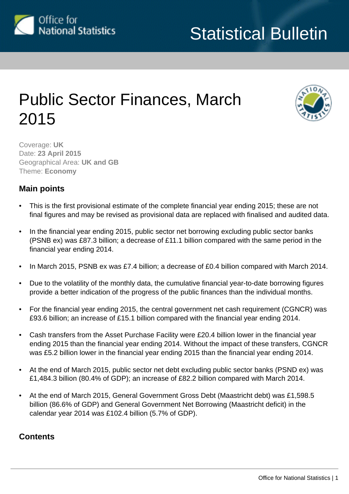

# Public Sector Finances, March 2015



Coverage: **UK** Date: **23 April 2015** Geographical Area: **UK and GB** Theme: **Economy**

# **Main points**

- This is the first provisional estimate of the complete financial year ending 2015; these are not final figures and may be revised as provisional data are replaced with finalised and audited data.
- In the financial year ending 2015, public sector net borrowing excluding public sector banks (PSNB ex) was £87.3 billion; a decrease of £11.1 billion compared with the same period in the financial year ending 2014.
- In March 2015, PSNB ex was £7.4 billion; a decrease of £0.4 billion compared with March 2014.
- Due to the volatility of the monthly data, the cumulative financial year-to-date borrowing figures provide a better indication of the progress of the public finances than the individual months.
- For the financial year ending 2015, the central government net cash requirement (CGNCR) was £93.6 billion; an increase of £15.1 billion compared with the financial year ending 2014.
- Cash transfers from the Asset Purchase Facility were £20.4 billion lower in the financial year ending 2015 than the financial year ending 2014. Without the impact of these transfers, CGNCR was £5.2 billion lower in the financial year ending 2015 than the financial year ending 2014.
- At the end of March 2015, public sector net debt excluding public sector banks (PSND ex) was £1,484.3 billion (80.4% of GDP); an increase of £82.2 billion compared with March 2014.
- At the end of March 2015, General Government Gross Debt (Maastricht debt) was £1,598.5 billion (86.6% of GDP) and General Government Net Borrowing (Maastricht deficit) in the calendar year 2014 was £102.4 billion (5.7% of GDP).

# **Contents**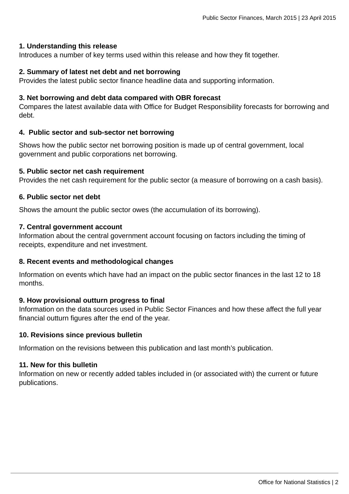### **1. Understanding this release**

Introduces a number of key terms used within this release and how they fit together.

#### **2. Summary of latest net debt and net borrowing**

Provides the latest public sector finance headline data and supporting information.

#### **3. Net borrowing and debt data compared with OBR forecast**

Compares the latest available data with Office for Budget Responsibility forecasts for borrowing and debt.

### **4. Public sector and sub-sector net borrowing**

Shows how the public sector net borrowing position is made up of central government, local government and public corporations net borrowing.

#### **5. Public sector net cash requirement**

Provides the net cash requirement for the public sector (a measure of borrowing on a cash basis).

#### **6. Public sector net debt**

Shows the amount the public sector owes (the accumulation of its borrowing).

#### **7. Central government account**

Information about the central government account focusing on factors including the timing of receipts, expenditure and net investment.

### **8. Recent events and methodological changes**

Information on events which have had an impact on the public sector finances in the last 12 to 18 months.

#### **9. How provisional outturn progress to final**

Information on the data sources used in Public Sector Finances and how these affect the full year financial outturn figures after the end of the year.

#### **10. Revisions since previous bulletin**

Information on the revisions between this publication and last month's publication.

#### **11. New for this bulletin**

Information on new or recently added tables included in (or associated with) the current or future publications.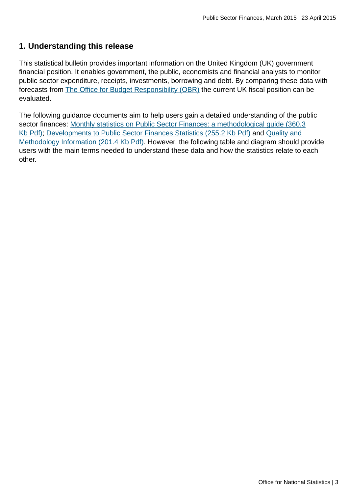# **1. Understanding this release**

This statistical bulletin provides important information on the United Kingdom (UK) government financial position. It enables government, the public, economists and financial analysts to monitor public sector expenditure, receipts, investments, borrowing and debt. By comparing these data with forecasts from [The Office for Budget Responsibility \(OBR\)](http://budgetresponsibility.independent.gov.uk/) the current UK fiscal position can be evaluated.

The following guidance documents aim to help users gain a detailed understanding of the public sector finances: [Monthly statistics on Public Sector Finances: a methodological guide \(360.3](http://www.ons.gov.uk:80/ons/guide-method/method-quality/specific/economy/public-sector-finances/monthly-statistics-on-public-sector-finances--a-methodological-guide.pdf)) [Kb Pdf\)](http://www.ons.gov.uk:80/ons/guide-method/method-quality/specific/economy/public-sector-finances/monthly-statistics-on-public-sector-finances--a-methodological-guide.pdf); [Developments to Public Sector Finances Statistics \(255.2 Kb Pdf\)](http://www.ons.gov.uk:80/ons/guide-method/method-quality/specific/economy/public-sector-finances/developments-to-public-sector-finance-statistics---june-2014-update.pdf) and [Quality and](http://www.ons.gov.uk:80/ons/guide-method/method-quality/quality/quality-information/economy/summary-quality-report-for-public-sector-finances.pdf) [Methodology Information \(201.4 Kb Pdf\)](http://www.ons.gov.uk:80/ons/guide-method/method-quality/quality/quality-information/economy/summary-quality-report-for-public-sector-finances.pdf). However, the following table and diagram should provide users with the main terms needed to understand these data and how the statistics relate to each other.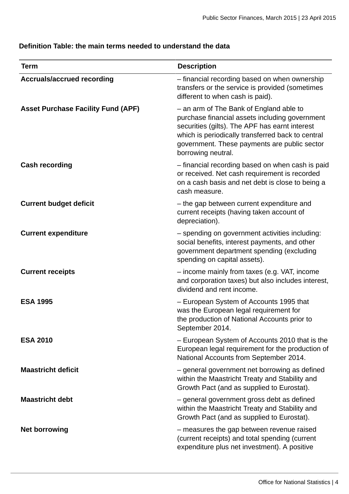# **Definition Table: the main terms needed to understand the data**

| Term                                      | <b>Description</b>                                                                                                                                                                                                                                                     |
|-------------------------------------------|------------------------------------------------------------------------------------------------------------------------------------------------------------------------------------------------------------------------------------------------------------------------|
| <b>Accruals/accrued recording</b>         | - financial recording based on when ownership<br>transfers or the service is provided (sometimes<br>different to when cash is paid).                                                                                                                                   |
| <b>Asset Purchase Facility Fund (APF)</b> | - an arm of The Bank of England able to<br>purchase financial assets including government<br>securities (gilts). The APF has earnt interest<br>which is periodically transferred back to central<br>government. These payments are public sector<br>borrowing neutral. |
| <b>Cash recording</b>                     | - financial recording based on when cash is paid<br>or received. Net cash requirement is recorded<br>on a cash basis and net debt is close to being a<br>cash measure.                                                                                                 |
| <b>Current budget deficit</b>             | - the gap between current expenditure and<br>current receipts (having taken account of<br>depreciation).                                                                                                                                                               |
| <b>Current expenditure</b>                | - spending on government activities including:<br>social benefits, interest payments, and other<br>government department spending (excluding<br>spending on capital assets).                                                                                           |
| <b>Current receipts</b>                   | - income mainly from taxes (e.g. VAT, income<br>and corporation taxes) but also includes interest,<br>dividend and rent income.                                                                                                                                        |
| <b>ESA 1995</b>                           | - European System of Accounts 1995 that<br>was the European legal requirement for<br>the production of National Accounts prior to<br>September 2014.                                                                                                                   |
| <b>ESA 2010</b>                           | - European System of Accounts 2010 that is the<br>European legal requirement for the production of<br>National Accounts from September 2014.                                                                                                                           |
| <b>Maastricht deficit</b>                 | - general government net borrowing as defined<br>within the Maastricht Treaty and Stability and<br>Growth Pact (and as supplied to Eurostat).                                                                                                                          |
| <b>Maastricht debt</b>                    | - general government gross debt as defined<br>within the Maastricht Treaty and Stability and<br>Growth Pact (and as supplied to Eurostat).                                                                                                                             |
| <b>Net borrowing</b>                      | - measures the gap between revenue raised<br>(current receipts) and total spending (current<br>expenditure plus net investment). A positive                                                                                                                            |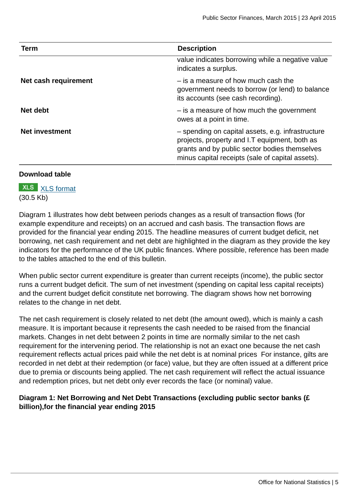| <b>Term</b>           | <b>Description</b>                                                                                                                                                                                      |
|-----------------------|---------------------------------------------------------------------------------------------------------------------------------------------------------------------------------------------------------|
|                       | value indicates borrowing while a negative value<br>indicates a surplus.                                                                                                                                |
| Net cash requirement  | - is a measure of how much cash the<br>government needs to borrow (or lend) to balance<br>its accounts (see cash recording).                                                                            |
| Net debt              | - is a measure of how much the government<br>owes at a point in time.                                                                                                                                   |
| <b>Net investment</b> | - spending on capital assets, e.g. infrastructure<br>projects, property and I.T equipment, both as<br>grants and by public sector bodies themselves<br>minus capital receipts (sale of capital assets). |

### **Download table**

**XLS** [XLS format](http://www.ons.gov.uk:80/ons/rel/psa/public-sector-finances/march-2015/prt-glossary.xls) (30.5 Kb)

Diagram 1 illustrates how debt between periods changes as a result of transaction flows (for example expenditure and receipts) on an accrued and cash basis. The transaction flows are provided for the financial year ending 2015. The headline measures of current budget deficit, net borrowing, net cash requirement and net debt are highlighted in the diagram as they provide the key indicators for the performance of the UK public finances. Where possible, reference has been made to the tables attached to the end of this bulletin.

When public sector current expenditure is greater than current receipts (income), the public sector runs a current budget deficit. The sum of net investment (spending on capital less capital receipts) and the current budget deficit constitute net borrowing. The diagram shows how net borrowing relates to the change in net debt.

The net cash requirement is closely related to net debt (the amount owed), which is mainly a cash measure. It is important because it represents the cash needed to be raised from the financial markets. Changes in net debt between 2 points in time are normally similar to the net cash requirement for the intervening period. The relationship is not an exact one because the net cash requirement reflects actual prices paid while the net debt is at nominal prices For instance, gilts are recorded in net debt at their redemption (or face) value, but they are often issued at a different price due to premia or discounts being applied. The net cash requirement will reflect the actual issuance and redemption prices, but net debt only ever records the face (or nominal) value.

# **Diagram 1: Net Borrowing and Net Debt Transactions (excluding public sector banks (£ billion),for the financial year ending 2015**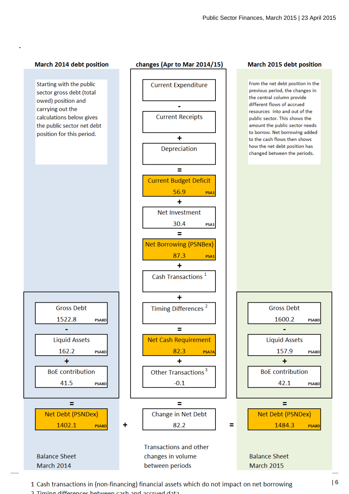#### March 2014 debt position

**.**

Starting with the public sector gross debt (total owed) position and carrying out the calculations below gives the public sector net debt position for this period.



**Balance Sheet** March 2014

#### changes (Apr to Mar 2014/15)



**Transactions and other** changes in volume between periods

#### March 2015 debt position

From the net debt position in the previous period, the changes in the central column provide different flows of accrued resources into and out of the public sector. This shows the amount the public sector needs to borrow. Net borrowing added to the cash flows then shows how the net debt position has changed between the periods.



**Balance Sheet March 2015** 

1 Cash transactions in (non-financing) financial assets which do not impact on net borrowing  $\vert 6 \rangle$ 2. Timing differences hetween cash and accrued data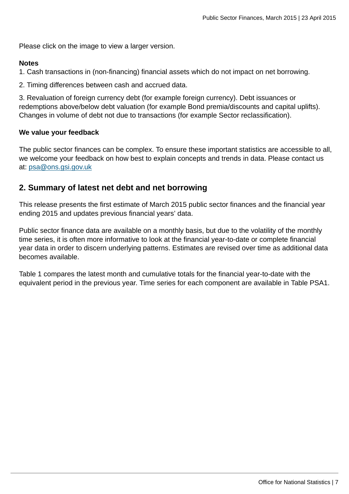Please click on the image to view a larger version.

#### **Notes**

1. Cash transactions in (non-financing) financial assets which do not impact on net borrowing.

2. Timing differences between cash and accrued data.

3. Revaluation of foreign currency debt (for example foreign currency). Debt issuances or redemptions above/below debt valuation (for example Bond premia/discounts and capital uplifts). Changes in volume of debt not due to transactions (for example Sector reclassification).

### **We value your feedback**

The public sector finances can be complex. To ensure these important statistics are accessible to all, we welcome your feedback on how best to explain concepts and trends in data. Please contact us at: [psa@ons.gsi.gov.uk](mailto:psa@ons.gsi.gov.uk)

# **2. Summary of latest net debt and net borrowing**

This release presents the first estimate of March 2015 public sector finances and the financial year ending 2015 and updates previous financial years' data.

Public sector finance data are available on a monthly basis, but due to the volatility of the monthly time series, it is often more informative to look at the financial year-to-date or complete financial year data in order to discern underlying patterns. Estimates are revised over time as additional data becomes available.

Table 1 compares the latest month and cumulative totals for the financial year-to-date with the equivalent period in the previous year. Time series for each component are available in Table PSA1.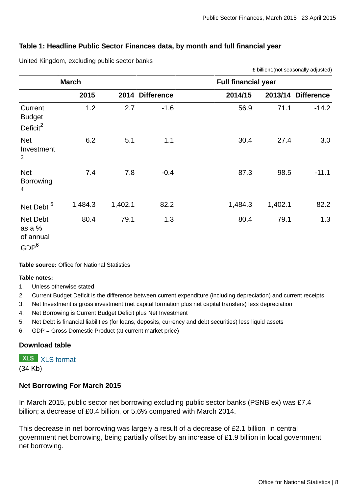£ billion1(not seasonally adjusted)

# **Table 1: Headline Public Sector Finances data, by month and full financial year**

|                                                     | <b>March</b> |         | <b>Full financial year</b> |         |         |                    |  |  |  |  |  |
|-----------------------------------------------------|--------------|---------|----------------------------|---------|---------|--------------------|--|--|--|--|--|
|                                                     | 2015         |         | 2014 Difference            | 2014/15 |         | 2013/14 Difference |  |  |  |  |  |
| Current<br><b>Budget</b><br>Deficit <sup>2</sup>    | 1.2          | 2.7     | $-1.6$                     | 56.9    | 71.1    | $-14.2$            |  |  |  |  |  |
| <b>Net</b><br>Investment<br>3                       | 6.2          | 5.1     | 1.1                        | 30.4    | 27.4    | 3.0                |  |  |  |  |  |
| <b>Net</b><br>Borrowing<br>$\overline{4}$           | 7.4          | 7.8     | $-0.4$                     | 87.3    | 98.5    | $-11.1$            |  |  |  |  |  |
| Net Debt <sup>5</sup>                               | 1,484.3      | 1,402.1 | 82.2                       | 1,484.3 | 1,402.1 | 82.2               |  |  |  |  |  |
| Net Debt<br>as a %<br>of annual<br>GDP <sup>6</sup> | 80.4         | 79.1    | 1.3                        | 80.4    | 79.1    | 1.3                |  |  |  |  |  |

United Kingdom, excluding public sector banks

#### **Table source:** Office for National Statistics

#### **Table notes:**

- 1. Unless otherwise stated
- 2. Current Budget Deficit is the difference between current expenditure (including depreciation) and current receipts
- 3. Net Investment is gross investment (net capital formation plus net capital transfers) less depreciation
- 4. Net Borrowing is Current Budget Deficit plus Net Investment
- 5. Net Debt is financial liabilities (for loans, deposits, currency and debt securities) less liquid assets
- 6. GDP = Gross Domestic Product (at current market price)

# **Download table**

**XLS** [XLS format](http://www.ons.gov.uk:80/ons/rel/psa/public-sector-finances/march-2015/prt-table-1.xls)

(34 Kb)

### **Net Borrowing For March 2015**

In March 2015, public sector net borrowing excluding public sector banks (PSNB ex) was £7.4 billion; a decrease of £0.4 billion, or 5.6% compared with March 2014.

This decrease in net borrowing was largely a result of a decrease of £2.1 billion in central government net borrowing, being partially offset by an increase of £1.9 billion in local government net borrowing.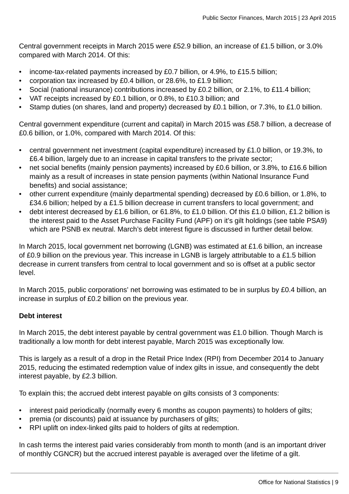Central government receipts in March 2015 were £52.9 billion, an increase of £1.5 billion, or 3.0% compared with March 2014. Of this:

- income-tax-related payments increased by £0.7 billion, or 4.9%, to £15.5 billion;
- corporation tax increased by £0.4 billion, or 28.6%, to £1.9 billion;
- Social (national insurance) contributions increased by £0.2 billion, or 2.1%, to £11.4 billion;
- VAT receipts increased by £0.1 billion, or 0.8%, to £10.3 billion; and
- Stamp duties (on shares, land and property) decreased by £0.1 billion, or 7.3%, to £1.0 billion.

Central government expenditure (current and capital) in March 2015 was £58.7 billion, a decrease of £0.6 billion, or 1.0%, compared with March 2014. Of this:

- central government net investment (capital expenditure) increased by £1.0 billion, or 19.3%, to £6.4 billion, largely due to an increase in capital transfers to the private sector;
- net social benefits (mainly pension payments) increased by £0.6 billion, or 3.8%, to £16.6 billion mainly as a result of increases in state pension payments (within National Insurance Fund benefits) and social assistance;
- other current expenditure (mainly departmental spending) decreased by £0.6 billion, or 1.8%, to £34.6 billion; helped by a £1.5 billion decrease in current transfers to local government; and
- debt interest decreased by £1.6 billion, or 61.8%, to £1.0 billion. Of this £1.0 billion, £1.2 billion is the interest paid to the Asset Purchase Facility Fund (APF) on it's gilt holdings (see table PSA9) which are PSNB ex neutral. March's debt interest figure is discussed in further detail below.

In March 2015, local government net borrowing (LGNB) was estimated at £1.6 billion, an increase of £0.9 billion on the previous year. This increase in LGNB is largely attributable to a £1.5 billion decrease in current transfers from central to local government and so is offset at a public sector level.

In March 2015, public corporations' net borrowing was estimated to be in surplus by £0.4 billion, an increase in surplus of £0.2 billion on the previous year.

### **Debt interest**

In March 2015, the debt interest payable by central government was £1.0 billion. Though March is traditionally a low month for debt interest payable, March 2015 was exceptionally low.

This is largely as a result of a drop in the Retail Price Index (RPI) from December 2014 to January 2015, reducing the estimated redemption value of index gilts in issue, and consequently the debt interest payable, by £2.3 billion.

To explain this; the accrued debt interest payable on gilts consists of 3 components:

- interest paid periodically (normally every 6 months as coupon payments) to holders of gilts;
- premia (or discounts) paid at issuance by purchasers of gilts;
- RPI uplift on index-linked gilts paid to holders of gilts at redemption.

In cash terms the interest paid varies considerably from month to month (and is an important driver of monthly CGNCR) but the accrued interest payable is averaged over the lifetime of a gilt.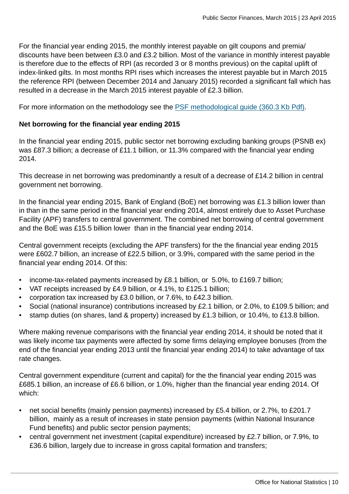For the financial year ending 2015, the monthly interest payable on gilt coupons and premia/ discounts have been between £3.0 and £3.2 billion. Most of the variance in monthly interest payable is therefore due to the effects of RPI (as recorded 3 or 8 months previous) on the capital uplift of index-linked gilts. In most months RPI rises which increases the interest payable but in March 2015 the reference RPI (between December 2014 and January 2015) recorded a significant fall which has resulted in a decrease in the March 2015 interest payable of £2.3 billion.

For more information on the methodology see the [PSF methodological guide \(360.3 Kb Pdf\).](http://www.ons.gov.uk:80/ons/guide-method/method-quality/specific/economy/public-sector-finances/monthly-statistics-on-public-sector-finances--a-methodological-guide.pdf)

# **Net borrowing for the financial year ending 2015**

In the financial year ending 2015, public sector net borrowing excluding banking groups (PSNB ex) was £87.3 billion; a decrease of £11.1 billion, or 11.3% compared with the financial year ending 2014.

This decrease in net borrowing was predominantly a result of a decrease of £14.2 billion in central government net borrowing.

In the financial year ending 2015, Bank of England (BoE) net borrowing was £1.3 billion lower than in than in the same period in the financial year ending 2014, almost entirely due to Asset Purchase Facility (APF) transfers to central government. The combined net borrowing of central government and the BoE was £15.5 billion lower than in the financial year ending 2014.

Central government receipts (excluding the APF transfers) for the the financial year ending 2015 were £602.7 billion, an increase of £22.5 billion, or 3.9%, compared with the same period in the financial year ending 2014. Of this:

- income-tax-related payments increased by £8.1 billion, or 5.0%, to £169.7 billion;
- VAT receipts increased by £4.9 billion, or 4.1%, to £125.1 billion;
- corporation tax increased by £3.0 billion, or 7.6%, to £42.3 billion.
- Social (national insurance) contributions increased by £2.1 billion, or 2.0%, to £109.5 billion; and
- stamp duties (on shares, land & property) increased by £1.3 billion, or 10.4%, to £13.8 billion.

Where making revenue comparisons with the financial year ending 2014, it should be noted that it was likely income tax payments were affected by some firms delaying employee bonuses (from the end of the financial year ending 2013 until the financial year ending 2014) to take advantage of tax rate changes.

Central government expenditure (current and capital) for the the financial year ending 2015 was £685.1 billion, an increase of £6.6 billion, or 1.0%, higher than the financial year ending 2014. Of which:

- net social benefits (mainly pension payments) increased by £5.4 billion, or 2.7%, to £201.7 billion, mainly as a result of increases in state pension payments (within National Insurance Fund benefits) and public sector pension payments;
- central government net investment (capital expenditure) increased by £2.7 billion, or 7.9%, to £36.6 billion, largely due to increase in gross capital formation and transfers;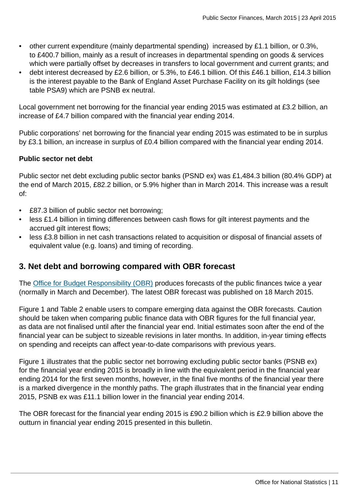- other current expenditure (mainly departmental spending) increased by £1.1 billion, or 0.3%, to £400.7 billion, mainly as a result of increases in departmental spending on goods & services which were partially offset by decreases in transfers to local government and current grants; and
- debt interest decreased by £2.6 billion, or 5.3%, to £46.1 billion. Of this £46.1 billion, £14.3 billion is the interest payable to the Bank of England Asset Purchase Facility on its gilt holdings (see table PSA9) which are PSNB ex neutral.

Local government net borrowing for the financial year ending 2015 was estimated at £3.2 billion, an increase of £4.7 billion compared with the financial year ending 2014.

Public corporations' net borrowing for the financial year ending 2015 was estimated to be in surplus by £3.1 billion, an increase in surplus of £0.4 billion compared with the financial year ending 2014.

# **Public sector net debt**

Public sector net debt excluding public sector banks (PSND ex) was £1,484.3 billion (80.4% GDP) at the end of March 2015, £82.2 billion, or 5.9% higher than in March 2014. This increase was a result of:

- £87.3 billion of public sector net borrowing;
- less £1.4 billion in timing differences between cash flows for gilt interest payments and the accrued gilt interest flows;
- less £3.8 billion in net cash transactions related to acquisition or disposal of financial assets of equivalent value (e.g. loans) and timing of recording.

# **3. Net debt and borrowing compared with OBR forecast**

The [Office for Budget Responsibility \(OBR\)](http://budgetresponsibility.independent.gov.uk/) produces forecasts of the public finances twice a year (normally in March and December). The latest OBR forecast was published on 18 March 2015.

Figure 1 and Table 2 enable users to compare emerging data against the OBR forecasts. Caution should be taken when comparing public finance data with OBR figures for the full financial year, as data are not finalised until after the financial year end. Initial estimates soon after the end of the financial year can be subject to sizeable revisions in later months. In addition, in-year timing effects on spending and receipts can affect year-to-date comparisons with previous years.

Figure 1 illustrates that the public sector net borrowing excluding public sector banks (PSNB ex) for the financial year ending 2015 is broadly in line with the equivalent period in the financial year ending 2014 for the first seven months, however, in the final five months of the financial year there is a marked divergence in the monthly paths. The graph illustrates that in the financial year ending 2015, PSNB ex was £11.1 billion lower in the financial year ending 2014.

The OBR forecast for the financial year ending 2015 is £90.2 billion which is £2.9 billion above the outturn in financial year ending 2015 presented in this bulletin.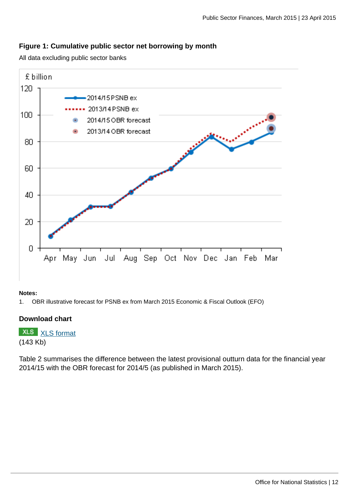# **Figure 1: Cumulative public sector net borrowing by month**

All data excluding public sector banks



#### **Notes:**

1. OBR illustrative forecast for PSNB ex from March 2015 Economic & Fiscal Outlook (EFO)

### **Download chart**

**XLS** [XLS format](http://www.ons.gov.uk:80/ons/rel/psa/public-sector-finances/march-2015/chd-figure-1.xls) (143 Kb)

Table 2 summarises the difference between the latest provisional outturn data for the financial year 2014/15 with the OBR forecast for 2014/5 (as published in March 2015).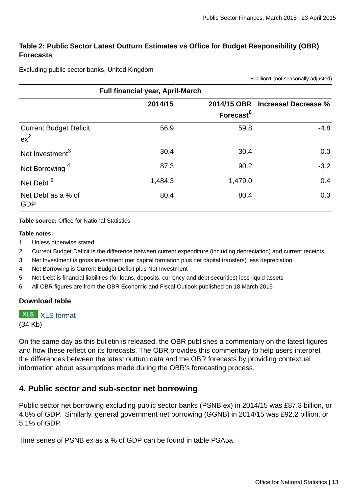# **Table 2: Public Sector Latest Outturn Estimates vs Office for Budget Responsibility (OBR) Forecasts**

Excluding public sector banks, United Kingdom

£ billion1 (not seasonally adjusted)

|                                         | <b>Full financial year, April-March</b> |                       |                                  |
|-----------------------------------------|-----------------------------------------|-----------------------|----------------------------------|
|                                         | 2014/15                                 | Forecast <sup>6</sup> | 2014/15 OBR Increase/ Decrease % |
| <b>Current Budget Deficit</b><br>$ex^2$ | 56.9                                    | 59.8                  | $-4.8$                           |
| Net Investment <sup>3</sup>             | 30.4                                    | 30.4                  | 0.0                              |
| Net Borrowing <sup>4</sup>              | 87.3                                    | 90.2                  | $-3.2$                           |
| Net Debt <sup>5</sup>                   | 1,484.3                                 | 1,479.0               | 0.4                              |
| Net Debt as a % of<br><b>GDP</b>        | 80.4                                    | 80.4                  | 0.0                              |

**Table source:** Office for National Statistics

#### **Table notes:**

- 1. Unless otherwise stated
- 2. Current Budget Deficit is the difference between current expenditure (including depreciation) and current receipts
- 3. Net Investment is gross investment (net capital formation plus net capital transfers) less depreciation
- 4. Net Borrowing is Current Budget Deficit plus Net Investment
- 5. Net Debt is financial liabilities (for loans, deposits, currency and debt securities) less liquid assets
- 6. All OBR figures are from the OBR Economic and Fiscal Outlook published on 18 March 2015

#### **Download table**

**XLS** [XLS format](http://www.ons.gov.uk:80/ons/rel/psa/public-sector-finances/march-2015/prt-table-2.xls)

(34 Kb)

On the same day as this bulletin is released, the OBR publishes a commentary on the latest figures and how these reflect on its forecasts. The OBR provides this commentary to help users interpret the differences between the latest outturn data and the OBR forecasts by providing contextual information about assumptions made during the OBR's forecasting process.

# **4. Public sector and sub-sector net borrowing**

Public sector net borrowing excluding public sector banks (PSNB ex) in 2014/15 was £87.3 billion, or 4.8% of GDP. Similarly, general government net borrowing (GGNB) in 2014/15 was £92.2 billion, or 5.1% of GDP.

Time series of PSNB ex as a % of GDP can be found in table PSA5a.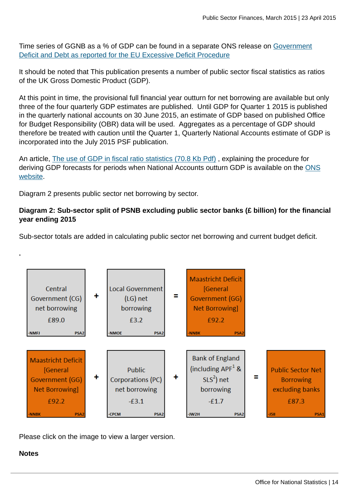Time series of GGNB as a % of GDP can be found in a separate ONS release on [Government](http://www.ons.gov.uk:80/ons/rel/psa/maast-supplementary-data-tables/q4-2014/stb---march-2014.html) [Deficit and Debt as reported for the EU Excessive Deficit Procedure](http://www.ons.gov.uk:80/ons/rel/psa/maast-supplementary-data-tables/q4-2014/stb---march-2014.html)

It should be noted that This publication presents a number of public sector fiscal statistics as ratios of the UK Gross Domestic Product (GDP).

At this point in time, the provisional full financial year outturn for net borrowing are available but only three of the four quarterly GDP estimates are published. Until GDP for Quarter 1 2015 is published in the quarterly national accounts on 30 June 2015, an estimate of GDP based on published Office for Budget Responsibility (OBR) data will be used. Aggregates as a percentage of GDP should therefore be treated with caution until the Quarter 1, Quarterly National Accounts estimate of GDP is incorporated into the July 2015 PSF publication.

An article, [The use of GDP in fiscal ratio statistics \(70.8 Kb Pdf\)](http://www.ons.gov.uk:80/ons/guide-method/method-quality/specific/economy/public-sector-statistics/the-use-of-gross-domestic-product--gdp--in-fiscal-ratio-statistics.pdf) , explaining the procedure for deriving GDP forecasts for periods when National Accounts outturn GDP is available on the [ONS](http://www.ons.gov.uk/ons/index.html) [website](http://www.ons.gov.uk/ons/index.html).

Diagram 2 presents public sector net borrowing by sector.

# **Diagram 2: Sub-sector split of PSNB excluding public sector banks (£ billion) for the financial year ending 2015**

Sub-sector totals are added in calculating public sector net borrowing and current budget deficit.



Please click on the image to view a larger version.

### **Notes**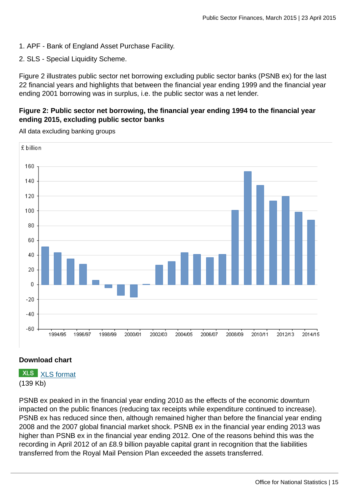1. APF - Bank of England Asset Purchase Facility.

2. SLS - Special Liquidity Scheme.

Figure 2 illustrates public sector net borrowing excluding public sector banks (PSNB ex) for the last 22 financial years and highlights that between the financial year ending 1999 and the financial year ending 2001 borrowing was in surplus, i.e. the public sector was a net lender.

# **Figure 2: Public sector net borrowing, the financial year ending 1994 to the financial year ending 2015, excluding public sector banks**



All data excluding banking groups

# **Download chart**

**XLS** [XLS format](http://www.ons.gov.uk:80/ons/rel/psa/public-sector-finances/march-2015/chd-figure-2.xls) (139 Kb)

PSNB ex peaked in in the financial year ending 2010 as the effects of the economic downturn impacted on the public finances (reducing tax receipts while expenditure continued to increase). PSNB ex has reduced since then, although remained higher than before the financial year ending 2008 and the 2007 global financial market shock. PSNB ex in the financial year ending 2013 was higher than PSNB ex in the financial year ending 2012. One of the reasons behind this was the recording in April 2012 of an £8.9 billion payable capital grant in recognition that the liabilities transferred from the Royal Mail Pension Plan exceeded the assets transferred.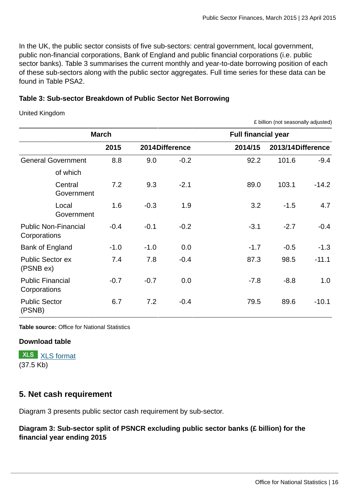In the UK, the public sector consists of five sub-sectors: central government, local government, public non-financial corporations, Bank of England and public financial corporations (i.e. public sector banks). Table 3 summarises the current monthly and year-to-date borrowing position of each of these sub-sectors along with the public sector aggregates. Full time series for these data can be found in Table PSA2.

# **Table 3: Sub-sector Breakdown of Public Sector Net Borrowing**

United Kingdom

£ billion (not seasonally adjusted)

|                                             | <b>March</b> |        |                | <b>Full financial year</b> |        |                   |  |  |  |  |  |
|---------------------------------------------|--------------|--------|----------------|----------------------------|--------|-------------------|--|--|--|--|--|
|                                             | 2015         |        | 2014Difference | 2014/15                    |        | 2013/14Difference |  |  |  |  |  |
| <b>General Government</b>                   | 8.8          | 9.0    | $-0.2$         | 92.2                       | 101.6  | $-9.4$            |  |  |  |  |  |
| of which                                    |              |        |                |                            |        |                   |  |  |  |  |  |
| Central<br>Government                       | 7.2          | 9.3    | $-2.1$         | 89.0                       | 103.1  | $-14.2$           |  |  |  |  |  |
| Local<br>Government                         | 1.6          | $-0.3$ | 1.9            | 3.2                        | $-1.5$ | 4.7               |  |  |  |  |  |
| <b>Public Non-Financial</b><br>Corporations | $-0.4$       | $-0.1$ | $-0.2$         | $-3.1$                     | $-2.7$ | $-0.4$            |  |  |  |  |  |
| Bank of England                             | $-1.0$       | $-1.0$ | 0.0            | $-1.7$                     | $-0.5$ | $-1.3$            |  |  |  |  |  |
| <b>Public Sector ex</b><br>(PSNB ex)        | 7.4          | 7.8    | $-0.4$         | 87.3                       | 98.5   | $-11.1$           |  |  |  |  |  |
| <b>Public Financial</b><br>Corporations     | $-0.7$       | $-0.7$ | 0.0            | $-7.8$                     | $-8.8$ | 1.0               |  |  |  |  |  |
| <b>Public Sector</b><br>(PSNB)              | 6.7          | 7.2    | $-0.4$         | 79.5                       | 89.6   | $-10.1$           |  |  |  |  |  |

**Table source:** Office for National Statistics

### **Download table**

**XLS** [XLS format](http://www.ons.gov.uk:80/ons/rel/psa/public-sector-finances/march-2015/prt-table-3.xls) (37.5 Kb)

# **5. Net cash requirement**

Diagram 3 presents public sector cash requirement by sub-sector.

**Diagram 3: Sub-sector split of PSNCR excluding public sector banks (£ billion) for the financial year ending 2015**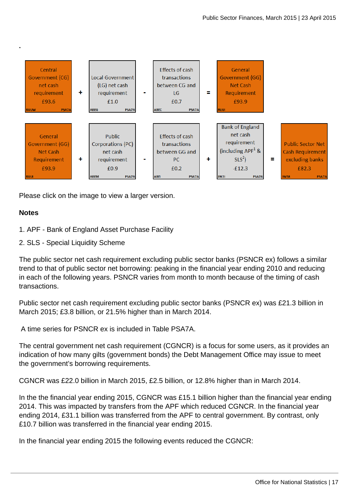

Please click on the image to view a larger version.

# **Notes**

**.**

- 1. APF Bank of England Asset Purchase Facility
- 2. SLS Special Liquidity Scheme

The public sector net cash requirement excluding public sector banks (PSNCR ex) follows a similar trend to that of public sector net borrowing: peaking in the financial year ending 2010 and reducing in each of the following years. PSNCR varies from month to month because of the timing of cash transactions.

Public sector net cash requirement excluding public sector banks (PSNCR ex) was £21.3 billion in March 2015; £3.8 billion, or 21.5% higher than in March 2014.

A time series for PSNCR ex is included in Table PSA7A.

The central government net cash requirement (CGNCR) is a focus for some users, as it provides an indication of how many gilts (government bonds) the Debt Management Office may issue to meet the government's borrowing requirements.

CGNCR was £22.0 billion in March 2015, £2.5 billion, or 12.8% higher than in March 2014.

In the the financial year ending 2015, CGNCR was £15.1 billion higher than the financial year ending 2014. This was impacted by transfers from the APF which reduced CGNCR. In the financial year ending 2014, £31.1 billion was transferred from the APF to central government. By contrast, only £10.7 billion was transferred in the financial year ending 2015.

In the financial year ending 2015 the following events reduced the CGNCR: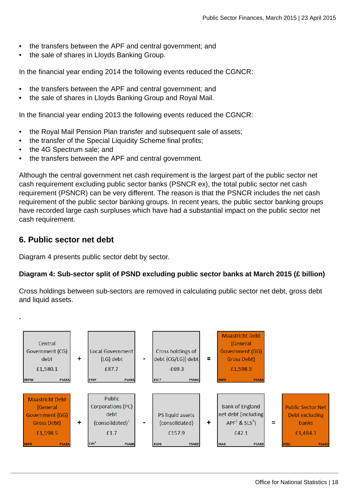- the transfers between the APF and central government; and
- the sale of shares in Lloyds Banking Group.

In the financial year ending 2014 the following events reduced the CGNCR:

- the transfers between the APF and central government; and
- the sale of shares in Lloyds Banking Group and Royal Mail.

In the financial year ending 2013 the following events reduced the CGNCR:

- the Royal Mail Pension Plan transfer and subsequent sale of assets;
- the transfer of the Special Liquidity Scheme final profits;
- the 4G Spectrum sale; and
- the transfers between the APF and central government.

Although the central government net cash requirement is the largest part of the public sector net cash requirement excluding public sector banks (PSNCR ex), the total public sector net cash requirement (PSNCR) can be very different. The reason is that the PSNCR includes the net cash requirement of the public sector banking groups. In recent years, the public sector banking groups have recorded large cash surpluses which have had a substantial impact on the public sector net cash requirement.

# **6. Public sector net debt**

Diagram 4 presents public sector debt by sector.

# **Diagram 4: Sub-sector split of PSND excluding public sector banks at March 2015 (£ billion)**

Cross holdings between sub-sectors are removed in calculating public sector net debt, gross debt and liquid assets.

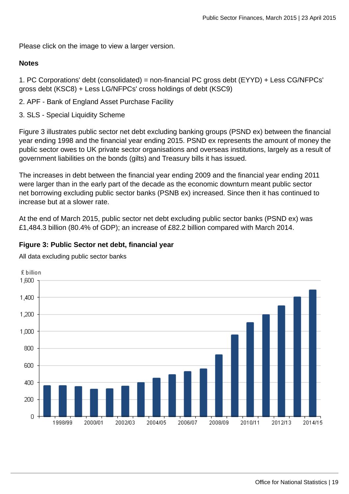Please click on the image to view a larger version.

### **Notes**

1. PC Corporations' debt (consolidated) = non-financial PC gross debt (EYYD) + Less CG/NFPCs' gross debt (KSC8) + Less LG/NFPCs' cross holdings of debt (KSC9)

2. APF - Bank of England Asset Purchase Facility

3. SLS - Special Liquidity Scheme

Figure 3 illustrates public sector net debt excluding banking groups (PSND ex) between the financial year ending 1998 and the financial year ending 2015. PSND ex represents the amount of money the public sector owes to UK private sector organisations and overseas institutions, largely as a result of government liabilities on the bonds (gilts) and Treasury bills it has issued.

The increases in debt between the financial year ending 2009 and the financial year ending 2011 were larger than in the early part of the decade as the economic downturn meant public sector net borrowing excluding public sector banks (PSNB ex) increased. Since then it has continued to increase but at a slower rate.

At the end of March 2015, public sector net debt excluding public sector banks (PSND ex) was £1,484.3 billion (80.4% of GDP); an increase of £82.2 billion compared with March 2014.

# **Figure 3: Public Sector net debt, financial year**

All data excluding public sector banks

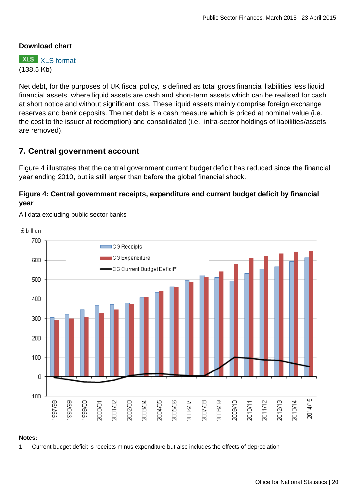# **Download chart**

**XLS** [XLS format](http://www.ons.gov.uk:80/ons/rel/psa/public-sector-finances/march-2015/chd-figure-3.xls) (138.5 Kb)

Net debt, for the purposes of UK fiscal policy, is defined as total gross financial liabilities less liquid financial assets, where liquid assets are cash and short-term assets which can be realised for cash at short notice and without significant loss. These liquid assets mainly comprise foreign exchange reserves and bank deposits. The net debt is a cash measure which is priced at nominal value (i.e. the cost to the issuer at redemption) and consolidated (i.e. intra-sector holdings of liabilities/assets are removed).

# **7. Central government account**

Figure 4 illustrates that the central government current budget deficit has reduced since the financial year ending 2010, but is still larger than before the global financial shock.

# **Figure 4: Central government receipts, expenditure and current budget deficit by financial year**



All data excluding public sector banks

### **Notes:**

1. Current budget deficit is receipts minus expenditure but also includes the effects of depreciation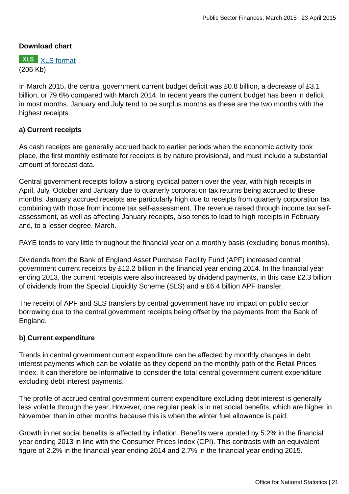# **Download chart**



In March 2015, the central government current budget deficit was £0.8 billion, a decrease of £3.1 billion, or 79.6% compared with March 2014. In recent years the current budget has been in deficit in most months. January and July tend to be surplus months as these are the two months with the highest receipts.

### **a) Current receipts**

As cash receipts are generally accrued back to earlier periods when the economic activity took place, the first monthly estimate for receipts is by nature provisional, and must include a substantial amount of forecast data.

Central government receipts follow a strong cyclical pattern over the year, with high receipts in April, July, October and January due to quarterly corporation tax returns being accrued to these months. January accrued receipts are particularly high due to receipts from quarterly corporation tax combining with those from income tax self-assessment. The revenue raised through income tax selfassessment, as well as affecting January receipts, also tends to lead to high receipts in February and, to a lesser degree, March.

PAYE tends to vary little throughout the financial year on a monthly basis (excluding bonus months).

Dividends from the Bank of England Asset Purchase Facility Fund (APF) increased central government current receipts by £12.2 billion in the financial year ending 2014. In the financial year ending 2013, the current receipts were also increased by dividend payments, in this case £2.3 billion of dividends from the Special Liquidity Scheme (SLS) and a £6.4 billion APF transfer.

The receipt of APF and SLS transfers by central government have no impact on public sector borrowing due to the central government receipts being offset by the payments from the Bank of England.

### **b) Current expenditure**

Trends in central government current expenditure can be affected by monthly changes in debt interest payments which can be volatile as they depend on the monthly path of the Retail Prices Index. It can therefore be informative to consider the total central government current expenditure excluding debt interest payments.

The profile of accrued central government current expenditure excluding debt interest is generally less volatile through the year. However, one regular peak is in net social benefits, which are higher in November than in other months because this is when the winter fuel allowance is paid.

Growth in net social benefits is affected by inflation. Benefits were uprated by 5.2% in the financial year ending 2013 in line with the Consumer Prices Index (CPI). This contrasts with an equivalent figure of 2.2% in the financial year ending 2014 and 2.7% in the financial year ending 2015.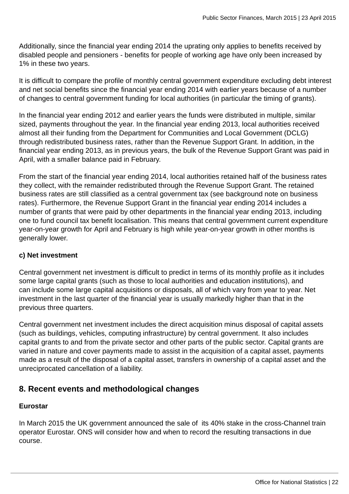Additionally, since the financial year ending 2014 the uprating only applies to benefits received by disabled people and pensioners - benefits for people of working age have only been increased by 1% in these two years.

It is difficult to compare the profile of monthly central government expenditure excluding debt interest and net social benefits since the financial year ending 2014 with earlier years because of a number of changes to central government funding for local authorities (in particular the timing of grants).

In the financial year ending 2012 and earlier years the funds were distributed in multiple, similar sized, payments throughout the year. In the financial year ending 2013, local authorities received almost all their funding from the Department for Communities and Local Government (DCLG) through redistributed business rates, rather than the Revenue Support Grant. In addition, in the financial year ending 2013, as in previous years, the bulk of the Revenue Support Grant was paid in April, with a smaller balance paid in February.

From the start of the financial year ending 2014, local authorities retained half of the business rates they collect, with the remainder redistributed through the Revenue Support Grant. The retained business rates are still classified as a central government tax (see background note on business rates). Furthermore, the Revenue Support Grant in the financial year ending 2014 includes a number of grants that were paid by other departments in the financial year ending 2013, including one to fund council tax benefit localisation. This means that central government current expenditure year-on-year growth for April and February is high while year-on-year growth in other months is generally lower.

# **c) Net investment**

Central government net investment is difficult to predict in terms of its monthly profile as it includes some large capital grants (such as those to local authorities and education institutions), and can include some large capital acquisitions or disposals, all of which vary from year to year. Net investment in the last quarter of the financial year is usually markedly higher than that in the previous three quarters.

Central government net investment includes the direct acquisition minus disposal of capital assets (such as buildings, vehicles, computing infrastructure) by central government. It also includes capital grants to and from the private sector and other parts of the public sector. Capital grants are varied in nature and cover payments made to assist in the acquisition of a capital asset, payments made as a result of the disposal of a capital asset, transfers in ownership of a capital asset and the unreciprocated cancellation of a liability.

# **8. Recent events and methodological changes**

# **Eurostar**

In March 2015 the UK government announced the sale of its 40% stake in the cross-Channel train operator Eurostar. ONS will consider how and when to record the resulting transactions in due course.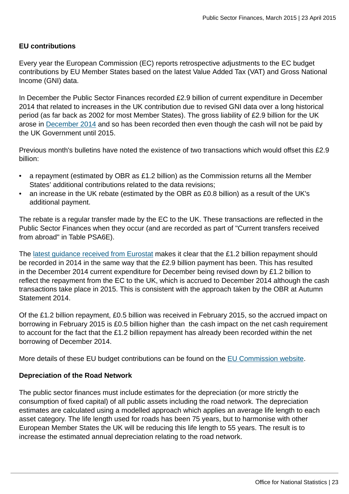# **EU contributions**

Every year the European Commission (EC) reports retrospective adjustments to the EC budget contributions by EU Member States based on the latest Value Added Tax (VAT) and Gross National Income (GNI) data.

In December the Public Sector Finances recorded £2.9 billion of current expenditure in December 2014 that related to increases in the UK contribution due to revised GNI data over a long historical period (as far back as 2002 for most Member States). The gross liability of £2.9 billion for the UK arose in [December 2014](http://ec.europa.eu/budget/library/biblio/documents/2014/AL/COM_2014_730_en.pdf) and so has been recorded then even though the cash will not be paid by the UK Government until 2015.

Previous month's bulletins have noted the existence of two transactions which would offset this £2.9 billion:

- a repayment (estimated by OBR as £1.2 billion) as the Commission returns all the Member States' additional contributions related to the data revisions;
- an increase in the UK rebate (estimated by the OBR as £0.8 billion) as a result of the UK's additional payment.

The rebate is a regular transfer made by the EC to the UK. These transactions are reflected in the Public Sector Finances when they occur (and are recorded as part of "Current transfers received from abroad" in Table PSA6E).

The [latest guidance received from Eurostat](http://ec.europa.eu/eurostat/documents/1015035/2041357/Statistical-recording-EU-budgetary-contributions.pdf/a948e3e7-36bb-4ef8-bc56-dbf6763f78a4) makes it clear that the £1.2 billion repayment should be recorded in 2014 in the same way that the £2.9 billion payment has been. This has resulted in the December 2014 current expenditure for December being revised down by £1.2 billion to reflect the repayment from the EC to the UK, which is accrued to December 2014 although the cash transactions take place in 2015. This is consistent with the approach taken by the OBR at Autumn Statement 2014.

Of the £1.2 billion repayment, £0.5 billion was received in February 2015, so the accrued impact on borrowing in February 2015 is £0.5 billion higher than the cash impact on the net cash requirement to account for the fact that the £1.2 billion repayment has already been recorded within the net borrowing of December 2014.

More details of these EU budget contributions can be found on the [EU Commission website.](http://ec.europa.eu/budget/news/article_en.cfm?id=201412041616)

# **Depreciation of the Road Network**

The public sector finances must include estimates for the depreciation (or more strictly the consumption of fixed capital) of all public assets including the road network. The depreciation estimates are calculated using a modelled approach which applies an average life length to each asset category. The life length used for roads has been 75 years, but to harmonise with other European Member States the UK will be reducing this life length to 55 years. The result is to increase the estimated annual depreciation relating to the road network.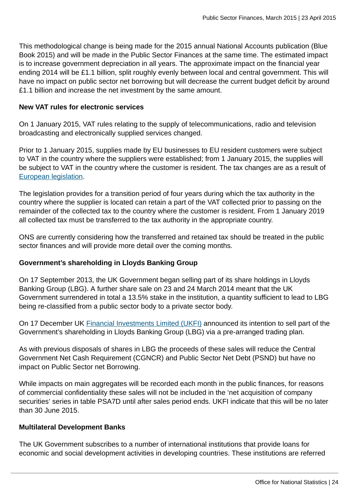This methodological change is being made for the 2015 annual National Accounts publication (Blue Book 2015) and will be made in the Public Sector Finances at the same time. The estimated impact is to increase government depreciation in all years. The approximate impact on the financial year ending 2014 will be £1.1 billion, split roughly evenly between local and central government. This will have no impact on public sector net borrowing but will decrease the current budget deficit by around £1.1 billion and increase the net investment by the same amount.

# **New VAT rules for electronic services**

On 1 January 2015, VAT rules relating to the supply of telecommunications, radio and television broadcasting and electronically supplied services changed.

Prior to 1 January 2015, supplies made by EU businesses to EU resident customers were subject to VAT in the country where the suppliers were established; from 1 January 2015, the supplies will be subject to VAT in the country where the customer is resident. The tax changes are as a result of [European legislation](http://ec.europa.eu/taxation_customs/taxation/vat/traders/e-commerce/article_1610_en.htm).

The legislation provides for a transition period of four years during which the tax authority in the country where the supplier is located can retain a part of the VAT collected prior to passing on the remainder of the collected tax to the country where the customer is resident. From 1 January 2019 all collected tax must be transferred to the tax authority in the appropriate country.

ONS are currently considering how the transferred and retained tax should be treated in the public sector finances and will provide more detail over the coming months.

# **Government's shareholding in Lloyds Banking Group**

On 17 September 2013, the UK Government began selling part of its share holdings in Lloyds Banking Group (LBG). A further share sale on 23 and 24 March 2014 meant that the UK Government surrendered in total a 13.5% stake in the institution, a quantity sufficient to lead to LBG being re-classified from a public sector body to a private sector body.

On 17 December UK [Financial Investments Limited \(UKFI\)](http://www.ukfi.co.uk/index.php?URL_link=press-releases&Year=2014) announced its intention to sell part of the Government's shareholding in Lloyds Banking Group (LBG) via a pre-arranged trading plan.

As with previous disposals of shares in LBG the proceeds of these sales will reduce the Central Government Net Cash Requirement (CGNCR) and Public Sector Net Debt (PSND) but have no impact on Public Sector net Borrowing.

While impacts on main aggregates will be recorded each month in the public finances, for reasons of commercial confidentiality these sales will not be included in the 'net acquisition of company securities' series in table PSA7D until after sales period ends. UKFI indicate that this will be no later than 30 June 2015.

### **Multilateral Development Banks**

The UK Government subscribes to a number of international institutions that provide loans for economic and social development activities in developing countries. These institutions are referred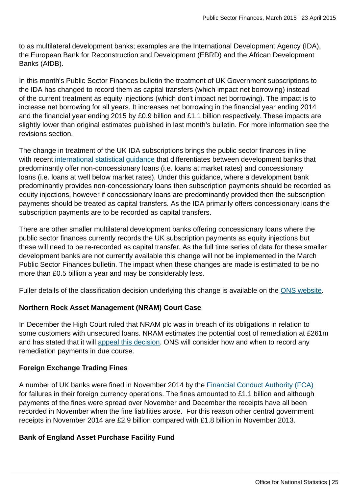to as multilateral development banks; examples are the International Development Agency (IDA), the European Bank for Reconstruction and Development (EBRD) and the African Development Banks (AfDB).

In this month's Public Sector Finances bulletin the treatment of UK Government subscriptions to the IDA has changed to record them as capital transfers (which impact net borrowing) instead of the current treatment as equity injections (which don't impact net borrowing). The impact is to increase net borrowing for all years. It increases net borrowing in the financial year ending 2014 and the financial year ending 2015 by £0.9 billion and £1.1 billion respectively. These impacts are slightly lower than original estimates published in last month's bulletin. For more information see the revisions section.

The change in treatment of the UK IDA subscriptions brings the public sector finances in line with recent [international statistical guidance](http://ec.europa.eu/eurostat/web/products-manuals-and-guidelines/-/KS-GQ-14-010) that differentiates between development banks that predominantly offer non-concessionary loans (i.e. loans at market rates) and concessionary loans (i.e. loans at well below market rates). Under this guidance, where a development bank predominantly provides non-concessionary loans then subscription payments should be recorded as equity injections, however if concessionary loans are predominantly provided then the subscription payments should be treated as capital transfers. As the IDA primarily offers concessionary loans the subscription payments are to be recorded as capital transfers.

There are other smaller multilateral development banks offering concessionary loans where the public sector finances currently records the UK subscription payments as equity injections but these will need to be re-recorded as capital transfer. As the full time series of data for these smaller development banks are not currently available this change will not be implemented in the March Public Sector Finances bulletin. The impact when these changes are made is estimated to be no more than £0.5 billion a year and may be considerably less.

Fuller details of the classification decision underlying this change is available on the [ONS website](http://www.ons.gov.uk/ons/publications/re-reference-tables.html?edition=tcm%3A77-362491).

# **Northern Rock Asset Management (NRAM) Court Case**

In December the High Court ruled that NRAM plc was in breach of its obligations in relation to some customers with unsecured loans. NRAM estimates the potential cost of remediation at £261m and has stated that it will [appeal this decision](http://www.n-ram.co.uk/loans/loans-over-25000). ONS will consider how and when to record any remediation payments in due course.

# **Foreign Exchange Trading Fines**

A number of UK banks were fined in November 2014 by the [Financial Conduct Authority \(FCA\)](http://www.fca.org.uk/firms/being-regulated/enforcement/fines) for failures in their foreign currency operations. The fines amounted to £1.1 billion and although payments of the fines were spread over November and December the receipts have all been recorded in November when the fine liabilities arose. For this reason other central government receipts in November 2014 are £2.9 billion compared with £1.8 billion in November 2013.

# **Bank of England Asset Purchase Facility Fund**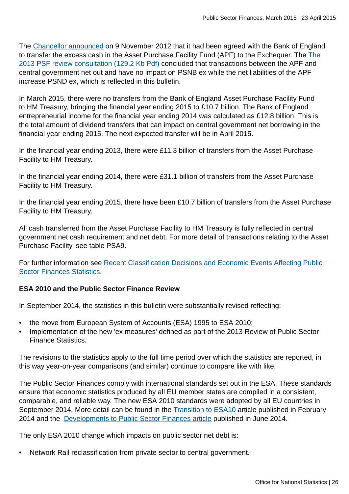The [Chancellor announced](https://www.gov.uk/government/news/changes-to-cash-management-operations) on 9 November 2012 that it had been agreed with the Bank of England to transfer the excess cash in the Asset Purchase Facility Fund (APF) to the Exchequer. The [The](http://www.ons.gov.uk:80/ons/guide-method/method-quality/specific/economy/public-sector-finances/2013-review-of-public-sector-finance-statistics---consultation-response.pdf) [2013 PSF review consultation \(129.2 Kb Pdf\)](http://www.ons.gov.uk:80/ons/guide-method/method-quality/specific/economy/public-sector-finances/2013-review-of-public-sector-finance-statistics---consultation-response.pdf) concluded that transactions between the APF and central government net out and have no impact on PSNB ex while the net liabilities of the APF increase PSND ex, which is reflected in this bulletin.

In March 2015, there were no transfers from the Bank of England Asset Purchase Facility Fund to HM Treasury, bringing the financial year ending 2015 to £10.7 billion. The Bank of England entrepreneurial income for the financial year ending 2014 was calculated as £12.8 billion. This is the total amount of dividend transfers that can impact on central government net borrowing in the financial year ending 2015. The next expected transfer will be in April 2015.

In the financial year ending 2013, there were £11.3 billion of transfers from the Asset Purchase Facility to HM Treasury.

In the financial year ending 2014, there were £31.1 billion of transfers from the Asset Purchase Facility to HM Treasury.

In the financial year ending 2015, there have been £10.7 billion of transfers from the Asset Purchase Facility to HM Treasury.

All cash transferred from the Asset Purchase Facility to HM Treasury is fully reflected in central government net cash requirement and net debt. For more detail of transactions relating to the Asset Purchase Facility, see table PSA9.

For further information see [Recent Classification Decisions and Economic Events Affecting Public](http://www.ons.gov.uk/ons/guide-method/method-quality/specific/economy/public-sector-finances/recent-classification-decisions-and-economic-events-affecting-psf-statistics.pdf) [Sector Finances Statistics](http://www.ons.gov.uk/ons/guide-method/method-quality/specific/economy/public-sector-finances/recent-classification-decisions-and-economic-events-affecting-psf-statistics.pdf).

# **ESA 2010 and the Public Sector Finance Review**

In September 2014, the statistics in this bulletin were substantially revised reflecting:

- the move from European System of Accounts (ESA) 1995 to ESA 2010;
- Implementation of the new 'ex measures' defined as part of the 2013 Review of Public Sector Finance Statistics.

The revisions to the statistics apply to the full time period over which the statistics are reported, in this way year-on-year comparisons (and similar) continue to compare like with like.

The Public Sector Finances comply with international standards set out in the ESA. These standards ensure that economic statistics produced by all EU member states are compiled in a consistent, comparable, and reliable way. The new ESA 2010 standards were adopted by all EU countries in September 2014. More detail can be found in the [Transition to ESA10](http://www.ons.gov.uk:80/ons/guide-method/method-quality/specific/economy/public-sector-statistics/index.html) article published in February 2014 and the [Developments to Public Sector Finances article](http://www.ons.gov.uk:80/ons/guide-method/method-quality/specific/economy/public-sector-statistics/index.html) published in June 2014.

The only ESA 2010 change which impacts on public sector net debt is:

• Network Rail reclassification from private sector to central government.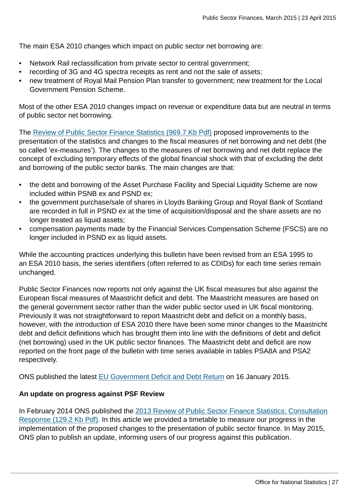The main ESA 2010 changes which impact on public sector net borrowing are:

- Network Rail reclassification from private sector to central government;
- recording of 3G and 4G spectra receipts as rent and not the sale of assets;
- new treatment of Royal Mail Pension Plan transfer to government; new treatment for the Local Government Pension Scheme.

Most of the other ESA 2010 changes impact on revenue or expenditure data but are neutral in terms of public sector net borrowing.

The [Review of Public Sector Finance Statistics \(969.7 Kb Pdf\)](http://www.ons.gov.uk:80/ons/guide-method/method-quality/specific/economy/public-sector-finances/developments-to-public-sector-finance-statistics---february-2014-update.pdf) proposed improvements to the presentation of the statistics and changes to the fiscal measures of net borrowing and net debt (the so called 'ex-measures'). The changes to the measures of net borrowing and net debt replace the concept of excluding temporary effects of the global financial shock with that of excluding the debt and borrowing of the public sector banks. The main changes are that:

- the debt and borrowing of the Asset Purchase Facility and Special Liquidity Scheme are now included within PSNB ex and PSND ex;
- the government purchase/sale of shares in Lloyds Banking Group and Royal Bank of Scotland are recorded in full in PSND ex at the time of acquisition/disposal and the share assets are no longer treated as liquid assets;
- compensation payments made by the Financial Services Compensation Scheme (FSCS) are no longer included in PSND ex as liquid assets.

While the accounting practices underlying this bulletin have been revised from an ESA 1995 to an ESA 2010 basis, the series identifiers (often referred to as CDIDs) for each time series remain unchanged.

Public Sector Finances now reports not only against the UK fiscal measures but also against the European fiscal measures of Maastricht deficit and debt. The Maastricht measures are based on the general government sector rather than the wider public sector used in UK fiscal monitoring. Previously it was not straightforward to report Maastricht debt and deficit on a monthly basis, however, with the introduction of ESA 2010 there have been some minor changes to the Maastricht debt and deficit definitions which has brought them into line with the definitions of debt and deficit (net borrowing) used in the UK public sector finances. The Maastricht debt and deficit are now reported on the front page of the bulletin with time series available in tables PSA8A and PSA2 respectively.

ONS published the latest [EU Government Deficit and Debt Return](http://www.ons.gov.uk:80/ons/rel/psa/maast-supplementary-data-tables/q3-2014/stb---december-2014.html) on 16 January 2015.

### **An update on progress against PSF Review**

In February 2014 ONS published the [2013 Review of Public Sector Finance Statistics: Consultation](http://www.ons.gov.uk:80/ons/guide-method/method-quality/specific/economy/public-sector-finances/2013-review-of-public-sector-finance-statistics---consultation-response.pdf) [Response \(129.2 Kb Pdf\)](http://www.ons.gov.uk:80/ons/guide-method/method-quality/specific/economy/public-sector-finances/2013-review-of-public-sector-finance-statistics---consultation-response.pdf). In this article we provided a timetable to measure our progress in the implementation of the proposed changes to the presentation of public sector finance. In May 2015, ONS plan to publish an update, informing users of our progress against this publication.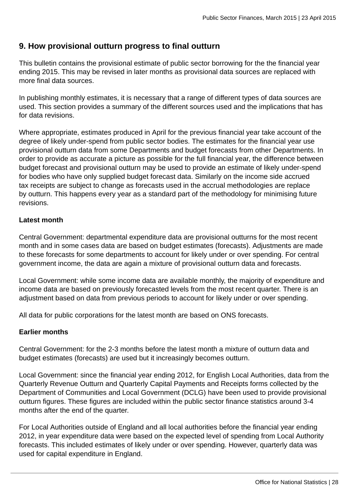# **9. How provisional outturn progress to final outturn**

This bulletin contains the provisional estimate of public sector borrowing for the the financial year ending 2015. This may be revised in later months as provisional data sources are replaced with more final data sources.

In publishing monthly estimates, it is necessary that a range of different types of data sources are used. This section provides a summary of the different sources used and the implications that has for data revisions.

Where appropriate, estimates produced in April for the previous financial year take account of the degree of likely under-spend from public sector bodies. The estimates for the financial year use provisional outturn data from some Departments and budget forecasts from other Departments. In order to provide as accurate a picture as possible for the full financial year, the difference between budget forecast and provisional outturn may be used to provide an estimate of likely under-spend for bodies who have only supplied budget forecast data. Similarly on the income side accrued tax receipts are subject to change as forecasts used in the accrual methodologies are replace by outturn. This happens every year as a standard part of the methodology for minimising future revisions.

# **Latest month**

Central Government: departmental expenditure data are provisional outturns for the most recent month and in some cases data are based on budget estimates (forecasts). Adjustments are made to these forecasts for some departments to account for likely under or over spending. For central government income, the data are again a mixture of provisional outturn data and forecasts.

Local Government: while some income data are available monthly, the majority of expenditure and income data are based on previously forecasted levels from the most recent quarter. There is an adjustment based on data from previous periods to account for likely under or over spending.

All data for public corporations for the latest month are based on ONS forecasts.

# **Earlier months**

Central Government: for the 2-3 months before the latest month a mixture of outturn data and budget estimates (forecasts) are used but it increasingly becomes outturn.

Local Government: since the financial year ending 2012, for English Local Authorities, data from the Quarterly Revenue Outturn and Quarterly Capital Payments and Receipts forms collected by the Department of Communities and Local Government (DCLG) have been used to provide provisional outturn figures. These figures are included within the public sector finance statistics around 3-4 months after the end of the quarter.

For Local Authorities outside of England and all local authorities before the financial year ending 2012, in year expenditure data were based on the expected level of spending from Local Authority forecasts. This included estimates of likely under or over spending. However, quarterly data was used for capital expenditure in England.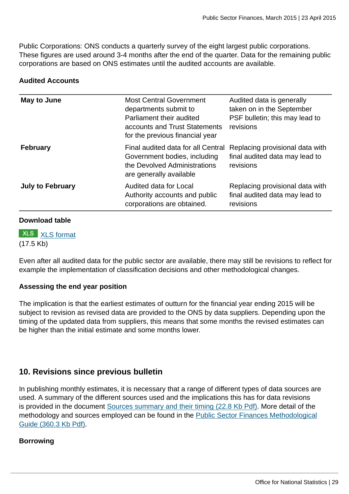Public Corporations: ONS conducts a quarterly survey of the eight largest public corporations. These figures are used around 3-4 months after the end of the quarter. Data for the remaining public corporations are based on ONS estimates until the audited accounts are available.

### **Audited Accounts**

| <b>Most Central Government</b><br>departments submit to<br>Parliament their audited<br>accounts and Trust Statements<br>for the previous financial year | Audited data is generally<br>taken on in the September<br>PSF bulletin; this may lead to<br>revisions |  |  |
|---------------------------------------------------------------------------------------------------------------------------------------------------------|-------------------------------------------------------------------------------------------------------|--|--|
| Final audited data for all Central<br>Government bodies, including<br>the Devolved Administrations<br>are generally available                           | Replacing provisional data with<br>final audited data may lead to<br>revisions                        |  |  |
| Audited data for Local<br>Authority accounts and public<br>corporations are obtained.                                                                   | Replacing provisional data with<br>final audited data may lead to<br>revisions                        |  |  |
|                                                                                                                                                         |                                                                                                       |  |  |

#### **Download table**

**XLS** [XLS format](http://www.ons.gov.uk:80/ons/rel/psa/public-sector-finances/march-2015/prt-audited-accounts.xls) (17.5 Kb)

Even after all audited data for the public sector are available, there may still be revisions to reflect for example the implementation of classification decisions and other methodological changes.

### **Assessing the end year position**

The implication is that the earliest estimates of outturn for the financial year ending 2015 will be subject to revision as revised data are provided to the ONS by data suppliers. Depending upon the timing of the updated data from suppliers, this means that some months the revised estimates can be higher than the initial estimate and some months lower.

# **10. Revisions since previous bulletin**

In publishing monthly estimates, it is necessary that a range of different types of data sources are used. A summary of the different sources used and the implications this has for data revisions is provided in the document [Sources summary and their timing \(22.8 Kb Pdf\)](http://www.ons.gov.uk:80/ons/guide-method/method-quality/specific/economy/public-sector-finances/sources-summary-and-their-timing.pdf). More detail of the methodology and sources employed can be found in the [Public Sector Finances Methodological](http://www.ons.gov.uk:80/ons/guide-method/method-quality/specific/economy/public-sector-finances/monthly-statistics-on-public-sector-finances--a-methodological-guide.pdf) [Guide \(360.3 Kb Pdf\)](http://www.ons.gov.uk:80/ons/guide-method/method-quality/specific/economy/public-sector-finances/monthly-statistics-on-public-sector-finances--a-methodological-guide.pdf).

### **Borrowing**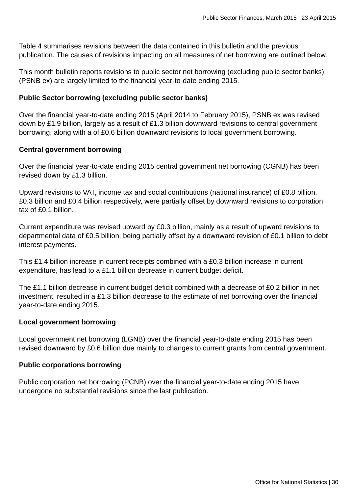Table 4 summarises revisions between the data contained in this bulletin and the previous publication. The causes of revisions impacting on all measures of net borrowing are outlined below.

This month bulletin reports revisions to public sector net borrowing (excluding public sector banks) (PSNB ex) are largely limited to the financial year-to-date ending 2015.

### **Public Sector borrowing (excluding public sector banks)**

Over the financial year-to-date ending 2015 (April 2014 to February 2015), PSNB ex was revised down by £1.9 billion, largely as a result of £1.3 billion downward revisions to central government borrowing, along with a of £0.6 billion downward revisions to local government borrowing.

#### **Central government borrowing**

Over the financial year-to-date ending 2015 central government net borrowing (CGNB) has been revised down by £1.3 billion.

Upward revisions to VAT, income tax and social contributions (national insurance) of £0.8 billion, £0.3 billion and £0.4 billion respectively, were partially offset by downward revisions to corporation tax of £0.1 billion.

Current expenditure was revised upward by £0.3 billion, mainly as a result of upward revisions to departmental data of £0.5 billion, being partially offset by a downward revision of £0.1 billion to debt interest payments.

This £1.4 billion increase in current receipts combined with a £0.3 billion increase in current expenditure, has lead to a £1.1 billion decrease in current budget deficit.

The £1.1 billion decrease in current budget deficit combined with a decrease of £0.2 billion in net investment, resulted in a £1.3 billion decrease to the estimate of net borrowing over the financial year-to-date ending 2015.

### **Local government borrowing**

Local government net borrowing (LGNB) over the financial year-to-date ending 2015 has been revised downward by £0.6 billion due mainly to changes to current grants from central government.

### **Public corporations borrowing**

Public corporation net borrowing (PCNB) over the financial year-to-date ending 2015 have undergone no substantial revisions since the last publication.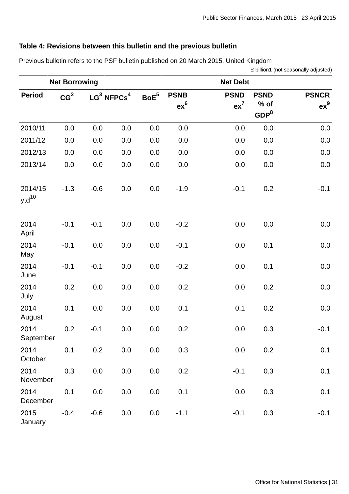# **Table 4: Revisions between this bulletin and the previous bulletin**

Previous bulletin refers to the PSF bulletin published on 20 March 2015, United Kingdom

£ billion1 (not seasonally adjusted)

|                       | <b>Net Borrowing</b> |                           |         |                  | <b>Net Debt</b>       |                       |                                         |                        |  |  |  |  |
|-----------------------|----------------------|---------------------------|---------|------------------|-----------------------|-----------------------|-----------------------------------------|------------------------|--|--|--|--|
| <b>Period</b>         | CG <sup>2</sup>      | $LG^3$ NFPCs <sup>4</sup> |         | $\mathsf{BoE}^5$ | <b>PSNB</b><br>$ex^6$ | <b>PSND</b><br>$ex^7$ | <b>PSND</b><br>% of<br>GDP <sup>8</sup> | <b>PSNCR</b><br>$ex^9$ |  |  |  |  |
| 2010/11               | 0.0                  | 0.0                       | 0.0     | 0.0              | 0.0                   | 0.0                   | 0.0                                     | 0.0                    |  |  |  |  |
| 2011/12               | 0.0                  | 0.0                       | 0.0     | 0.0              | 0.0                   | 0.0                   | 0.0                                     | 0.0                    |  |  |  |  |
| 2012/13               | 0.0                  | 0.0                       | 0.0     | 0.0              | 0.0                   | 0.0                   | 0.0                                     | 0.0                    |  |  |  |  |
| 2013/14               | 0.0                  | 0.0                       | 0.0     | 0.0              | 0.0                   | 0.0                   | 0.0                                     | 0.0                    |  |  |  |  |
| 2014/15<br>$ytd^{10}$ | $-1.3$               | $-0.6$                    | 0.0     | 0.0              | $-1.9$                | $-0.1$                | 0.2                                     | $-0.1$                 |  |  |  |  |
| 2014<br>April         | $-0.1$               | $-0.1$                    | 0.0     | 0.0              | $-0.2$                | 0.0                   | 0.0                                     | 0.0                    |  |  |  |  |
| 2014<br>May           | $-0.1$               | 0.0                       | 0.0     | 0.0              | $-0.1$                | 0.0                   | 0.1                                     | 0.0                    |  |  |  |  |
| 2014<br>June          | $-0.1$               | $-0.1$                    | 0.0     | 0.0              | $-0.2$                | 0.0                   | 0.1                                     | 0.0                    |  |  |  |  |
| 2014<br>July          | 0.2                  | 0.0                       | 0.0     | 0.0              | 0.2                   | 0.0                   | 0.2                                     | 0.0                    |  |  |  |  |
| 2014<br>August        | 0.1                  | 0.0                       | 0.0     | 0.0              | 0.1                   | 0.1                   | 0.2                                     | 0.0                    |  |  |  |  |
| 2014<br>September     | 0.2                  | $-0.1$                    | 0.0     | 0.0              | 0.2                   | 0.0                   | 0.3                                     | $-0.1$                 |  |  |  |  |
| 2014<br>October       | 0.1                  | 0.2                       | 0.0     | $0.0\,$          | 0.3                   | $0.0\,$               | 0.2                                     | 0.1                    |  |  |  |  |
| 2014<br>November      | 0.3                  | 0.0                       | 0.0     | $0.0\,$          | 0.2                   | $-0.1$                | 0.3                                     | $0.1\,$                |  |  |  |  |
| 2014<br>December      | 0.1                  | 0.0                       | 0.0     | 0.0              | 0.1                   | 0.0                   | 0.3                                     | 0.1                    |  |  |  |  |
| 2015<br>January       | $-0.4$               | $-0.6$                    | $0.0\,$ | 0.0              | $-1.1$                | $-0.1$                | 0.3                                     | $-0.1$                 |  |  |  |  |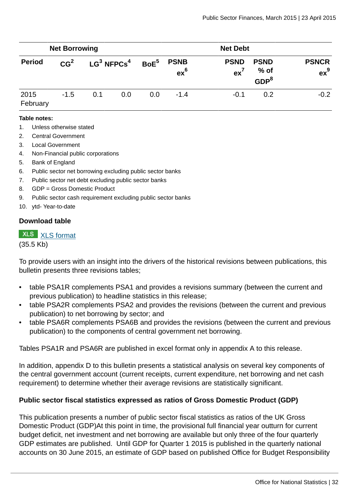|                  | <b>Net Borrowing</b> |                           |     |                  | <b>Net Debt</b>       |                       |                                         |                        |  |  |  |  |
|------------------|----------------------|---------------------------|-----|------------------|-----------------------|-----------------------|-----------------------------------------|------------------------|--|--|--|--|
| <b>Period</b>    | CG <sup>2</sup>      | $LG^3$ NFPCs <sup>4</sup> |     | BoE <sup>5</sup> | <b>PSNB</b><br>$ex^6$ | <b>PSND</b><br>$ex^7$ | <b>PSND</b><br>% of<br>GDP <sup>8</sup> | <b>PSNCR</b><br>$ex^9$ |  |  |  |  |
| 2015<br>February | $-1.5$               | 0.1                       | 0.0 | 0.0              | $-1.4$                | $-0.1$                | 0.2                                     | $-0.2$                 |  |  |  |  |

#### **Table notes:**

- 1. Unless otherwise stated
- 2. Central Government
- 3. Local Government
- 4. Non-Financial public corporations
- 5. Bank of England
- 6. Public sector net borrowing excluding public sector banks
- 7. Public sector net debt excluding public sector banks
- 8. GDP = Gross Domestic Product
- 9. Public sector cash requirement excluding public sector banks
- 10. ytd- Year-to-date

#### **Download table**

# **XLS** [XLS format](http://www.ons.gov.uk:80/ons/rel/psa/public-sector-finances/march-2015/prt-table-4.xls)

(35.5 Kb)

To provide users with an insight into the drivers of the historical revisions between publications, this bulletin presents three revisions tables;

- table PSA1R complements PSA1 and provides a revisions summary (between the current and previous publication) to headline statistics in this release;
- table PSA2R complements PSA2 and provides the revisions (between the current and previous publication) to net borrowing by sector; and
- table PSA6R complements PSA6B and provides the revisions (between the current and previous publication) to the components of central government net borrowing.

Tables PSA1R and PSA6R are published in excel format only in appendix A to this release.

In addition, appendix D to this bulletin presents a statistical analysis on several key components of the central government account (current receipts, current expenditure, net borrowing and net cash requirement) to determine whether their average revisions are statistically significant.

### **Public sector fiscal statistics expressed as ratios of Gross Domestic Product (GDP)**

This publication presents a number of public sector fiscal statistics as ratios of the UK Gross Domestic Product (GDP)At this point in time, the provisional full financial year outturn for current budget deficit, net investment and net borrowing are available but only three of the four quarterly GDP estimates are published. Until GDP for Quarter 1 2015 is published in the quarterly national accounts on 30 June 2015, an estimate of GDP based on published Office for Budget Responsibility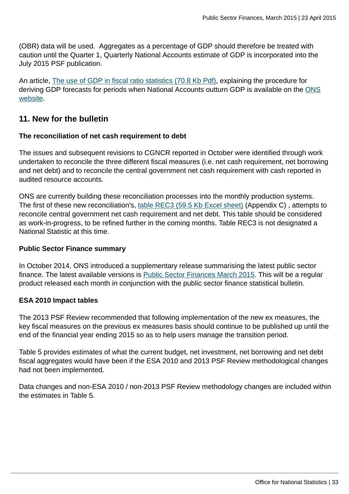(OBR) data will be used. Aggregates as a percentage of GDP should therefore be treated with caution until the Quarter 1, Quarterly National Accounts estimate of GDP is incorporated into the July 2015 PSF publication.

An article, [The use of GDP in fiscal ratio statistics \(70.8 Kb Pdf\)](http://www.ons.gov.uk:80/ons/guide-method/method-quality/specific/economy/public-sector-statistics/the-use-of-gross-domestic-product--gdp--in-fiscal-ratio-statistics.pdf), explaining the procedure for deriving GDP forecasts for periods when National Accounts outturn GDP is available on the [ONS](http://www.ons.gov.uk/ons/index.html) [website](http://www.ons.gov.uk/ons/index.html).

# **11. New for the bulletin**

#### **The reconciliation of net cash requirement to debt**

The issues and subsequent revisions to CGNCR reported in October were identified through work undertaken to reconcile the three different fiscal measures (i.e. net cash requirement, net borrowing and net debt) and to reconcile the central government net cash requirement with cash reported in audited resource accounts.

ONS are currently building these reconciliation processes into the monthly production systems. The first of these new reconciliation's, [table REC3 \(59.5 Kb Excel sheet\)](http://www.ons.gov.uk:80/ons/rel/psa/public-sector-finances/march-2015/rft-c.xls) (Appendix C), attempts to reconcile central government net cash requirement and net debt. This table should be considered as work-in-progress, to be refined further in the coming months. Table REC3 is not designated a National Statistic at this time.

#### **Public Sector Finance summary**

In October 2014, ONS introduced a supplementary release summarising the latest public sector finance. The latest available versions is [Public Sector Finances March 2015.](http://www.ons.gov.uk:80/ons/rel/psa/public-sector-finances/march-2015/sum-public-sector-finances--march-2015.html) This will be a regular product released each month in conjunction with the public sector finance statistical bulletin.

### **ESA 2010 Impact tables**

The 2013 PSF Review recommended that following implementation of the new ex measures, the key fiscal measures on the previous ex measures basis should continue to be published up until the end of the financial year ending 2015 so as to help users manage the transition period.

Table 5 provides estimates of what the current budget, net investment, net borrowing and net debt fiscal aggregates would have been if the ESA 2010 and 2013 PSF Review methodological changes had not been implemented.

Data changes and non-ESA 2010 / non-2013 PSF Review methodology changes are included within the estimates in Table 5.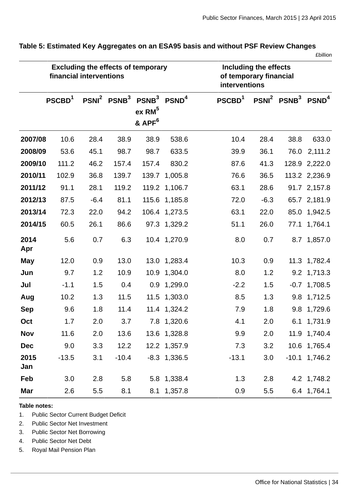|             | financial interventions |        |                                     | <b>Excluding the effects of temporary</b>              |                   | Including the effects<br>of temporary financial<br>interventions |        |                     |                 |  |  |
|-------------|-------------------------|--------|-------------------------------------|--------------------------------------------------------|-------------------|------------------------------------------------------------------|--------|---------------------|-----------------|--|--|
|             | PSCBD <sup>1</sup>      |        | PSNI <sup>2</sup> PSNB <sup>3</sup> | PSNB <sup>3</sup><br>$ex$ RM $5$<br>& APF <sup>6</sup> | PSND <sup>4</sup> | PSCBD <sup>1</sup>                                               |        | $PSNI2 PSNB3 PSND4$ |                 |  |  |
| 2007/08     | 10.6                    | 28.4   | 38.9                                | 38.9                                                   | 538.6             | 10.4                                                             | 28.4   | 38.8                | 633.0           |  |  |
| 2008/09     | 53.6                    | 45.1   | 98.7                                | 98.7                                                   | 633.5             | 39.9                                                             | 36.1   | 76.0                | 2,111.2         |  |  |
| 2009/10     | 111.2                   | 46.2   | 157.4                               | 157.4                                                  | 830.2             | 87.6                                                             | 41.3   |                     | 128.9 2,222.0   |  |  |
| 2010/11     | 102.9                   | 36.8   | 139.7                               | 139.7                                                  | 1,005.8           | 76.6                                                             | 36.5   |                     | 113.2 2,236.9   |  |  |
| 2011/12     | 91.1                    | 28.1   | 119.2                               |                                                        | 119.2 1,106.7     | 63.1                                                             | 28.6   |                     | 91.7 2,157.8    |  |  |
| 2012/13     | 87.5                    | $-6.4$ | 81.1                                |                                                        | 115.6 1,185.8     | 72.0                                                             | $-6.3$ |                     | 65.7 2,181.9    |  |  |
| 2013/14     | 72.3                    | 22.0   | 94.2                                |                                                        | 106.4 1,273.5     | 63.1                                                             | 22.0   |                     | 85.0 1,942.5    |  |  |
| 2014/15     | 60.5                    | 26.1   | 86.6                                |                                                        | 97.3 1,329.2      | 51.1                                                             | 26.0   |                     | 77.1 1,764.1    |  |  |
| 2014<br>Apr | 5.6                     | 0.7    | 6.3                                 |                                                        | 10.4 1,270.9      | 8.0                                                              | 0.7    |                     | 8.7 1,857.0     |  |  |
| <b>May</b>  | 12.0                    | 0.9    | 13.0                                |                                                        | 13.0 1,283.4      | 10.3                                                             | 0.9    |                     | 11.3 1,782.4    |  |  |
| Jun         | 9.7                     | 1.2    | 10.9                                |                                                        | 10.9 1,304.0      | 8.0                                                              | 1.2    |                     | 9.2 1,713.3     |  |  |
| Jul         | $-1.1$                  | 1.5    | 0.4                                 |                                                        | 0.9 1,299.0       | $-2.2$                                                           | 1.5    |                     | $-0.7$ 1,708.5  |  |  |
| Aug         | 10.2                    | 1.3    | 11.5                                |                                                        | 11.5 1,303.0      | 8.5                                                              | 1.3    |                     | 9.8 1,712.5     |  |  |
| <b>Sep</b>  | 9.6                     | 1.8    | 11.4                                |                                                        | 11.4 1,324.2      | 7.9                                                              | 1.8    |                     | 9.8 1,729.6     |  |  |
| Oct         | 1.7                     | 2.0    | 3.7                                 |                                                        | 7.8 1,320.6       | 4.1                                                              | 2.0    |                     | 6.1 1,731.9     |  |  |
| <b>Nov</b>  | 11.6                    | 2.0    | 13.6                                |                                                        | 13.6 1,328.8      | 9.9                                                              | 2.0    |                     | 11.9 1,740.4    |  |  |
| <b>Dec</b>  | 9.0                     | 3.3    | 12.2                                |                                                        | 12.2 1,357.9      | 7.3                                                              | 3.2    |                     | 10.6 1,765.4    |  |  |
| 2015<br>Jan | $-13.5$                 | 3.1    | $-10.4$                             |                                                        | $-8.3$ 1,336.5    | $-13.1$                                                          | 3.0    |                     | $-10.1$ 1,746.2 |  |  |
| Feb         | 3.0                     | 2.8    | 5.8                                 |                                                        | 5.8 1,338.4       | 1.3                                                              | 2.8    |                     | 4.2 1,748.2     |  |  |
| Mar         | 2.6                     | 5.5    | 8.1                                 |                                                        | 8.1 1,357.8       | 0.9                                                              | 5.5    |                     | 6.4 1,764.1     |  |  |

**Table 5: Estimated Key Aggregates on an ESA95 basis and without PSF Review Changes**

£billion

**Table notes:**

1. Public Sector Current Budget Deficit

- 2. Public Sector Net Investment
- 3. Public Sector Net Borrowing
- 4. Public Sector Net Debt
- 5. Royal Mail Pension Plan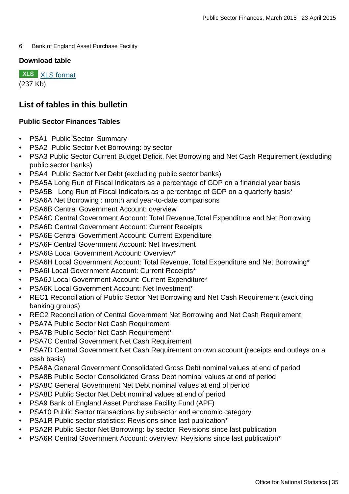6. Bank of England Asset Purchase Facility

#### **Download table**

**XLS** [XLS format](http://www.ons.gov.uk:80/ons/rel/psa/public-sector-finances/march-2015/prt-table-5.xls) (237 Kb)

# **List of tables in this bulletin**

# **Public Sector Finances Tables**

- **PSA1 Public Sector Summary**
- PSA2 Public Sector Net Borrowing: by sector
- PSA3 Public Sector Current Budget Deficit, Net Borrowing and Net Cash Requirement (excluding public sector banks)
- PSA4 Public Sector Net Debt (excluding public sector banks)
- PSA5A Long Run of Fiscal Indicators as a percentage of GDP on a financial year basis
- PSA5B Long Run of Fiscal Indicators as a percentage of GDP on a quarterly basis\*
- PSA6A Net Borrowing : month and year-to-date comparisons
- PSA6B Central Government Account: overview
- PSA6C Central Government Account: Total Revenue,Total Expenditure and Net Borrowing
- PSA6D Central Government Account: Current Receipts
- PSA6E Central Government Account: Current Expenditure
- PSA6F Central Government Account: Net Investment
- PSA6G Local Government Account: Overview\*
- PSA6H Local Government Account: Total Revenue, Total Expenditure and Net Borrowing\*
- PSA6I Local Government Account: Current Receipts\*
- PSA6J Local Government Account: Current Expenditure\*
- PSA6K Local Government Account: Net Investment\*
- REC1 Reconciliation of Public Sector Net Borrowing and Net Cash Requirement (excluding banking groups)
- REC2 Reconciliation of Central Government Net Borrowing and Net Cash Requirement
- PSA7A Public Sector Net Cash Requirement
- PSA7B Public Sector Net Cash Requirement\*
- PSA7C Central Government Net Cash Requirement
- PSA7D Central Government Net Cash Requirement on own account (receipts and outlays on a cash basis)
- PSA8A General Government Consolidated Gross Debt nominal values at end of period
- PSA8B Public Sector Consolidated Gross Debt nominal values at end of period
- PSA8C General Government Net Debt nominal values at end of period
- PSA8D Public Sector Net Debt nominal values at end of period
- PSA9 Bank of England Asset Purchase Facility Fund (APF)
- PSA10 Public Sector transactions by subsector and economic category
- PSA1R Public sector statistics: Revisions since last publication\*
- PSA2R Public Sector Net Borrowing: by sector; Revisions since last publication
- PSA6R Central Government Account: overview; Revisions since last publication\*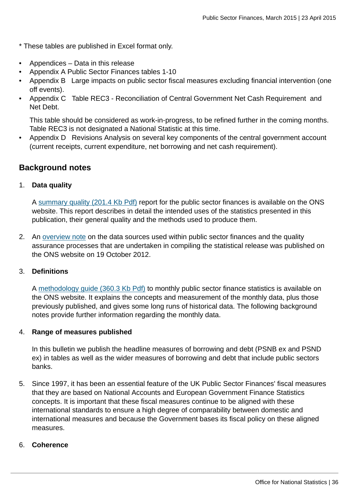- \* These tables are published in Excel format only.
- Appendices Data in this release
- Appendix A Public Sector Finances tables 1-10
- Appendix B Large impacts on public sector fiscal measures excluding financial intervention (one off events).
- Appendix C Table REC3 Reconciliation of Central Government Net Cash Requirement and Net Debt.

This table should be considered as work-in-progress, to be refined further in the coming months. Table REC3 is not designated a National Statistic at this time.

• Appendix D Revisions Analysis on several key components of the central government account (current receipts, current expenditure, net borrowing and net cash requirement).

# **Background notes**

### 1. **Data quality**

A [summary quality \(201.4 Kb Pdf\)](http://www.ons.gov.uk:80/ons/guide-method/method-quality/quality/quality-information/economy/summary-quality-report-for-public-sector-finances.pdf) report for the public sector finances is available on the ONS website. This report describes in detail the intended uses of the statistics presented in this publication, their general quality and the methods used to produce them.

2. An [overview note](http://www.ons.gov.uk:80/ons/guide-method/method-quality/specific/economy/public-sector-statistics/index.html) on the data sources used within public sector finances and the quality assurance processes that are undertaken in compiling the statistical release was published on the ONS website on 19 October 2012.

### 3. **Definitions**

A [methodology guide \(360.3 Kb Pdf\)](http://www.ons.gov.uk:80/ons/guide-method/method-quality/specific/economy/public-sector-finances/monthly-statistics-on-public-sector-finances--a-methodological-guide.pdf) to monthly public sector finance statistics is available on the ONS website. It explains the concepts and measurement of the monthly data, plus those previously published, and gives some long runs of historical data. The following background notes provide further information regarding the monthly data.

#### 4. **Range of measures published**

In this bulletin we publish the headline measures of borrowing and debt (PSNB ex and PSND ex) in tables as well as the wider measures of borrowing and debt that include public sectors banks.

5. Since 1997, it has been an essential feature of the UK Public Sector Finances' fiscal measures that they are based on National Accounts and European Government Finance Statistics concepts. It is important that these fiscal measures continue to be aligned with these international standards to ensure a high degree of comparability between domestic and international measures and because the Government bases its fiscal policy on these aligned measures.

#### 6. **Coherence**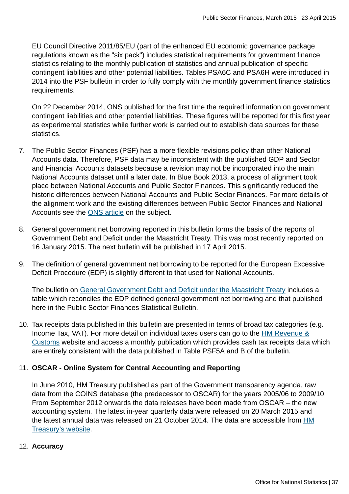EU Council Directive 2011/85/EU (part of the enhanced EU economic governance package regulations known as the "six pack") includes statistical requirements for government finance statistics relating to the monthly publication of statistics and annual publication of specific contingent liabilities and other potential liabilities. Tables PSA6C and PSA6H were introduced in 2014 into the PSF bulletin in order to fully comply with the monthly government finance statistics requirements.

On 22 December 2014, ONS published for the first time the required information on government contingent liabilities and other potential liabilities. These figures will be reported for this first year as experimental statistics while further work is carried out to establish data sources for these statistics.

- 7. The Public Sector Finances (PSF) has a more flexible revisions policy than other National Accounts data. Therefore, PSF data may be inconsistent with the published GDP and Sector and Financial Accounts datasets because a revision may not be incorporated into the main National Accounts dataset until a later date. In Blue Book 2013, a process of alignment took place between National Accounts and Public Sector Finances. This significantly reduced the historic differences between National Accounts and Public Sector Finances. For more details of the alignment work and the existing differences between Public Sector Finances and National Accounts see the [ONS article](http://www.ons.gov.uk:80/ons/rel/psa/improving-government-statistics---aligning-the-public-sector-finances-and-national-accounts-and-other-developments-to-public-sector-statistics/2013/art---psa-improving-government-statistics.html) on the subject.
- 8. General government net borrowing reported in this bulletin forms the basis of the reports of Government Debt and Deficit under the Maastricht Treaty. This was most recently reported on 16 January 2015. The next bulletin will be published in 17 April 2015.
- 9. The definition of general government net borrowing to be reported for the European Excessive Deficit Procedure (EDP) is slightly different to that used for National Accounts.

The bulletin on [General Government Debt and Deficit under the Maastricht Treaty](http://www.ons.gov.uk:80/ons/rel/psa/eu-government-debt-and-deficit-returns/march-2013/stb---march-2013.html) includes a table which reconciles the EDP defined general government net borrowing and that published here in the Public Sector Finances Statistical Bulletin.

10. Tax receipts data published in this bulletin are presented in terms of broad tax categories (e.g. Income Tax, VAT). For more detail on individual taxes users can go to the [HM Revenue &](http://www.ons.gov.uk:80/ons/external-links/other-government-departments/hmt/hm-revenue---customs-website.html) [Customs](http://www.ons.gov.uk:80/ons/external-links/other-government-departments/hmt/hm-revenue---customs-website.html) website and access a monthly publication which provides cash tax receipts data which are entirely consistent with the data published in Table PSF5A and B of the bulletin.

# 11. **OSCAR - Online System for Central Accounting and Reporting**

In June 2010, HM Treasury published as part of the Government transparency agenda, raw data from the COINS database (the predecessor to OSCAR) for the years 2005/06 to 2009/10. From September 2012 onwards the data releases have been made from OSCAR – the new accounting system. The latest in-year quarterly data were released on 20 March 2015 and the latest annual data was released on 21 October 2014. The data are accessible from [HM](https://www.gov.uk/government/collections/hmt-oscar-publishing-from-the-database) [Treasury's website.](https://www.gov.uk/government/collections/hmt-oscar-publishing-from-the-database)

# 12. **Accuracy**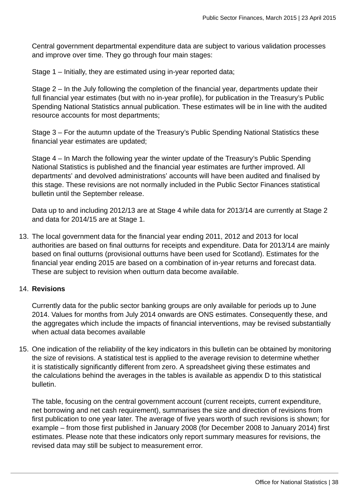Central government departmental expenditure data are subject to various validation processes and improve over time. They go through four main stages:

Stage 1 – Initially, they are estimated using in-year reported data;

Stage 2 – In the July following the completion of the financial year, departments update their full financial year estimates (but with no in-year profile), for publication in the Treasury's Public Spending National Statistics annual publication. These estimates will be in line with the audited resource accounts for most departments;

Stage 3 – For the autumn update of the Treasury's Public Spending National Statistics these financial year estimates are updated;

Stage 4 – In March the following year the winter update of the Treasury's Public Spending National Statistics is published and the financial year estimates are further improved. All departments' and devolved administrations' accounts will have been audited and finalised by this stage. These revisions are not normally included in the Public Sector Finances statistical bulletin until the September release.

Data up to and including 2012/13 are at Stage 4 while data for 2013/14 are currently at Stage 2 and data for 2014/15 are at Stage 1.

13. The local government data for the financial year ending 2011, 2012 and 2013 for local authorities are based on final outturns for receipts and expenditure. Data for 2013/14 are mainly based on final outturns (provisional outturns have been used for Scotland). Estimates for the financial year ending 2015 are based on a combination of in-year returns and forecast data. These are subject to revision when outturn data become available.

### 14. **Revisions**

Currently data for the public sector banking groups are only available for periods up to June 2014. Values for months from July 2014 onwards are ONS estimates. Consequently these, and the aggregates which include the impacts of financial interventions, may be revised substantially when actual data becomes available

15. One indication of the reliability of the key indicators in this bulletin can be obtained by monitoring the size of revisions. A statistical test is applied to the average revision to determine whether it is statistically significantly different from zero. A spreadsheet giving these estimates and the calculations behind the averages in the tables is available as appendix D to this statistical bulletin.

The table, focusing on the central government account (current receipts, current expenditure, net borrowing and net cash requirement), summarises the size and direction of revisions from first publication to one year later. The average of five years worth of such revisions is shown; for example – from those first published in January 2008 (for December 2008 to January 2014) first estimates. Please note that these indicators only report summary measures for revisions, the revised data may still be subject to measurement error.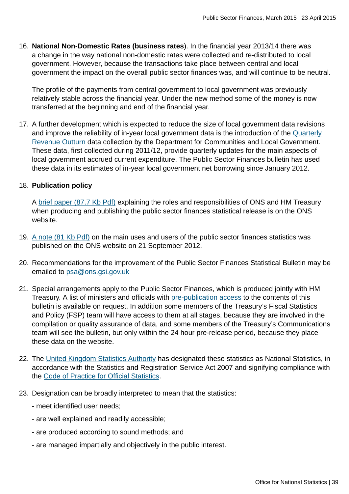16. **National Non-Domestic Rates (business rates**). In the financial year 2013/14 there was a change in the way national non-domestic rates were collected and re-distributed to local government. However, because the transactions take place between central and local government the impact on the overall public sector finances was, and will continue to be neutral.

The profile of the payments from central government to local government was previously relatively stable across the financial year. Under the new method some of the money is now transferred at the beginning and end of the financial year.

17. A further development which is expected to reduce the size of local government data revisions and improve the reliability of in-year local government data is the introduction of the [Quarterly](http://www.ons.gov.uk:80/ons/external-links/other-government-departments/dclg/dclg--revenue-expenditure-and-financing-2011-12.html) [Revenue Outturn](http://www.ons.gov.uk:80/ons/external-links/other-government-departments/dclg/dclg--revenue-expenditure-and-financing-2011-12.html) data collection by the Department for Communities and Local Government. These data, first collected during 2011/12, provide quarterly updates for the main aspects of local government accrued current expenditure. The Public Sector Finances bulletin has used these data in its estimates of in-year local government net borrowing since January 2012.

# 18. **Publication policy**

A [brief paper \(87.7 Kb Pdf\)](http://www.ons.gov.uk:80/ons/guide-method/method-quality/specific/economy/public-sector-finances/sources-and-quality-assurance-procedures.pdf) explaining the roles and responsibilities of ONS and HM Treasury when producing and publishing the public sector finances statistical release is on the ONS website.

- 19. [A note \(81 Kb Pdf\)](http://www.ons.gov.uk:80/ons/guide-method/method-quality/specific/economy/public-sector-finances/users-of-government-finance-statistics.pdf) on the main uses and users of the public sector finances statistics was published on the ONS website on 21 September 2012.
- 20. Recommendations for the improvement of the Public Sector Finances Statistical Bulletin may be emailed to [psa@ons.gsi.gov.uk](mailto:psa@ons.gsi.gov.uk)
- 21. Special arrangements apply to the Public Sector Finances, which is produced jointly with HM Treasury. A list of ministers and officials with [pre-publication access](http://www.ons.gov.uk:80/ons/rel/psa/public-sector-finances/march-2015/pra-psf-march-2015.html) to the contents of this bulletin is available on request. In addition some members of the Treasury's Fiscal Statistics and Policy (FSP) team will have access to them at all stages, because they are involved in the compilation or quality assurance of data, and some members of the Treasury's Communications team will see the bulletin, but only within the 24 hour pre-release period, because they place these data on the website.
- 22. The [United Kingdom Statistics Authority](http://www.ons.gov.uk:80/ons/external-links/stats-authority/statistics-authority-s-website.html) has designated these statistics as National Statistics, in accordance with the Statistics and Registration Service Act 2007 and signifying compliance with the [Code of Practice for Official Statistics](http://www.ons.gov.uk:80/ons/guide-method/the-national-statistics-standard/code-of-practice/index.html).
- 23. Designation can be broadly interpreted to mean that the statistics:
	- meet identified user needs;
	- are well explained and readily accessible;
	- are produced according to sound methods; and
	- are managed impartially and objectively in the public interest.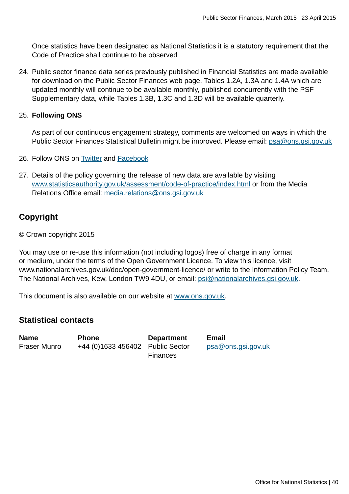Once statistics have been designated as National Statistics it is a statutory requirement that the Code of Practice shall continue to be observed

24. Public sector finance data series previously published in Financial Statistics are made available for download on the Public Sector Finances web page. Tables 1.2A, 1.3A and 1.4A which are updated monthly will continue to be available monthly, published concurrently with the PSF Supplementary data, while Tables 1.3B, 1.3C and 1.3D will be available quarterly.

# 25. **Following ONS**

As part of our continuous engagement strategy, comments are welcomed on ways in which the Public Sector Finances Statistical Bulletin might be improved. Please email: [psa@ons.gsi.gov.uk](mailto:psa@ons.gsi.gov.uk)

- 26. Follow ONS on [Twitter](http://www.ons.gov.uk:80/ons/external-links/social-media/twitter.html) and [Facebook](http://www.ons.gov.uk:80/ons/external-links/social-media/index.html)
- 27. Details of the policy governing the release of new data are available by visiting [www.statisticsauthority.gov.uk/assessment/code-of-practice/index.html](http://www.statisticsauthority.gov.uk/assessment/code-of-practice/index.html) or from the Media Relations Office email: [media.relations@ons.gsi.gov.uk](mailto:media.relations@ons.gsi.gov.uk)

# **Copyright**

© Crown copyright 2015

You may use or re-use this information (not including logos) free of charge in any format or medium, under the terms of the Open Government Licence. To view this licence, visit www.nationalarchives.gov.uk/doc/open-government-licence/ or write to the Information Policy Team, The National Archives, Kew, London TW9 4DU, or email: [psi@nationalarchives.gsi.gov.uk](mailto:psi@nationalarchives.gsi.gov.uk).

This document is also available on our website at [www.ons.gov.uk.](http://www.ons.gov.uk/)

# **Statistical contacts**

**Name Phone Department Email** Fraser Munro +44 (0)1633 456402 Public Sector

**Finances** 

[psa@ons.gsi.gov.uk](mailto:psa@ons.gsi.gov.uk)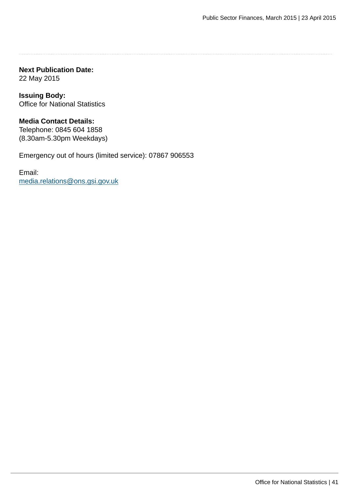**Next Publication Date:** 22 May 2015

**Issuing Body:** Office for National Statistics

**Media Contact Details:** Telephone: 0845 604 1858 (8.30am-5.30pm Weekdays)

Emergency out of hours (limited service): 07867 906553

Email: [media.relations@ons.gsi.gov.uk](mailto:media.relations@ons.gsi.gov.uk)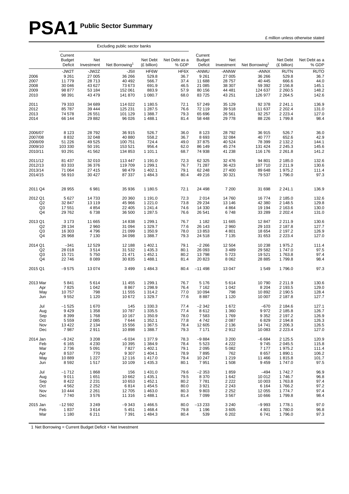# **PSA1 Public Sector Summary**

|                                      |                                                         |                                                         | Excluding public sector banks                             |                                                     |                                              |                                                         |                                                         |                                                           |                                                                     |                                                        |
|--------------------------------------|---------------------------------------------------------|---------------------------------------------------------|-----------------------------------------------------------|-----------------------------------------------------|----------------------------------------------|---------------------------------------------------------|---------------------------------------------------------|-----------------------------------------------------------|---------------------------------------------------------------------|--------------------------------------------------------|
|                                      | Current<br><b>Budget</b><br>Deficit                     | Net<br>Investment                                       | Net Borrowing <sup>1</sup>                                | Net Debt<br>(£ billion)                             | Net Debt as a<br>% GDP                       | Current<br><b>Budget</b><br>Deficit                     | Net<br>Investment                                       | Net Borrowing <sup>1</sup>                                | Net Debt<br>(£ billion)                                             | Net Debt as a<br>% GDP                                 |
| 2006<br>2007<br>2008<br>2009<br>2010 | -JW2T<br>9 2 6 1<br>11779<br>30 046<br>98 877<br>98 391 | -JW2Z<br>27 005<br>28713<br>43 627<br>53 184<br>43 4 79 | -J5II<br>36 266<br>40 492<br>73 673<br>152 061<br>141 870 | HF6W<br>529.8<br>566.7<br>691.9<br>883.9<br>1 080.7 | HF6X<br>36.7<br>37.4<br>46.5<br>57.9<br>68.0 | -ANMU<br>9 2 6 1<br>11 688<br>21 085<br>80 156<br>83725 | -ANNW<br>27 005<br>28 757<br>38 307<br>44 481<br>43 251 | -ANNX<br>36 266<br>40 445<br>59 392<br>124 637<br>126 977 | <b>RUTN</b><br>529.8<br>666.6<br>2 156.8<br>2 2 6 0.5<br>2 2 6 4 .5 | <b>RUTO</b><br>36.7<br>44.0<br>145.1<br>148.2<br>142.6 |
| 2011                                 | 79 333                                                  | 34 689                                                  | 114 022                                                   | 1 180.5                                             | 72.1                                         | 57 249                                                  | 35 129                                                  | 92 378                                                    | 2 2 4 1 . 1                                                         | 136.9                                                  |
| 2012                                 | 85 787                                                  | 39 4 44                                                 | 125 231                                                   | 1 287.5                                             | 76.6                                         | 72 119                                                  | 39 518                                                  | 111 637                                                   | 2 2 0 2.4                                                           | 131.0                                                  |
| 2013                                 | 74 578                                                  | 26 551                                                  | 101 129                                                   | 1 388.7                                             | 79.3                                         | 65 696                                                  | 26 561                                                  | 92 257                                                    | 2 2 2 3.4                                                           | 127.0                                                  |
| 2014                                 | 66 144                                                  | 29 8 82                                                 | 96 0 26                                                   | 1488.1                                              | 81.4                                         | 58 448                                                  | 29 7 78                                                 | 88 226                                                    | 1799.8                                                              | 98.4                                                   |
| 2006/07                              | 8 1 2 3                                                 | 28792                                                   | 36 915                                                    | 526.7                                               | 36.0                                         | 8 1 2 3                                                 | 28 7 9 2                                                | 36 915                                                    | 526.7                                                               | 36.0                                                   |
| 2007/08                              | 8832                                                    | 32 048                                                  | 40 880                                                    | 558.2                                               | 36.7                                         | 8693                                                    | 32 084                                                  | 40 777                                                    | 652.6                                                               | 42.9                                                   |
| 2008/09                              | 51 226                                                  | 49 5 25                                                 | 100 751                                                   | 724.4                                               | 49.0                                         | 37 875                                                  | 40 524                                                  | 78 399                                                    | 2 132.2                                                             | 144.1                                                  |
| 2009/10                              | 103 330                                                 | 50 191                                                  | 153 521                                                   | 956.4                                               | 62.0                                         | 86 149                                                  | 45 274                                                  | 131 424                                                   | 2 2 4 5 . 3                                                         | 145.6                                                  |
| 2010/11                              | 93 291                                                  | 41 562                                                  | 134 853                                                   | 1 101.1                                             | 68.7                                         | 74 938                                                  | 41 238                                                  | 116 176                                                   | 2 2 6 1 . 8                                                         | 141.2                                                  |
| 2011/12                              | 81 437                                                  | 32 010                                                  | 113 447                                                   | 1 191.0                                             | 72.3                                         | 62 325                                                  | 32 476                                                  | 94 801                                                    | 2 185.0                                                             | 132.6                                                  |
| 2012/13                              | 83 333                                                  | 36 376                                                  | 119 709                                                   | 1 2 9 9.1                                           | 76.7                                         | 71 287                                                  | 36 423                                                  | 107 710                                                   | 2 2 1 1 . 9                                                         | 130.6                                                  |
| 2013/14                              | 71 064                                                  | 27 415                                                  | 98 479                                                    | 1 402.1                                             | 79.1                                         | 62 248                                                  | 27 400                                                  | 89 648                                                    | 1975.2                                                              | 111.4                                                  |
| 2014/15                              | 56 910                                                  | 30 4 27                                                 | 87 337                                                    | 1484.3                                              | 80.4                                         | 49 216                                                  | 30 321                                                  | 79 537                                                    | 1796.0                                                              | 97.3                                                   |
| 2011 Q4                              | 28 955                                                  | 6981                                                    | 35 936                                                    | 1 180.5                                             | 72.1                                         | 24 498                                                  | 7 200                                                   | 31 698                                                    | 2 2 4 1 . 1                                                         | 136.9                                                  |
| 2012 Q1                              | 5 6 27                                                  | 14733                                                   | 20 360                                                    | 1 191.0                                             | 72.3                                         | 2014                                                    | 14 760                                                  | 16774                                                     | 2 185.0                                                             | 132.6                                                  |
| Q2                                   | 32 847                                                  | 13 119                                                  | 45 966                                                    | 1 2 2 1 .0                                          | 73.8                                         | 29 234                                                  | 13 146                                                  | 42 380                                                    | 2 148.5                                                             | 129.8                                                  |
| Q <sub>3</sub>                       | 17 551                                                  | 4 8 5 4                                                 | 22 405                                                    | 1 241.4                                             | 74.6                                         | 14 330                                                  | 4 8 6 4                                                 | 19 194                                                    | 2 163.6                                                             | 130.0                                                  |
| Q4                                   | 29 762                                                  | 6738                                                    | 36 500                                                    | 1 287.5                                             | 76.6                                         | 26 541                                                  | 6748                                                    | 33 289                                                    | 2 2 0 2.4                                                           | 131.0                                                  |
| 2013 Q1                              | 3 1 7 3                                                 | 11 665                                                  | 14 838                                                    | 1 2 9 9.1                                           | 76.7                                         | 1 1 8 2                                                 | 11 665                                                  | 12 847                                                    | 2 2 1 1.9                                                           | 130.6                                                  |
| Q2                                   | 28 134                                                  | 2960                                                    | 31 094                                                    | 1 3 2 9.7                                           | 77.6                                         | 26 143                                                  | 2 9 6 0                                                 | 29 103                                                    | 2 187.8                                                             | 127.7                                                  |
| Q3                                   | 16 303                                                  | 4796                                                    | 21 099                                                    | 1 350.9                                             | 78.0                                         | 13853                                                   | 4 8 0 1                                                 | 18 654                                                    | 2 197.2                                                             | 126.9                                                  |
| Q4                                   | 26 968                                                  | 7 1 3 0                                                 | 34 098                                                    | 1 388.7                                             | 79.3                                         | 24 5 18                                                 | 7 1 3 5                                                 | 31 653                                                    | 2 2 2 3.4                                                           | 127.0                                                  |
| 2014 Q1                              | $-341$                                                  | 12 5 29                                                 | 12 188                                                    | 1 402.1                                             | 79.1                                         | $-2266$                                                 | 12 504                                                  | 10 238                                                    | 1975.2                                                              | 111.4                                                  |
| Q2                                   | 28 018                                                  | 3514                                                    | 31 532                                                    | 1 4 3 5 . 3                                         | 80.1                                         | 26 093                                                  | 3 4 8 9                                                 | 29 5 82                                                   | 1747.0                                                              | 97.5                                                   |
| Q <sub>3</sub>                       | 15721                                                   | 5750                                                    | 21 471                                                    | 1 4 5 2.1                                           | 80.2                                         | 13798                                                   | 5723                                                    | 19521                                                     | 1763.8                                                              | 97.4                                                   |
| Q4                                   | 22 746                                                  | 8 0 8 9                                                 | 30 835                                                    | 1488.1                                              | 81.4                                         | 20 823                                                  | 8 0 6 2                                                 | 28 8 85                                                   | 1799.8                                                              | 98.4                                                   |
| 2015 Q1                              | $-9575$                                                 | 13 0 74                                                 | 3 4 9 9                                                   | 1484.3                                              | 80.4                                         | $-11498$                                                | 13 047                                                  | 1549                                                      | 1796.0                                                              | 97.3                                                   |
| 2013 Mar                             | 5841                                                    | 5614                                                    | 11 455                                                    | 1 2 9 9.1                                           | 76.7                                         | 5 1 7 6                                                 | 5614                                                    | 10790                                                     | 2 2 1 1.9                                                           | 130.6                                                  |
| Apr                                  | 7825                                                    | 1 0 4 2                                                 | 8867                                                      | 1 2 9 8.9                                           | 76.4                                         | 7 1 6 2                                                 | 1 0 4 2                                                 | 8 2 0 4                                                   | 2 193.5                                                             | 129.0                                                  |
| May                                  | 10757                                                   | 798                                                     | 11 555                                                    | 1 3 1 4 .2                                          | 77.0                                         | 10 094                                                  | 798                                                     | 10892                                                     | 2 190.5                                                             | 128.4                                                  |
| Jun                                  | 9552                                                    | 1 1 2 0                                                 | 10 672                                                    | 1 3 2 9.7                                           | 77.6                                         | 8887                                                    | 1 1 2 0                                                 | 10 007                                                    | 2 187.8                                                             | 127.7                                                  |
| Jul                                  | $-1525$                                                 | 1670                                                    | 145                                                       | 1 3 3 0 . 3                                         | 77.4                                         | $-2342$                                                 | 1672                                                    | $-670$                                                    | 2 184.6                                                             | 127.1                                                  |
| Aug                                  | 9429                                                    | 1 3 5 8                                                 | 10787                                                     | 1 3 3 5 . 5                                         | 77.4                                         | 8612                                                    | 1 3 6 0                                                 | 9972                                                      | 2 185.8                                                             | 126.7                                                  |
| Sep                                  | 8 3 9 9                                                 | 1768                                                    | 10 167                                                    | 1 350.9                                             | 78.0                                         | 7583                                                    | 1769                                                    | 9 3 5 2                                                   | 2 197.2                                                             | 126.9                                                  |
| Oct                                  | 5 5 5 9                                                 | 2085                                                    | 7644                                                      | 1 3 5 2.1                                           | 77.8                                         | 4742                                                    | 2 0 8 7                                                 | 6829                                                      | 2 194.8                                                             | 126.3                                                  |
| Nov                                  | 13 4 22                                                 | 2 1 3 4                                                 | 15 556                                                    | 1 3 6 7 .5                                          | 78.4                                         | 12 605                                                  | 2 1 3 6                                                 | 14741                                                     | 2 2 0 6.3                                                           | 126.5                                                  |
| Dec                                  | 7987                                                    | 2911                                                    | 10898                                                     | 1 388.7                                             | 79.3                                         | 7 1 7 1                                                 | 2912                                                    | 10 083                                                    | 2 2 2 3 . 4                                                         | 127.0                                                  |
| 2014 Jan                             | $-9242$                                                 | 3 2 0 8                                                 | $-6034$                                                   | 1 377.9                                             | 78.3                                         | $-9884$                                                 | 3 200                                                   | $-6684$                                                   | 2 125.5                                                             | 120.9                                                  |
| Feb                                  | 6 1 6 5                                                 | 4 2 3 0                                                 | 10 395                                                    | 1 3 8 4 .9                                          | 78.4                                         | 5 5 2 3                                                 | 4 2 2 2                                                 | 9745                                                      | 2 045.5                                                             | 115.8                                                  |
| Mar                                  | 2736                                                    | 5 0 9 1                                                 | 7827                                                      | 1 402.1                                             | 79.1                                         | 2 0 9 5                                                 | 5 0 8 2                                                 | 7 1 7 7                                                   | 1975.2                                                              | 111.4                                                  |
| Apr                                  | 8537                                                    | 770                                                     | 9 3 0 7                                                   | 1 4 0 4 .1                                          | 78.9                                         | 7895                                                    | 762                                                     | 8657                                                      | 1890.1                                                              | 106.2                                                  |
| May                                  | 10889                                                   | 1 2 2 7                                                 | 12 116                                                    | 1417.0                                              | 79.4                                         | 10 247                                                  | 1 2 1 9                                                 | 11 4 66                                                   | 1815.8                                                              | 101.7                                                  |
| Jun                                  | 8592                                                    | 1517                                                    | 10 109                                                    | 1 4 3 5 . 3                                         | 80.1                                         | 7951                                                    | 1508                                                    | 9 4 5 9                                                   | 1747.0                                                              | 97.5                                                   |
| Jul                                  | $-1712$                                                 | 1868                                                    | 156                                                       | 1431.0                                              | 79.6                                         | $-2353$                                                 | 1859                                                    | $-494$                                                    | 1742.7                                                              | 96.9                                                   |
| Aug                                  | 9011                                                    | 1651                                                    | 10 662                                                    | 1435.1                                              | 79.5                                         | 8 3 7 0                                                 | 1 6 4 2                                                 | 10 012                                                    | 1746.7                                                              | 96.8                                                   |
| Sep                                  | 8 4 2 2                                                 | 2 2 3 1                                                 | 10 653                                                    | 1 4 5 2.1                                           | 80.2                                         | 7781                                                    | 2 2 2 2                                                 | 10 003                                                    | 1763.8                                                              | 97.4                                                   |
| Oct                                  | 4562                                                    | 2 2 5 2                                                 | 6814                                                      | 1454.5                                              | 80.0                                         | 3921                                                    | 2 2 4 3                                                 | 6 1 6 4                                                   | 1766.2                                                              | 97.2                                                   |
| Nov                                  | 10 444                                                  | 2 2 6 1                                                 | 12 705                                                    | 1463.0                                              | 80.3                                         | 9803                                                    | 2 2 5 2                                                 | 12 055                                                    | 1774.7                                                              | 97.4                                                   |
| Dec                                  | 7740                                                    | 3576                                                    | 11 316                                                    | 1488.1                                              | 81.4                                         | 7 0 9 9                                                 | 3567                                                    | 10 666                                                    | 1799.8                                                              | 98.4                                                   |
| 2015 Jan                             | $-12592$                                                | 3 2 4 9                                                 | $-9343$                                                   | 1466.5                                              | 80.0                                         | $-13233$                                                | 3 2 4 0                                                 | $-9993$                                                   | 1778.1                                                              | 97.0                                                   |
| Feb                                  | 1837                                                    | 3614                                                    | 5451                                                      | 1468.4                                              | 79.8                                         | 1 1 9 6                                                 | 3605                                                    | 4 8 0 1                                                   | 1780.0                                                              | 96.8                                                   |
| Mar                                  | 1 1 8 0                                                 | 6211                                                    | 7 3 9 1                                                   | 1 4 8 4 . 3                                         | 80.4                                         | 539                                                     | 6 20 2                                                  | 6741                                                      | 1796.0                                                              | 97.3                                                   |

1 Net Borrowing = Current Budget Deficit + Net Investment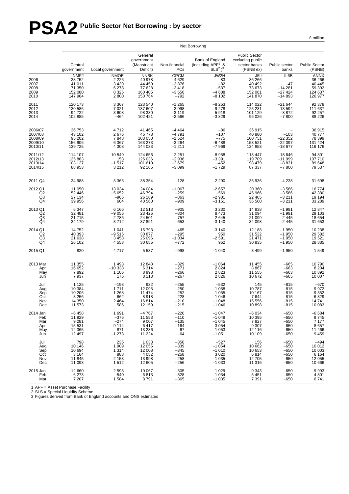# **PSA2 Public Sector Net Borrowing : by sector**

£ million

|                                                               |                                                             | Net Borrowing                                             |                                                            |                                                             |                                                                           |                                                                       |                                                          |                                                           |  |  |  |  |  |  |
|---------------------------------------------------------------|-------------------------------------------------------------|-----------------------------------------------------------|------------------------------------------------------------|-------------------------------------------------------------|---------------------------------------------------------------------------|-----------------------------------------------------------------------|----------------------------------------------------------|-----------------------------------------------------------|--|--|--|--|--|--|
|                                                               | Central<br>government                                       | Local government                                          | General<br>government<br>(Maastricht<br>Deficit)           | Non-financial<br>PCs                                        | Bank of England<br>(including APF <sup>1</sup> &<br>$SLS2$ ) <sup>3</sup> | <b>Public Sector</b><br>excluding public<br>sector banks<br>(PSNB ex) | Public sector<br>banks                                   | <b>Public Sector</b><br>(PSNB)                            |  |  |  |  |  |  |
| 2006<br>2007<br>2008<br>2009<br>2010                          | -NMFJ<br>38752<br>41 011<br>71 350<br>152 080<br>147 964    | -NMOE<br>2 2 2 6<br>3 4 3 9<br>6 2 7 8<br>8 3 2 5<br>2800 | -NNBK<br>40 978<br>44 450<br>77 628<br>160 405<br>150 764  | -CPCM<br>$-4629$<br>$-3876$<br>$-3418$<br>$-3656$<br>$-792$ | -JW2H<br>$-83$<br>$-82$<br>$-537$<br>$-4688$<br>$-8102$                   | $-J5II$<br>36 266<br>40 492<br>73 673<br>152 061<br>141 870           | $-IL6B$<br>$-47$<br>$-14281$<br>$-27424$<br>$-14893$     | -ANNX<br>36 266<br>40 445<br>59 392<br>124 637<br>126 977 |  |  |  |  |  |  |
| 2011<br>2012<br>2013<br>2014                                  | 120 173<br>130 586<br>94 722<br>102 885                     | 3 3 6 7<br>7 0 21<br>3608<br>$-464$                       | 123 540<br>137 607<br>98 330<br>102 421                    | $-1265$<br>$-3098$<br>$-3119$<br>$-2566$                    | $-8253$<br>$-9278$<br>5918<br>$-3829$                                     | 114 022<br>125 231<br>101 129<br>96 0 26                              | $-21644$<br>$-13594$<br>$-8872$<br>$-7800$               | 92 378<br>111 637<br>92 257<br>88 226                     |  |  |  |  |  |  |
| 2006/07<br>2007/08<br>2008/09<br>2009/10<br>2010/11           | 36 753<br>43 102<br>95 202<br>156 906<br>139 725            | 4712<br>2676<br>7848<br>6 3 6 7<br>4 3 0 8                | 41 465<br>45 778<br>103 050<br>163 273<br>144 033          | $-4464$<br>$-4791$<br>$-1524$<br>$-3264$<br>$-1211$         | $-86$<br>$-107$<br>$-775$<br>$-6488$<br>$-7969$                           | 36 915<br>40 880<br>100 751<br>153 521<br>134 853                     | $-103$<br>$-22352$<br>$-22097$<br>$-18677$               | 36915<br>40777<br>78 399<br>131 424<br>116 176            |  |  |  |  |  |  |
| 2011/12<br>2012/13<br>2013/14<br>2014/15                      | 114 107<br>125 883<br>103 127<br>88 953                     | 10 549<br>153<br>$-1517$<br>3 2 1 2                       | 124 656<br>126 036<br>101 610<br>92 165                    | $-2251$<br>$-2936$<br>$-2679$<br>$-3099$                    | $-8958$<br>$-3391$<br>$-452$<br>$-1729$                                   | 113 447<br>119 709<br>98 479<br>87 337                                | $-18646$<br>$-11999$<br>$-8831$<br>$-7800$               | 94 801<br>107710<br>89 648<br>79 537                      |  |  |  |  |  |  |
| 2011 Q4                                                       | 34 988                                                      | 3 3 6 6                                                   | 38 354                                                     | $-128$                                                      | $-2290$                                                                   | 35 936                                                                | $-4238$                                                  | 31 698                                                    |  |  |  |  |  |  |
| 2012 Q1<br>Q <sub>2</sub><br>Q3<br>Q4                         | 11 050<br>52 446<br>27 134<br>39 956                        | 13 0 34<br>$-5652$<br>$-965$<br>604                       | 24 084<br>46794<br>26 169<br>40 560                        | $-1067$<br>$-259$<br>$-863$<br>$-909$                       | $-2657$<br>$-569$<br>$-2901$<br>$-3151$                                   | 20 360<br>45 966<br>22 405<br>36 500                                  | $-3586$<br>$-3586$<br>$-3211$<br>$-3211$                 | 16774<br>42 380<br>19 194<br>33 289                       |  |  |  |  |  |  |
| 2013 Q1<br>Q <sub>2</sub><br>Q3<br>Q4                         | 6 3 4 7<br>32 481<br>21 7 1 5<br>34 179                     | 6 1 6 6<br>$-9056$<br>2786<br>3712                        | 12 5 13<br>23 4 25<br>24 501<br>37 891                     | $-905$<br>$-804$<br>$-757$<br>$-653$                        | 3 2 3 0<br>8473<br>$-2645$<br>$-3140$                                     | 14 8 38<br>31 094<br>21 099<br>34 098                                 | $-1991$<br>$-1991$<br>$-2445$<br>$-2445$                 | 12847<br>29 103<br>18 654<br>31 653                       |  |  |  |  |  |  |
| 2014 Q1<br>Q <sub>2</sub><br>Q <sub>3</sub><br>Q <sub>4</sub> | 14752<br>40 393<br>21 638<br>26 102                         | 1 0 4 1<br>$-9516$<br>3 4 5 8<br>4 5 5 3                  | 15 793<br>30 877<br>25 096<br>30 655                       | $-465$<br>$-295$<br>$-1034$<br>$-772$                       | $-3140$<br>950<br>$-2591$<br>952                                          | 12 188<br>31 532<br>21 471<br>30 835                                  | $-1950$<br>$-1950$<br>$-1950$<br>$-1950$                 | 10 238<br>29 5 82<br>19521<br>28 8 85                     |  |  |  |  |  |  |
| 2015 Q1                                                       | 820                                                         | 4717                                                      | 5 5 3 7                                                    | $-998$                                                      | $-1040$                                                                   | 3 4 9 9                                                               | $-1950$                                                  | 1549                                                      |  |  |  |  |  |  |
| 2013 Mar<br>Apr<br>May<br>Jun                                 | 11 355<br>16 652<br>7892<br>7937                            | 1 4 9 3<br>$-10338$<br>1 1 0 6<br>176                     | 12 848<br>6 3 1 4<br>8998<br>8 1 1 3                       | $-329$<br>$-271$<br>$-266$<br>$-267$                        | $-1064$<br>2824<br>2823<br>2826                                           | 11 455<br>8867<br>11 555<br>10 672                                    | $-665$<br>$-663$<br>$-663$<br>$-665$                     | 10790<br>8 2 0 4<br>10892<br>10 007                       |  |  |  |  |  |  |
| Jul<br>Aug<br>Sep<br>Oct<br>Nov<br>Dec                        | 1 1 2 5<br>10 384<br>10 206<br>8 2 5 6<br>14 3 50<br>11 573 | $-193$<br>1711<br>1 2 6 8<br>662<br>2 4 6 4<br>586        | 932<br>12 095<br>11 474<br>8918<br>16814<br>12 159         | $-255$<br>$-250$<br>$-252$<br>$-228$<br>$-210$<br>$-215$    | $-532$<br>$-1058$<br>$-1055$<br>$-1046$<br>$-1048$<br>$-1046$             | 145<br>10787<br>10 167<br>7644<br>15 556<br>10898                     | $-815$<br>$-815$<br>$-815$<br>$-815$<br>$-815$<br>$-815$ | $-670$<br>9 972<br>9 352<br>6829<br>14741<br>10 083       |  |  |  |  |  |  |
| 2014 Jan<br>Feb<br>Mar<br>Apr<br>May<br>Jun                   | $-6458$<br>11 929<br>9 2 8 1<br>15 531<br>12 3 65<br>12 497 | 1691<br>$-376$<br>$-274$<br>-9 114<br>871<br>$-1273$      | $-4767$<br>11 553<br>9007<br>6417<br>13 236<br>11 224      | $-220$<br>$-110$<br>$-135$<br>$-164$<br>$-67$<br>$-64$      | $-1047$<br>$-1048$<br>$-1045$<br>3 0 5 4<br>$-1053$<br>$-1051$            | $-6034$<br>10 395<br>7827<br>9 3 0 7<br>12 116<br>10 109              | $-650$<br>$-650$<br>$-650$<br>$-650$<br>$-650$<br>$-650$ | $-6664$<br>9745<br>7 177<br>8 657<br>11 466<br>9459       |  |  |  |  |  |  |
| Jul<br>Aug<br>Sep<br>Oct<br>Nov<br>Dec                        | 798<br>10 146<br>10 694<br>3 1 6 4<br>11 845<br>11 093      | 235<br>1 909<br>1 3 1 4<br>888<br>2 1 5 3<br>1512         | 1 0 3 3<br>12 055<br>12 008<br>4 0 5 2<br>13 998<br>12 605 | $-350$<br>$-339$<br>$-345$<br>$-258$<br>$-258$<br>$-256$    | $-527$<br>$-1054$<br>$-1010$<br>3 0 2 0<br>$-1035$<br>$-1033$             | 156<br>10 662<br>10 653<br>6814<br>12 705<br>11 316                   | $-650$<br>$-650$<br>$-650$<br>$-650$<br>$-650$<br>$-650$ | $-494$<br>10 012<br>10 003<br>6 1 6 4<br>12 055<br>10 666 |  |  |  |  |  |  |
| 2015 Jan<br>Feb<br>Mar                                        | $-12660$<br>6 2 7 3<br>7 207                                | 2 5 9 3<br>540<br>1584                                    | $-100067$<br>6813<br>8791                                  | $-305$<br>$-328$<br>$-365$                                  | 1 0 2 9<br>$-1034$<br>$-1035$                                             | $-9343$<br>5 4 5 1<br>7 3 9 1                                         | $-650$<br>$-650$<br>$-650$                               | $-9993$<br>4801<br>6741                                   |  |  |  |  |  |  |

1 APF = Asset Purchase Facility

2 SLS = Special Liquidity Scheme.

3 Figures derived from Bank of England accounts and ONS estimates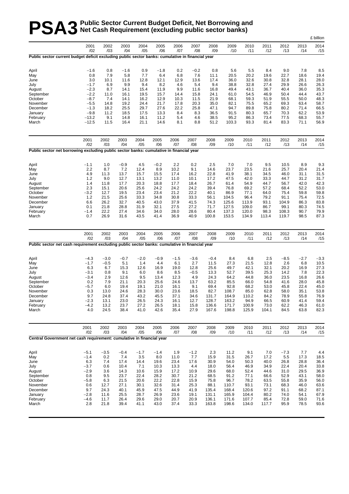# **PSA3** Public Sector Current Budget Deficit, Net Borrowing and<br> **PSA3** Net Cash Requirement (excluding public sector banks) **Net Cash Requirement (excluding public sector banks)**

|                                                                                                  |                  |               |               |               |               |              |               |              |                |              |              |               |              | £ billion    |
|--------------------------------------------------------------------------------------------------|------------------|---------------|---------------|---------------|---------------|--------------|---------------|--------------|----------------|--------------|--------------|---------------|--------------|--------------|
|                                                                                                  | 2001<br>/02      | 2002<br>/03   | 2003<br>/04   | 2004<br>/05   | 2005<br>/06   | 2006<br>/07  | 2007<br>/08   | 2008<br>/09  | 2009<br>/10    | 2010<br>/11  | 2011<br>/12  | 2012<br>/13   | 2013<br>/14  | 2014<br>/15  |
| Public sector current budget deficit excluding public sector banks: cumulative in financial year |                  |               |               |               |               |              |               |              |                |              |              |               |              |              |
| April                                                                                            | $-1.6$           | 0.8           | $-1.6$        | 0.9           | $-1.8$        | 0.2          | $-0.2$        | 0.8          | 5.6            | 5.5          | 8.4          | 9.0           | 7.8          | 8.5          |
| May                                                                                              | 0.8              | 7.9           | 5.8           | 7.7           | 6.4           | 6.8          | 7.6           | 11.1         | 20.5           | 20.2         | 19.6         | 22.7          | 18.6         | 19.4         |
| June                                                                                             | 3.0              | 10.1          | 11.6          | 12.8          | 12.1          | 12.9         | 13.6          | 17.4         | 36.0           | 32.6         | 30.8         | 32.8          | 28.1         | 28.0         |
| July                                                                                             | $-1.7$           | 6.9           | 9.9           | 9.4           | 8.2           | 4.6          | 5.4           | 9.4          | 38.8           | 32.8         | 27.4         | 29.9          | 26.6         | 26.3         |
| August                                                                                           | $-2.3$           | 8.7           | 14.1          | 15.4          | 11.9          | 9.9          | 11.6          | 16.8         | 49.4           | 43.1         | 36.7         | 40.4          | 36.0         | 35.3         |
| September                                                                                        | $-2.2$           | 11.0          | 16.1          | 19.5          | 15.7          | 14.4         | 15.8          | 24.1         | 61.0           | 54.5         | 46.9         | 50.4          | 44.4         | 43.7         |
| October<br>November                                                                              | $-8.7$<br>-5.5   | 7.4<br>14.8   | 14.1<br>19.2  | 16.2<br>24.4  | 12.9<br>21.7  | 10.3<br>17.8 | 11.5<br>20.3  | 21.9<br>35.0 | 68.1<br>82.1   | 59.3<br>75.5 | 51.9<br>65.2 | 55.5<br>69.3  | 50.0<br>63.4 | 48.3<br>58.7 |
| December                                                                                         | $-1.3$           | 18.2          | 25.5          | 29.7          | 27.6          | 22.2         | 25.8          | 47.1         | 94.7           | 89.8         | 75.8         | 80.2          | 71.4         | 66.5         |
| January                                                                                          | $-9.8$           | 11.2          | 18.5          | 17.5          | 13.3          | 8.4          | 8.3           | 36.5         | 91.5           | 80.3         | 65.7         | 70.3          | 62.2         | 53.9         |
| February                                                                                         | $-13.2$          | 9.1           | 14.8          | 16.1          | 11.2          | 5.4          | 4.6           | 38.5         | 95.2           | 86.3         | 73.4         | 77.5          | 68.3         | 55.7         |
| March                                                                                            | $-12.5$          | 11.5          | 16.4          | 21.1          | 14.6          | 8.1          | 8.8           | 51.2         | 103.3          | 93.3         | 81.4         | 83.3          | 71.1         | 56.9         |
|                                                                                                  | 2001             | 2002          | 2003          | 2004          | 2005          | 2006         | 2007          | 2008         | 2009           | 2010         | 2011         | 2012          | 2013         | 2014         |
| Public sector net borrowing excluding public sector banks: cumulative in financial year          | /02              | /03           | /04           | /05           | /06           | /07          | /08           | /09          | /10            | /11          | /12          | /13           | /14          | /15          |
|                                                                                                  |                  |               |               |               |               |              |               |              |                |              |              |               |              |              |
| April                                                                                            | $-1.1$           | 1.0           | $-0.9$        | 4.5           | $-0.2$        | 2.2          | 0.2           | 2.5          | 7.0            | 7.0          | 9.5          | 10.5          | 8.9          | 9.3          |
| May                                                                                              | 2.2              | 8.7           | 7.2           | 12.4          | 8.9           | 10.2         | 9.1           | 14.6         | 23.7           | 23.5         | 21.6         | 25.7          | 20.4         | 21.4         |
| June                                                                                             | 4.9              | 11.3          | 13.7          | 15.7          | 15.5          | 17.4         | 16.2          | 22.8         | 41.9           | 38.1         | 34.5         | 46.0          | 31.1         | 31.5         |
| July                                                                                             | 1.2<br>1.4       | 9.0<br>11.8   | 12.7<br>17.7  | 13.1<br>20.3  | 13.2<br>18.8  | 11.0<br>17.7 | 10.1<br>18.4  | 17.2<br>26.7 | 47.5<br>61.4   | 42.0<br>54.9 | 33.3<br>44.7 | 44.7<br>56.7  | 31.2<br>42.0 | 31.7<br>42.3 |
| August<br>September                                                                              | 2.3              | 15.1          | 20.6          | 25.6          | 24.2          | 24.2         | 24.2          | 39.4         | 76.8           | 69.2         | 57.2         | 68.4          | 52.2         | 53.0         |
| October                                                                                          | -3.2             | 12.7          | 19.5          | 23.4          | 23.4          | 21.2         | 22.2          | 40.1         | 86.9           | 77.1         | 64.0         | 75.4          | 59.8         | 59.8         |
| November                                                                                         | 1.2              | 21.5          | 25.6          | 33.3          | 34.8          | 30.8         | 33.3          | 56.1         | 104.5          | 96.4         | 79.2         | 91.1          | 75.4         | 72.5         |
| December                                                                                         | 6.6              | 26.2          | 32.7          | 40.5          | 43.0          | 37.9         | 41.5          | 74.3         | 125.6          | 113.9        | 93.1         | 104.9         | 86.3         | 83.8         |
| January                                                                                          | 0.1              | 21.8          | 28.8          | 31.9          | 32.1          | 27.5         | 27.2          | 71.7         | 127.5          | 109.0        | 86.7         | 99.1          | 80.3         | 74.5         |
| February                                                                                         | $-1.4$           | 22.2          | 27.4          | 34.6          | 34.0          | 28.0         | 28.6          | 80.4         | 137.3          | 120.0        | 98.3         | 108.3         | 90.7         | 79.9         |
| March                                                                                            | 0.7              | 26.9          | 31.6          | 43.5          | 41.4          | 36.9         | 40.9          | 100.8        | 153.5          | 134.9        | 113.4        | 119.7         | 98.5         | 87.3         |
|                                                                                                  | 2001<br>/02      | 2002<br>/03   | 2003<br>/04   | 2004<br>/05   | 2005<br>/06   | 2006<br>/07  | 2007<br>/08   | 2008<br>/09  | 2009<br>/10    | 2010<br>/11  | 2011<br>/12  | 2012<br>/13   | 2013<br>/14  | 2014<br>/15  |
| Public sector net cash requirement excluding public sector banks: cumulative in financial year   |                  |               |               |               |               |              |               |              |                |              |              |               |              |              |
| April                                                                                            | $-4.3$           | $-3.0$        | $-0.7$        | $-2.0$        | $-0.9$        | $-1.5$       | $-3.6$        | $-0.4$       | 8.4            | 6.8          | 2.5          | $-8.5$        | $-2.7$       | $-3.3$       |
| May                                                                                              | $-1.7$           | $-0.5$        | 5.1           | 1.4           | 4.4           | 6.1          | 2.7           | 11.5         | 27.3           | 21.5         | 12.8         | 2.6           | 6.8          | 10.5         |
| June                                                                                             | 6.3              | 6.7           | 15.3          | 12.6          | 16.9          | 19.0         | 12.8          | 25.6         | 49.7           | 42.1         | 32.1         | 20.2          | 16.9         | 27.3         |
| July                                                                                             | $-3.1$           | 0.8           | 9.1           | 6.0           | 8.6           | 8.5          | $-0.5$        | 13.3         | 52.7           | 39.5         | 25.3         | 14.2          | 7.8          | 22.3         |
| August                                                                                           | $-3.4$           | 2.9           | 12.6          | 9.5           | 13.4          | 12.3         | 4.9           | 24.3         | 64.2           | 44.8         | 36.0         | 23.5          | 16.8         | 26.6         |
| September                                                                                        | 0.2              | 7.9           | 21.1          | 20.3          | 25.6          | 24.6         | 13.7          | 63.2         | 85.5           | 66.0         | 54.8         | 41.6          | 28.0         | 45.8         |
| October                                                                                          | $-5.7$<br>0.3    | 6.0<br>13.0   | 19.4<br>24.6  | 19.1<br>28.3  | 21.0<br>30.0  | 16.1<br>23.6 | 9.1<br>18.5   | 69.4<br>82.7 | 92.8           | 68.2<br>85.0 | 53.0         | 45.8          | 22.4<br>35.1 | 45.0         |
| November<br>December                                                                             | 9.7              | 24.8          | 37.4          | 43.2          | 45.5          | 37.1         | 34.6          | 131.7        | 108.7<br>164.9 | 110.2        | 62.8<br>84.2 | 58.0<br>78.9  | 55.8         | 53.8<br>76.9 |
| January                                                                                          | $-2.3$           | 13.1          | 23.0          | 26.5          | 24.3          | 16.1         | 12.7          | 128.7        | 163.2          | 94.9         | 66.5         | 60.9          | 41.4         | 59.4         |
| February                                                                                         | $-4.2$           | 13.2          | 23.7          | 27.2          | 26.5          | 18.1         | 15.8          | 136.6        | 171.7          | 100.9        | 73.0         | 62.2          | 46.3         | 61.0         |
| March                                                                                            | 4.0              | 24.5          | 38.4          | 41.0          | 42.6          | 35.4         | 27.9          | 167.6        | 198.8          | 125.9        | 104.1        | 84.5          | 63.8         | 82.3         |
|                                                                                                  | 2001             | 2002          | 2003          | 2004          | 2005          | 2006         | 2007          | 2008         | 2009           | 2010         | 2011         | 2012          | 2013         | 2014         |
| Central Government net cash requirement: cumulative in financial year                            | /02              | /03           | /04           | /05           | /06           | /07          | /08           | /09          | /10            | /11          | /12          | /13           | /14          | /15          |
|                                                                                                  |                  |               |               |               |               |              |               |              |                |              |              |               |              |              |
| April<br>May                                                                                     | $-5.1$<br>$-1.4$ | $-3.5$<br>0.2 | $-0.4$<br>7.4 | $-1.7$<br>3.5 | $-1.4$<br>8.0 | 1.9<br>11.0  | $-1.2$<br>7.7 | 2.3<br>15.9  | 11.2<br>31.5   | 9.1<br>26.7  | 7.0<br>17.2  | $-7.3$<br>5.5 | 7.7<br>17.3  | 4.4<br>18.5  |
| June                                                                                             | 6.3              | 7.4           | 17.4          | 14.4          | 19.6          | 23.4         | 17.6          | 30.9         | 54.0           | 50.3         | 40.0         | 26.8          | 28.8         | 36.4         |
| July                                                                                             | $-3.7$           | 0.6           | 10.4          | 7.1           | 10.3          | 13.3         | 4.4           | 18.0         | 56.4           | 46.9         | 34.9         | 22.4          | 20.4         | 33.8         |
| August                                                                                           | $-2.9$           | 3.6           | 14.3          | 10.6          | 15.9          | 17.2         | 10.9          | 29.6         | 68.0           | 52.4         | 44.6         | 31.0          | 29.5         | 36.9         |
| September                                                                                        | 0.8              | 9.5           | 23.7          | 22.4          | 28.2          | 30.7         | 21.2          | 68.5         | 91.2           | 77.1         | 66.6         | 52.9          | 43.1         | 58.0         |
| October                                                                                          | $-5.8$           | 6.3           | 21.5          | 20.6          | 22.2          | 22.8         | 15.9          | 75.8         | 96.7           | 78.2         | 63.5         | 55.8          | 35.9         | 56.0         |
| November                                                                                         | 0.6              | 12.7          | 27.1          | 30.1          | 32.6          | 31.4         | 25.3          | 88.1         | 110.7          | 93.1         | 73.1         | 68.3          | 46.0         | 63.6         |
| December                                                                                         | 9.7              | 24.3          | 40.1          | 45.9          | 47.5          | 44.9         | 41.9          | 135.4        | 168.4          | 120.6        | 97.2         | 91.1          | 68.2         | 87.1         |
| January                                                                                          | $-2.8$           | 11.6          | 25.5          | 28.7          | 26.9          | 23.6         | 19.1          | 131.1        | 165.9          | 104.4        | 80.2         | 74.0          | 54.1         | 67.9         |
| February                                                                                         | $-4.6$           | 11.7          | 26.4          | 29.6          | 29.0          | 20.7         | 20.9          | 136.1        | 171.6          | 107.7        | 85.4         | 72.8          | 59.0         | 71.6         |
| March                                                                                            | 2.8              | 21.8          | 39.4          | 41.1          | 43.0          | 37.4         | 33.3          | 163.8        | 198.6          | 134.0        | 117.7        | 95.9          | 78.5         | 93.6         |
|                                                                                                  |                  |               |               |               |               |              |               |              |                |              |              |               |              |              |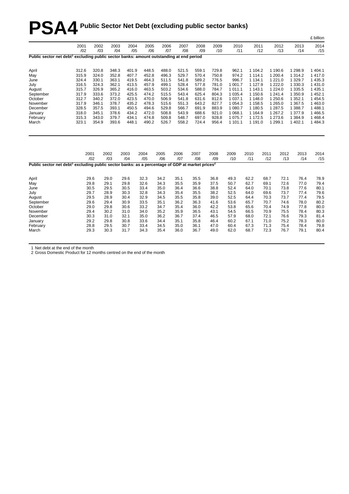# **PSA4 Public Sector Net Debt (excluding public sector banks)**

|                                                                                                                         |                |                |                |                |                |                |                |                |                |                        |                        |              |                       |                      | £ billion            |
|-------------------------------------------------------------------------------------------------------------------------|----------------|----------------|----------------|----------------|----------------|----------------|----------------|----------------|----------------|------------------------|------------------------|--------------|-----------------------|----------------------|----------------------|
|                                                                                                                         | 2001<br>/02    | 2002<br>/03    | 2003<br>/04    | 2004<br>/05    | 2005<br>/06    | 2006<br>/07    | 2007<br>/08    | 2008<br>/09    | 2009<br>/10    | 2010<br>/11            |                        | 2011<br>/12  | 2012<br>/13           | 2013<br>/14          | 2014<br>/15          |
| Public sector net debt <sup>1</sup> excluding public sector banks: amount outstanding at end period                     |                |                |                |                |                |                |                |                |                |                        |                        |              |                       |                      |                      |
| April                                                                                                                   | 312.6          | 320.8          | 348.3          | 401.9          | 448.5          | 488.0          | 521.5          | 559.1          | 729.8          | 962.1                  | 1 104.2                |              | 1 190.6               | 1 2 9 8.9            | 1 404.1              |
| May                                                                                                                     | 315.9          | 324.0          | 352.8          | 407.7          | 452.8          | 496.3          | 529.7          | 570.4          | 750.8          | 974.2                  | 1 1 1 4 1              |              | 1 200.4               | 1 3 1 4 .2           | 1 417.0              |
| June                                                                                                                    | 324.4          | 330.1          | 363.1          | 419.5          | 464.3          | 511.5          | 541.8          | 589.2          | 776.5          | 996.7                  | 1 1 3 4 . 1            |              | 1 2 2 1 .0            | 1 3 2 9.7            | 1 4 3 5 . 3          |
| July                                                                                                                    | 316.5          | 324.3<br>326.9 | 362.1          | 413.5          | 457.9          | 499.1          | 528.4          | 577.8          | 781.0<br>784.7 | 1 001.7<br>1 0 1 1 . 1 | 1 1 2 7 . 9            |              | 1 2 2 2 .0            | 1 3 3 0 . 3          | 1 4 3 1 .0           |
| August                                                                                                                  | 315.7<br>317.9 |                | 365.2<br>373.2 | 416.0<br>425.5 | 463.5<br>474.2 | 503.2          | 534.6          | 588.0<br>625.4 | 804.3          | 1 0 3 5.4              | 1 1 4 3 . 1<br>1 150.6 |              | 1 2 2 4 .0<br>1 241.4 | 1 3 3 5.5<br>1 350.9 | 1 4 3 5.1<br>1 452.1 |
| September<br>October                                                                                                    | 312.7          | 333.6<br>340.2 | 372.0          | 423.5          | 470.0          | 515.5<br>506.9 | 543.4<br>541.8 | 631.6          | 812.6          | 1 0 3 7 . 1            | 1 148.0                |              | 1 250.6               | 1 3 5 2.1            | 1 4 5 4 .5           |
| November                                                                                                                | 317.9          | 346.1          | 378.7          | 435.2          | 478.3          | 515.6          | 551.3          | 643.2          | 827.7          | 1 0 5 4 . 3            | 1 1 5 8.5              |              | 1 2 6 5 . 0           | 1 3 6 7 .5           | 1 4 6 3.0            |
| December                                                                                                                | 328.5          | 357.5          | 393.1          | 450.5          | 494.6          | 529.8          | 566.7          | 691.9          | 883.9          | 1 080.7                | 1 180.5                |              | 1 287.5               | 1 388.7              | 1 488.1              |
| January                                                                                                                 | 318.0          | 345.1          | 378.6          | 434.2          | 472.0          | 508.8          | 543.9          | 688.6          | 921.0          | 1 0 68.1               | 1 1 64.9               |              | 1 267.2               | 1 377.9              | 1466.5               |
| February                                                                                                                | 315.3          | 343.0          | 379.7          | 434.1          | 474.8          | 509.8          | 548.7          | 697.0          | 928.8          | 1 0 7 5 . 7            | 1 172.5                |              | 1 273.6               | 1 3 8 4 .9           | 1468.4               |
| March                                                                                                                   | 323.1          | 354.9          | 393.6          | 448.1          | 490.2          | 526.7          | 558.2          | 724.4          | 956.4          | 1 101.1                | 1 191.0                |              | 1 2 9 9.1             | 1 402.1              | 1 4 8 4 . 3          |
|                                                                                                                         |                | 2001<br>/02    | 2002<br>/03    | 2003<br>/04    | 2004<br>/05    | 2005<br>/06    | 2006<br>/07    | 2007<br>/08    | 2008<br>/09    | 2009<br>/10            | 2010<br>/11            | 2011<br>/12  | 2012<br>/13           | 2013<br>/14          | 2014<br>/15          |
| Public sector net debt <sup>1</sup> excluding public sector banks: as a percentage of GDP at market prices <sup>2</sup> |                |                |                |                |                |                |                |                |                |                        |                        |              |                       |                      |                      |
| April                                                                                                                   |                | 29.6           | 29.0           | 29.6           | 32.3           | 34.2           | 35.1           | 35.5           | 36.8           | 49.3                   | 62.2                   | 68.7         | 72.1                  | 76.4                 | 78.9                 |
| May                                                                                                                     |                | 29.8           | 29.1           | 29.8           | 32.6           | 34.3           | 35.5           | 35.9           | 37.5           | 50.7                   | 62.7                   | 69.1         | 72.6                  | 77.0                 | 79.4                 |
| June                                                                                                                    |                | 30.5           | 29.5           | 30.5           | 33.4           | 35.0           | 36.4           | 36.6           | 38.8           | 52.4                   | 64.0                   | 70.1         | 73.8                  | 77.6                 | 80.1                 |
| July                                                                                                                    |                | 29.7           | 28.9           | 30.3           | 32.8           | 34.3           | 35.4           | 35.5           | 38.2           | 52.5                   | 64.0                   | 69.6         | 73.7                  | 77.4                 | 79.6                 |
| August                                                                                                                  |                | 29.5           | 28.9           | 30.4           | 32.9           | 34.5           | 35.5           | 35.8           | 39.0           | 52.5                   | 64.4                   | 70.3         | 73.7                  | 77.4                 | 79.5                 |
| September                                                                                                               |                | 29.6           | 29.4           | 30.9           | 33.5           | 35.1           | 36.2           | 36.3           | 41.6           | 53.6                   | 65.7                   | 70.7         | 74.6                  | 78.0                 | 80.2                 |
| October                                                                                                                 |                | 29.0           | 29.8           | 30.6           | 33.2           | 34.7           | 35.4           | 36.0           | 42.2           | 53.8                   | 65.6                   | 70.4         | 74.9                  | 77.8                 | 80.0                 |
| November                                                                                                                |                | 29.4           | 30.2           | 31.0           | 34.0           | 35.2           | 35.9           | 36.5           | 43.1           | 54.5                   | 66.5                   | 70.9         | 75.5                  | 78.4                 | 80.3                 |
| December                                                                                                                |                | 30.3           | 31.0           | 32.1           | 35.0           | 36.2<br>34.4   | 36.7           | 37.4           | 46.5           | 57.9<br>60.2           | 68.0<br>67.1           | 72.1         | 76.6<br>75.2          | 79.3                 | 81.4                 |
| January<br>February                                                                                                     |                | 29.2<br>28.8   | 29.8<br>29.5   | 30.8<br>30.7   | 33.6<br>33.4   | 34.5           | 35.1<br>35.0   | 35.8<br>36.1   | 46.4<br>47.0   | 60.4                   | 67.3                   | 71.0<br>71.3 | 75.4                  | 78.3<br>78.4         | 80.0<br>79.8         |
| March                                                                                                                   |                | 29.3           | 30.3           | 31.7           | 34.3           | 35.4           | 36.0           | 36.7           | 49.0           | 62.0                   | 68.7                   | 72.3         | 76.7                  | 79.1                 | 80.4                 |
|                                                                                                                         |                |                |                |                |                |                |                |                |                |                        |                        |              |                       |                      |                      |

1 Net debt at the end of the month

2 Gross Domestic Product for 12 months centred on the end of the month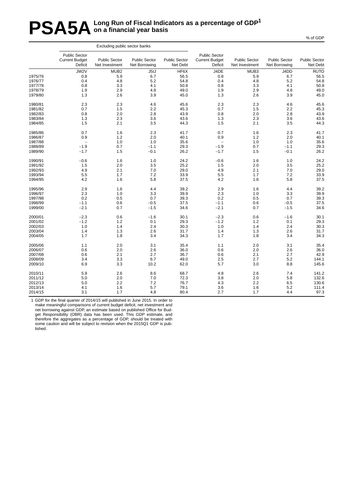# **PSA5A** Long Run of Fiscal Indicators as a percentage of GDP<sup>1</sup> **on a financial year basis**

|         |                                                          | Excluding public sector banks          |                                       |                                  |                                                          |                                        |                                       |                                         |
|---------|----------------------------------------------------------|----------------------------------------|---------------------------------------|----------------------------------|----------------------------------------------------------|----------------------------------------|---------------------------------------|-----------------------------------------|
|         | <b>Public Sector</b><br><b>Current Budget</b><br>Deficit | <b>Public Sector</b><br>Net Investment | <b>Public Sector</b><br>Net Borrowing | <b>Public Sector</b><br>Net Debt | <b>Public Sector</b><br><b>Current Budget</b><br>Deficit | <b>Public Sector</b><br>Net Investment | <b>Public Sector</b><br>Net Borrowing | <b>Public Sector</b><br><b>Net Debt</b> |
|         | JW2V                                                     | MUB <sub>2</sub>                       | J5IJ                                  | HF6X                             | J4DE                                                     | MUB3                                   | J4DD                                  | <b>RUTO</b>                             |
| 1975/76 | 0.8                                                      | 5.9                                    | 6.7                                   | 56.5                             | 0.8                                                      | 5.9                                    | 6.7                                   | 56.5                                    |
| 1976/77 | 0.4                                                      | 4.8                                    | 5.2                                   | 54.8                             | 0.4                                                      | 4.8                                    | 5.2                                   | 54.8                                    |
| 1977/78 | 0.8                                                      | 3.3                                    | 4.1                                   | 50.8                             | 0.8                                                      | 3.3                                    | 4.1                                   | 50.8                                    |
| 1978/79 | 1.9                                                      | 2.9                                    | 4.8                                   | 49.0                             | 1.9                                                      | 2.9                                    | 4.8                                   | 49.0                                    |
| 1979/80 | 1.3                                                      | 2.6                                    | 3.9                                   | 45.0                             | 1.3                                                      | 2.6                                    | 3.9                                   | 45.0                                    |
| 1980/81 | 2.3                                                      | 2.3                                    | 4.6                                   | 45.6                             | 2.3                                                      | 2.3                                    | 4.6                                   | 45.6                                    |
| 1981/82 | 0.7                                                      | 1.5                                    | 2.2                                   | 45.3                             | 0.7                                                      | 1.5                                    | 2.2                                   | 45.3                                    |
| 1982/83 | 0.8                                                      | 2.0                                    | 2.8                                   | 43.9                             | 0.8                                                      | 2.0                                    | 2.8                                   | 43.9                                    |
| 1983/84 | 1.3                                                      | 2.3                                    | 3.6                                   | 43.6                             | 1.3                                                      | 2.3                                    | 3.6                                   | 43.6                                    |
| 1984/85 | 1.5                                                      | 2.1                                    | 3.5                                   | 44.3                             | 1.5                                                      | 2.1                                    | 3.5                                   | 44.3                                    |
| 1985/86 | 0.7                                                      | 1.6                                    | 2.3                                   | 41.7                             | 0.7                                                      | 1.6                                    | 2.3                                   | 41.7                                    |
| 1986/87 | 0.9                                                      | 1.2                                    | 2.0                                   | 40.1                             | 0.9                                                      | 1.2                                    | 2.0                                   | 40.1                                    |
| 1987/88 | $\overline{\phantom{a}}$                                 | 1.0                                    | 1.0                                   | 35.6                             | $\overline{\phantom{0}}$                                 | 1.0                                    | 1.0                                   | 35.6                                    |
| 1988/89 | $-1.9$                                                   | 0.7                                    | $-1.1$                                | 29.3                             | $-1.9$                                                   | 0.7                                    | $-1.1$                                | 29.3                                    |
| 1989/90 | $-1.7$                                                   | 1.5                                    | $-0.1$                                | 26.2                             | $-1.7$                                                   | 1.5                                    | $-0.1$                                | 26.2                                    |
| 1990/91 | $-0.6$                                                   | 1.6                                    | 1.0                                   | 24.2                             | $-0.6$                                                   | 1.6                                    | 1.0                                   | 24.2                                    |
| 1991/92 | 1.5                                                      | 2.0                                    | 3.5                                   | 25.2                             | 1.5                                                      | 2.0                                    | 3.5                                   | 25.2                                    |
| 1992/93 | 4.9                                                      | 2.1                                    | 7.0                                   | 29.0                             | 4.9                                                      | 2.1                                    | 7.0                                   | 29.0                                    |
| 1993/94 | 5.5                                                      | 1.7                                    | 7.2                                   | 33.9                             | 5.5                                                      | 1.7                                    | 7.2                                   | 33.9                                    |
| 1994/95 | 4.2                                                      | 1.6                                    | 5.8                                   | 37.5                             | 4.2                                                      | 1.6                                    | 5.8                                   | 37.5                                    |
| 1995/96 | 2.9                                                      | 1.6                                    | 4.4                                   | 39.2                             | 2.9                                                      | 1.6                                    | 4.4                                   | 39.2                                    |
| 1996/97 | 2.3                                                      | 1.0                                    | 3.3                                   | 39.9                             | 2.3                                                      | 1.0                                    | 3.3                                   | 39.9                                    |
| 1997/98 | 0.2                                                      | 0.5                                    | 0.7                                   | 39.3                             | 0.2                                                      | 0.5                                    | 0.7                                   | 39.3                                    |
| 1998/99 | $-1.1$                                                   | 0.6                                    | $-0.5$                                | 37.5                             | $-1.1$                                                   | 0.6                                    | $-0.5$                                | 37.5                                    |
| 1999/00 | $-2.1$                                                   | 0.7                                    | $-1.5$                                | 34.6                             | $-2.1$                                                   | 0.7                                    | $-1.5$                                | 34.6                                    |
| 2000/01 | $-2.3$                                                   | 0.6                                    | $-1.6$                                | 30.1                             | $-2.3$                                                   | 0.6                                    | $-1.6$                                | 30.1                                    |
| 2001/02 | $-1.2$                                                   | 1.2                                    | 0.1                                   | 29.3                             | $-1.2$                                                   | 1.2                                    | 0.1                                   | 29.3                                    |
| 2002/03 | 1.0                                                      | 1.4                                    | 2.4                                   | 30.3                             | 1.0                                                      | 1.4                                    | 2.4                                   | 30.3                                    |
| 2003/04 | 1.4                                                      | 1.3                                    | 2.6                                   | 31.7                             | 1.4                                                      | 1.3                                    | 2.6                                   | 31.7                                    |
| 2004/05 | 1.7                                                      | 1.8                                    | 3.4                                   | 34.3                             | 1.7                                                      | 1.8                                    | 3.4                                   | 34.3                                    |
| 2005/06 | 1.1                                                      | 2.0                                    | 3.1                                   | 35.4                             | 1.1                                                      | 2.0                                    | 3.1                                   | 35.4                                    |
| 2006/07 | 0.6                                                      | 2.0                                    | 2.6                                   | 36.0                             | 0.6                                                      | 2.0                                    | 2.6                                   | 36.0                                    |
| 2007/08 | 0.6                                                      | 2.1                                    | 2.7                                   | 36.7                             | 0.6                                                      | 2.1                                    | 2.7                                   | 42.9                                    |
| 2008/09 | 3.4                                                      | 3.3                                    | 6.7                                   | 49.0                             | 2.5                                                      | 2.7                                    | 5.2                                   | 144.1                                   |
| 2009/10 | 6.9                                                      | 3.3                                    | 10.2                                  | 62.0                             | 5.7                                                      | 3.0                                    | 8.8                                   | 145.6                                   |
| 2010/11 | 5.9                                                      | 2.6                                    | 8.6                                   | 68.7                             | 4.8                                                      | 2.6                                    | 7.4                                   | 141.2                                   |
| 2011/12 | 5.0                                                      | 2.0                                    | 7.0                                   | 72.3                             | 3.8                                                      | 2.0                                    | 5.8                                   | 132.6                                   |
| 2012/13 | 5.0                                                      | 2.2                                    | 7.2                                   | 76.7                             | 4.3                                                      | 2.2                                    | 6.5                                   | 130.6                                   |
| 2013/14 | 4.1                                                      | 1.6                                    | 5.7                                   | 79.1                             | 3.6                                                      | 1.6                                    | 5.2                                   | 111.4                                   |
| 2014/15 | 3.1                                                      | 1.7                                    | 4.8                                   | 80.4                             | 2.7                                                      | 1.7                                    | 4.4                                   | 97.3                                    |
|         |                                                          |                                        |                                       |                                  |                                                          |                                        |                                       |                                         |

1 GDP for the final quarter of 2014/15 will published in June 2015. In order to make meaningful comparisons of current budget deficit, net investment and net borrowing against GDP, an estimate based on published Office for Budget Responsibility (OBR) data has been used. This GDP estimate, and therefore the aggregates as a percentage of GDP, should be treated with some caution and will be subject to revision when the 2015Q1 GDP is published.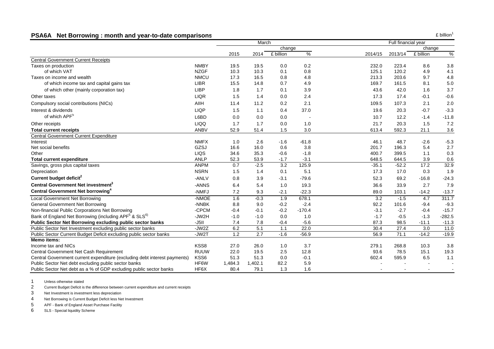#### **PSA6A Net Borrowing : month and year-to-date comparison s**

|                                                                               |             |         | March   |                  |          |         | Full financial year |           |          |
|-------------------------------------------------------------------------------|-------------|---------|---------|------------------|----------|---------|---------------------|-----------|----------|
|                                                                               |             |         |         | change           |          |         |                     | change    |          |
|                                                                               |             | 2015    | 2014    | £ billion        | %        | 2014/15 | 2013/14             | £ billion | $\%$     |
| <b>Central Government Current Receipts</b>                                    |             |         |         |                  |          |         |                     |           |          |
| Taxes on production                                                           | <b>NMBY</b> | 19.5    | 19.5    | 0.0              | 0.2      | 232.0   | 223.4               | 8.6       | 3.8      |
| of which VAT                                                                  | <b>NZGF</b> | 10.3    | 10.3    | 0.1              | 0.8      | 125.1   | 120.2               | 4.9       | 4.1      |
| Taxes on income and wealth                                                    | <b>NMCU</b> | 17.3    | 16.5    | 0.8              | 4.8      | 213.3   | 203.6               | 9.7       | 4.8      |
| of which income tax and capital gains tax                                     | <b>LIBR</b> | 15.5    | 14.8    | 0.7              | 4.9      | 169.7   | 161.5               | 8.1       | $5.0\,$  |
| of which other (mainly corporation tax)                                       | <b>LIBP</b> | 1.8     | 1.7     | 0.1              | 3.9      | 43.6    | 42.0                | 1.6       | 3.7      |
| Other taxes                                                                   | <b>LIQR</b> | 1.5     | 1.4     | 0.0              | 2.4      | 17.3    | 17.4                | $-0.1$    | $-0.6$   |
| Compulsory social contributions (NICs)                                        | AIIH        | 11.4    | 11.2    | 0.2              | 2.1      | 109.5   | 107.3               | 2.1       | 2.0      |
| Interest & dividends                                                          | <b>LIQP</b> | 1.5     | 1.1     | 0.4              | 37.0     | 19.6    | 20.3                | $-0.7$    | $-3.3$   |
| of which APF <sup>5</sup>                                                     | L6BD        | 0.0     | 0.0     | 0.0              |          | 10.7    | 12.2                | $-1.4$    | $-11.8$  |
| Other receipts                                                                | <b>LIQQ</b> | 1.7     | 1.7     | 0.0              | 1.0      | 21.7    | 20.3                | 1.5       | 7.2      |
| <b>Total current receipts</b>                                                 | <b>ANBV</b> | 52.9    | 51.4    | 1.5              | 3.0      | 613.4   | 592.3               | 21.1      | $3.6\,$  |
| <b>Central Government Current Expenditure</b>                                 |             |         |         |                  |          |         |                     |           |          |
| Interest                                                                      | <b>NMFX</b> | 1.0     | 2.6     | $-1.6$           | $-61.8$  | 46.1    | 48.7                | $-2.6$    | $-5.3$   |
| Net social benefits                                                           | GZSJ        | 16.6    | 16.0    | 0.6              | 3.8      | 201.7   | 196.3               | 5.4       | 2.7      |
| Other                                                                         | LIQS        | 34.6    | 35.3    | $-0.6$           | $-1.8$   | 400.7   | 399.5               | 1.1       | 0.3      |
| <b>Total current expenditure</b>                                              | <b>ANLP</b> | 52.3    | 53.9    | $-1.7$           | $-3.1$   | 648.5   | 644.5               | 3.9       | 0.6      |
| Savings, gross plus capital taxes                                             | <b>ANPM</b> | 0.7     | $-2.5$  | $\overline{3.2}$ | 125.9    | $-35.1$ | $-52.2$             | 17.2      | 32.9     |
| Depreciation                                                                  | <b>NSRN</b> | 1.5     | 1.4     | 0.1              | 5.1      | 17.3    | 17.0                | 0.3       | 1.9      |
| Current budget deficit <sup>2</sup>                                           | -ANLV       | 0.8     | 3.9     | $-3.1$           | $-79.6$  | 52.3    | 69.2                | $-16.8$   | $-24.3$  |
| Central Government Net investment <sup>3</sup>                                | -ANNS       | 6.4     | 5.4     | 1.0              | 19.3     | 36.6    | 33.9                | 2.7       | 7.9      |
| Central Government Net borrowing <sup>4</sup>                                 | -NMFJ       | 7.2     | 9.3     | $-2.1$           | $-22.3$  | 89.0    | 103.1               | $-14.2$   | $-13.7$  |
| Local Government Net Borrowing                                                | $-MMOE$     | 1.6     | $-0.3$  | 1.9              | 678.1    | 3.2     | $-1.5$              | 4.7       | 311.7    |
| <b>General Government Net Borrowing</b>                                       | -NNBK       | 8.8     | 9.0     | $-0.2$           | $-2.4$   | 92.2    | 101.6               | $-9.4$    | $-9.3$   |
| Non-financial Public Corporations Net Borrowing                               | -CPCM       | $-0.4$  | $-0.1$  | $-0.2$           | $-170.4$ | $-3.1$  | $-2.7$              | $-0.4$    | $-15.7$  |
| Bank of England Net Borrowing (including APF <sup>5</sup> & SLS <sup>6)</sup> | -JW2H       | $-1.0$  | $-1.0$  | 0.0              | 1.0      | $-1.7$  | $-0.5$              | $-1.3$    | $-282.5$ |
| Public Sector Net Borrowing excluding public sector banks                     | $-J5II$     | 7.4     | 7.8     | $-0.4$           | $-5.6$   | 87.3    | 98.5                | $-11.1$   | $-11.3$  |
| Public Sector Net Investment excluding public sector banks                    | -JW2Z       | 6.2     | 5.1     | 1.1              | 22.0     | 30.4    | 27.4                | 3.0       | 11.0     |
| Public Sector Current Budget Deficit excluding public sector banks            | $-JW2T$     | 1.2     | 2.7     | $-1.6$           | $-56.9$  | 56.9    | 71.1                | $-14.2$   | $-19.9$  |
| <b>Memo items:</b>                                                            |             |         |         |                  |          |         |                     |           |          |
| Income tax and NICs                                                           | KSS8        | 27.0    | 26.0    | 1.0              | 3.7      | 279.1   | 268.8               | 10.3      | 3.8      |
| Central Government Net Cash Requirement                                       | <b>RUUW</b> | 22.0    | 19.5    | 2.5              | 12.8     | 93.6    | 78.5                | 15.1      | 19.3     |
| Central Government current expenditure (excluding debt interest payments)     | KSS6        | 51.3    | 51.3    | 0.0              | $-0.1$   | 602.4   | 595.9               | 6.5       | 1.1      |
| Public Sector Net debt excluding public sector banks                          | HF6W        | 1,484.3 | 1,402.1 | 82.2             | 5.9      |         |                     |           |          |
| Public Sector Net debt as a % of GDP excluding public sector banks            | HF6X        | 80.4    | 79.1    | 1.3              | 1.6      |         |                     |           |          |

1Unless otherwise stated

2Current Budget Deficit is the difference between current expenditure and current receipts

3Net Investment is investment less depreciation

4Net Borrowing is Current Budget Deficit less Net Investment

5APF - Bank of England Asset Purchase Facility

6SLS - Special liquidity Scheme  $£$  billion<sup>1</sup>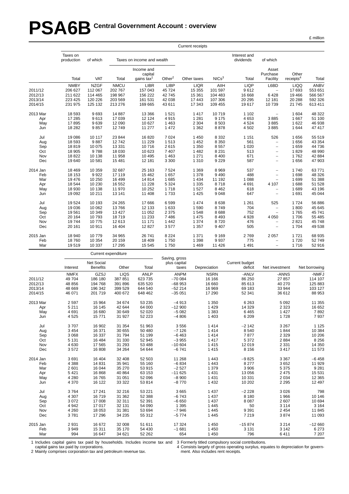# PSA6B Central Government Account : overview

|  | million |
|--|---------|
|  |         |

|          |                        |                   |                     |                            |               | Current receipts |                   |                           |                          |                       |               |
|----------|------------------------|-------------------|---------------------|----------------------------|---------------|------------------|-------------------|---------------------------|--------------------------|-----------------------|---------------|
|          | Taxes on<br>production | of which          |                     | Taxes on income and wealth |               |                  |                   | Interest and<br>dividends | of which                 |                       |               |
|          |                        |                   |                     | Income and<br>capital      |               |                  |                   |                           | Asset<br>Purchase        | Other                 |               |
|          | Total                  | <b>VAT</b>        | Total               | gains tax $1$              | Other $2$     | Other taxes      | NICs <sup>3</sup> | Total                     | Facility                 | receipts <sup>4</sup> | Total         |
|          | <b>NMBY</b>            | <b>NZGF</b>       | <b>NMCU</b>         | <b>LIBR</b>                | <b>LIBP</b>   | <b>LIQR</b>      | AIIH              | <b>LIQP</b>               | L6BD                     | <b>LIQQ</b>           | <b>ANBV</b>   |
| 2011/12  | 206 627                | 112 067           | 202 767             | 157 043                    | 45 724        | 15 355           | 101 597           | 9612                      | $\overline{\phantom{0}}$ | 17693                 | 553 651       |
| 2012/13  | 211 622                | 114 465           | 198 967             | 156 222                    | 42745         | 15 361           | 104 483           | 16 668                    | 6428                     | 19 4 66               | 566 567       |
| 2013/14  | 223 425                | 120 226           | 203 569             | 161 531                    | 42 038        | 17 443           | 107 306           | 20 29 5                   | 12 181                   | 20 288                | 592 326       |
| 2014/15  | 231 975                | 125 132           | 213 276             | 169 665                    | 43 611        | 17 343           | 109 455           | 19617                     | 10739                    | 21745                 | 613 411       |
| 2013 Mar | 18 593                 | 9693              | 14 887              | 13 3 66                    | 1 5 2 1       | 1 4 1 7          | 10719             | 1 1 0 2                   | $\overline{\phantom{0}}$ | 1 604                 | 48 322        |
| Apr      | 17 285                 | 9613              | 17 039              | 12 124                     | 4915          | 1 2 8 1          | 9 1 7 5           | 4653                      | 3885                     | 1667                  | 51 100        |
| May      | 17895                  | 9639              | 12 090              | 10 627                     | 1 4 6 3       | 2 3 0 4          | 8 5 0 3           | 4 5 2 4                   | 3885                     | 1622                  | 46 938        |
| Jun      | 18 28 2                | 9857              | 12749               | 11 277                     | 1 472         | 1 3 6 2          | 8878              | 4 5 0 2                   | 3885                     | 1644                  | 47 417        |
| Jul      | 19 086                 | 10 117            | 23 844              | 16820                      | 7 0 24        | 1 4 5 0          | 8 3 3 2           | 1 1 5 1                   | 526                      | 1656                  | 55 519        |
| Aug      | 18 593                 | 9887              | 12742               | 11 2 2 9                   | 1513          | 1 4 5 2          | 8 3 5 0           | 561                       | -                        | 1656                  | 43 354        |
| Sep      | 18819                  | 10 075            | 13 3 3 1            | 10716                      | 2615          | 1 3 5 0          | 8 5 5 7           | 1 0 2 0                   | $\overline{\phantom{0}}$ | 1659                  | 44 736        |
| Oct      | 18 905                 | 9788              | 18 030              | 10 623                     | 7 4 0 7       | 1 4 8 2          | 8 2 3 1           | 513                       | $\overline{a}$           | 1829                  | 48 990        |
| Nov      | 18822                  | 10 138            | 11 958              | 10 4 95                    | 1 4 6 3       | 1 2 7 1          | 8 4 0 0           | 671                       | $\overline{\phantom{0}}$ | 1762                  | 42 884        |
| Dec      | 19 640                 | 10581             | 15 4 81             | 12 181                     | 3 3 0 0       | 1 3 1 0          | 9 2 2 9           | 587                       | $\overline{\phantom{0}}$ | 1656                  | 47 903        |
| 2014 Jan | 18 4 69                | 10 359            | 32 687              | 25 163                     | 7 5 24        | 1 3 6 9          | 8 9 6 9           | 537                       | $\overline{\phantom{0}}$ | 1740                  | 63771         |
| Feb      | 18 153                 | 9922              | 17 119              | 15 4 62                    | 1657          | 1 3 7 8          | 9 4 9 0           | 488                       | $\overline{\phantom{0}}$ | 1698                  | 48 326        |
| Mar      | 19 476                 | 10 250            | 16 499              | 14814                      | 1685          | 1 4 3 4          | 11 192            | 1 0 8 8                   | $\overline{\phantom{0}}$ | 1699                  | 51 388        |
| Apr      | 18 544                 | 10 230            | 16 552              | 11 2 28                    | 5 3 2 4       | 1 3 3 5          | 8718              | 4 6 9 1                   | 4 107                    | 1688                  | 51 528        |
| May      | 18 930                 | 10 138            | 11 970              | 10 25 2                    | 1718          | 1 5 2 7          | 8 4 6 2           | 618                       | $\overline{a}$           | 1689                  | 43 196        |
| Jun      | 19 092                 | 10 211            | 13 141              | 11 408                     | 1733          | 1 4 2 5          | 9 0 48            | 647                       | $\overline{\phantom{0}}$ | 1691                  | 45 044        |
| Jul      | 19524                  | 10 193            | 24 265              | 17666                      | 6599          | 1 4 7 4          | 8638              | 1 2 6 1                   | 525                      | 1724                  | 56 886        |
| Aug      | 19 036                 | 10 062            | 13766               | 12 133                     | 1 633         | 1 5 9 0          | 8749              | 704                       | $\overline{\phantom{0}}$ | 1800                  | 45 645        |
| Sep      | 19561                  | 10 349            | 13 4 27             | 11 052                     | 2 3 7 5       | 1548             | 8688              | 752                       | $\equiv$                 | 1765                  | 45 741        |
| Oct      | 20 164                 | 10793             | 18719               | 11 233                     | 7 4 8 6       | 1 4 7 5          | 8 4 9 3           | 4 9 28                    | 4 0 5 0                  | 1706                  | 55 485        |
| Nov      | 19744                  | 10775             | 12 613              | 11 171                     | 1 4 4 2       | 1 3 7 4          | 8720              | 476                       | $\overline{a}$           | 2821                  | 45 748        |
| Dec      | 20 161                 | 10911             | 16 404              | 12827                      | 3577          | 1 3 5 7          | 9 4 0 7           | 505                       | $\overline{\phantom{0}}$ | 1704                  | 49 538        |
| 2015 Jan | 18 940                 | 10779             | 34 965              | 26741                      | 8 2 2 4       | 1 3 7 1          | 9 1 6 9           | 2769                      | 2 0 5 7                  | 1721                  | 68 935        |
| Feb      | 18760                  | 10 354            | 20 159              | 18 409                     | 1750          | 1 3 9 8          | 9937              | 775                       | $\overline{\phantom{a}}$ | 1720                  | 52749         |
| Mar      | 19519                  | 10 337            | 17 295              | 15 5 45                    | 1750          | 1 4 6 9          | 11 4 26           | 1 4 9 1                   | $\overline{\phantom{0}}$ | 1716                  | 52 916        |
|          |                        |                   | Current expenditure |                            | Saving, gross |                  |                   |                           |                          |                       |               |
|          |                        | <b>Net Social</b> |                     |                            | plus capital  |                  |                   | Current budget            |                          |                       |               |
|          | Interest               | <b>Benefits</b>   | Other               | Total                      |               | taxes            | Depreciation      | deficit                   | Net investment           |                       | Net borrowing |
|          | <b>NMFX</b>            | GZSJ              | LIQS                | <b>ANLP</b>                | <b>ANPM</b>   |                  | <b>NSRN</b>       | -ANLV                     | -ANNS                    |                       | -NMFJ         |
| 2011/12  | 49 704                 | 186 180           | 387 851             | 623 735                    | $-700084$     |                  | 16 16 6           | 86 250                    | 27 857                   |                       | 114 107       |
| 2012/13  | 48 856                 | 194 768           | 391 896             | 635 520                    | $-68953$      |                  | 16 660            | 85 613                    | 40 270                   |                       | 125 883       |
| 2013/14  | 48 669                 | 196 342           | 399 529             | 644 540                    | $-52214$      |                  | 16 969            | 69 183                    | 33 944                   |                       | 103 127       |
| 2014/15  | 46 071                 | 201 719           | 400 672             | 648 462                    | $-35051$      |                  | 17 290            | 52 341                    | 36 612                   |                       | 88 953        |
| 2013 Mar | 2597                   | 15 9 64           | 34 674              | 53 235                     | $-4913$       |                  | 1 3 5 0           | 6 2 6 3                   |                          | 5 0 9 2               | 11 355        |

|          | <b>INIVII</b> A | ∪ט∟ט    | ∟ເພບ    | <b>AIVLE</b> | <b>AIVE IVI</b> | יורוטיו | י∟וירי   | טוויורי | ט וועוצו־ |
|----------|-----------------|---------|---------|--------------|-----------------|---------|----------|---------|-----------|
| 2011/12  | 49 704          | 186 180 | 387 851 | 623 735      | $-700084$       | 16 16 6 | 86 250   | 27 857  | 114 107   |
| 2012/13  | 48 856          | 194 768 | 391 896 | 635 520      | $-68953$        | 16 660  | 85 613   | 40 270  | 125 883   |
| 2013/14  | 48 669          | 196 342 | 399 529 | 644 540      | $-52214$        | 16 969  | 69 183   | 33 944  | 103 127   |
| 2014/15  | 46 071          | 201 719 | 400 672 | 648 462      | $-35051$        | 17 290  | 52 341   | 36 612  | 88 953    |
| 2013 Mar | 2 5 9 7         | 15 9 64 | 34 674  | 53 235       | $-4913$         | 1 3 5 0 | 6 2 6 3  | 5 0 9 2 | 11 355    |
| Apr      | 5 2 1 1         | 16 145  | 42 644  | 64 000       | $-12900$        | 1429    | 14 3 29  | 2 3 2 3 | 16 652    |
| May      | 4 6 9 1         | 16 680  | 30 649  | 52 0 20      | $-5082$         | 1 3 8 3 | 6465     | 1 4 2 7 | 7892      |
| Jun      | 4 5 2 5         | 15771   | 31 927  | 52 223       | $-4806$         | 1 4 0 3 | 6 2 0 9  | 1728    | 7937      |
| Jul      | 3707            | 16 902  | 31 354  | 51 963       | 3556            | 1414    | $-2142$  | 3 2 6 7 | 1 1 2 5   |
| Aug      | 3 4 5 4         | 16 371  | 30 655  | 50 480       | $-7126$         | 1414    | 8540     | 1844    | 10 384    |
| Sep      | 3 0 6 8         | 16 337  | 31 794  | 51 199       | $-6463$         | 1414    | 7877     | 2 3 2 9 | 10 206    |
| Oct      | 5 1 3 1         | 16 4 84 | 31 330  | 52 945       | $-3955$         | 1417    | 5 3 7 2  | 2884    | 8 2 5 6   |
| Nov      | 4 6 3 0         | 17 565  | 31 293  | 53 488       | $-10604$        | 1415    | 12 019   | 2 3 3 1 | 14 350    |
| Dec      | 3572            | 16 808  | 34 264  | 54 644       | $-6741$         | 1415    | 8 1 5 6  | 3417    | 11 573    |
| 2014 Jan | 3691            | 16 404  | 32 408  | 52 503       | 11 268          | 1 4 4 3 | $-9825$  | 3 3 6 7 | $-6458$   |
| Feb      | 4 3 8 8         | 14 8 31 | 35 941  | 55 160       | $-6834$         | 1 4 4 3 | 8 2 7 7  | 3652    | 11 929    |
| Mar      | 2601            | 16 044  | 35 270  | 53 915       | $-2527$         | 1 3 7 9 | 3 9 0 6  | 5 3 7 5 | 9 2 8 1   |
| Apr      | 5421            | 16 868  | 40 864  | 63 153       | $-11625$        | 1431    | 13 0 56  | 2 4 7 5 | 15 531    |
| May      | 4 2 8 0         | 16765   | 31 051  | 52 096       | $-8900$         | 1 4 3 1 | 10 331   | 2 0 3 4 | 12 3 65   |
| Jun      | 4 3 7 0         | 16 122  | 33 322  | 53 814       | $-8770$         | 1 4 3 2 | 10 202   | 2 2 9 5 | 12 497    |
| Jul      | 3764            | 17 241  | 32 216  | 53 2 21      | 3665            | 1 4 3 7 | $-2228$  | 3 0 2 6 | 798       |
| Aug      | 4 3 0 7         | 16 719  | 31 362  | 52 388       | $-6743$         | 1 4 3 7 | 8 1 8 0  | 1966    | 10 146    |
| Sep      | 3072            | 17 008  | 32 311  | 52 391       | $-6650$         | 1 4 3 7 | 8 0 8 7  | 2607    | 10 694    |
| Oct      | 4 9 4 2         | 17 017  | 32 131  | 54 090       | 1 3 9 5         | 1 4 4 5 | 50       | 3 1 1 4 | 3 1 6 4   |
| Nov      | 4 2 6 0         | 18 0 53 | 31 381  | 53 694       | $-7946$         | 1 4 4 5 | 9 3 9 1  | 2 4 5 4 | 11 845    |
| Dec      | 3781            | 17 29 6 | 34 235  | 55 312       | $-5774$         | 1445    | 7 2 1 9  | 3874    | 11 093    |
| 2015 Jan | 2931            | 16 672  | 32 008  | 51 611       | 17 324          | 1450    | $-15874$ | 3 2 1 4 | $-12660$  |
| Feb      | 3949            | 15 311  | 35 170  | 54 430       | $-1681$         | 1450    | 3 1 3 1  | 3 1 4 2 | 6 2 7 3   |
| Mar      | 994             | 16 647  | 34 621  | 52 262       | 654             | 1450    | 796      | 6411    | 7 207     |

1 Includes capital gains tax paid by households. Includes income tax and 3 Formerly titled compulsory social contributions.

capital gains tax paid by corporations.

4 Consists largely of gross operating surplus, equates to depreciation for govern-

2 Mainly comprises corporation tax and petroleum revenue tax.

ment. Also includes rent receipts.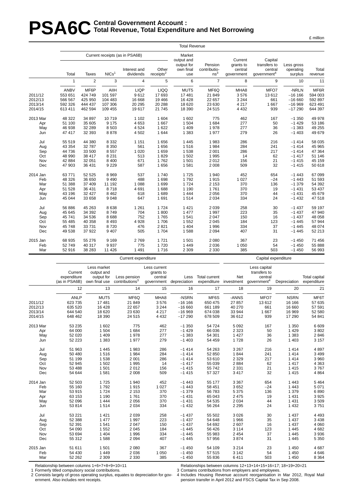# **PSA6C** Total Revenue, Total Expenditure **Total Revenue , Total Expenditure and Net Borrowing**

|          |              |                |                   |                                                             |                                | <b>Total Revenue</b>                                   |                                            |                                               |                                                               |                                    |                  |
|----------|--------------|----------------|-------------------|-------------------------------------------------------------|--------------------------------|--------------------------------------------------------|--------------------------------------------|-----------------------------------------------|---------------------------------------------------------------|------------------------------------|------------------|
|          | Total        | <b>Taxes</b>   | NICs <sup>1</sup> | Current receipts (as in PSA6B)<br>Interest and<br>dividends | Other<br>receipts <sup>2</sup> | Market<br>output and<br>output for<br>own final<br>use | Pension<br>contributio-<br>ns <sup>3</sup> | Current<br>grants to<br>central<br>government | Capital<br>transfers to<br>central<br>government <sup>4</sup> | Less gross<br>operating<br>surplus | Total<br>revenue |
|          | $\mathbf{1}$ | $\overline{2}$ | 3                 | $\overline{4}$                                              | 5                              | 6                                                      | $\overline{7}$                             | 8                                             | 9                                                             | 10                                 | 11               |
|          |              |                |                   |                                                             |                                |                                                        |                                            |                                               |                                                               |                                    |                  |
|          | <b>ANBV</b>  | MF6P           | AIIH              | <b>LIQP</b>                                                 | <b>LIQQ</b>                    | MUT5                                                   | MF6Q                                       | MHA8                                          | MFO7                                                          | -NRLN                              | MF6R             |
| 2011/12  | 553 651      | 424 749        | 101 597           | 9612                                                        | 17693                          | 17 481                                                 | 21 849                                     | 3576                                          | 13612                                                         | $-16$ 166                          | 594 003          |
| 2012/13  | 566 567      | 425 950        | 104 483           | 16 668                                                      | 19 4 66                        | 16 4 28                                                | 22 657                                     | 3 2 4 4                                       | 661                                                           | $-16660$                           | 592 897          |
| 2013/14  | 592 326      | 444 437        | 107 306           | 20 29 5                                                     | 20 288                         | 18 6 20                                                | 23 630                                     | 4 2 1 7                                       | 1 6 6 7                                                       | $-16969$                           | 623 491          |
| 2014/15  | 613 411      | 462 594        | 109 455           | 19617                                                       | 21 7 4 5                       | 18 390                                                 | 24 5 15                                    | 4 4 3 2                                       | 939                                                           | $-17290$                           | 644 397          |
| 2013 Mar | 48 322       | 34 897         | 10719             | 1 1 0 2                                                     | 1 604                          | 1 602                                                  | 775                                        | 462                                           | 167                                                           | $-1.350$                           | 49 978           |
| Apr      | 51 100       | 35 605         | 9 1 7 5           | 4653                                                        | 1667                           | 1 504                                                  | 1684                                       | 277                                           | 50                                                            | $-1429$                            | 53 186           |
| May      | 46 938       | 32 289         | 8503              | 4 5 24                                                      | 1622                           | 1 4 0 9                                                | 1978                                       | 277                                           | 36                                                            | $-1.383$                           | 49 255           |
| Jun      | 47 417       | 32 393         | 8878              | 4 5 0 2                                                     | 1644                           | 1 3 8 3                                                | 1977                                       | 279                                           | 26                                                            | $-1403$                            | 49 679           |
| Jul      | 55 519       | 44 380         | 8 3 3 2           | 1 1 5 1                                                     | 1656                           | 1 4 4 5                                                | 1983                                       | 286                                           | 216                                                           | $-1414$                            | 58 035           |
| Aug      | 43 354       | 32 787         | 8 3 5 0           | 561                                                         | 1656                           | 1516                                                   | 1984                                       | 284                                           | 241                                                           | $-1414$                            | 45 965           |
| Sep      | 44 736       | 33 500         | 8557              | 1 0 2 0                                                     | 1659                           | 1 5 3 8                                                | 2 0 0 1                                    | 286                                           | 217                                                           | $-1414$                            | 47 364           |
| Oct      | 48 990       | 38 417         | 8 2 3 1           | 513                                                         | 1829                           | 1 502                                                  | 1 9 9 5                                    | 14                                            | 62                                                            | $-1417$                            | 51 146           |
| Nov      | 42 884       | 32 051         | 8 4 0 0           | 671                                                         | 1762                           | 1 501                                                  | 2012                                       | 156                                           | 21                                                            | $-1415$                            | 45 159           |
| Dec      | 47 903       | 36 431         | 9 2 2 9           | 587                                                         | 1656                           | 1581                                                   | 2 0 0 8                                    | 509                                           | 32                                                            | $-1415$                            | 50 618           |
| 2014 Jan | 63771        | 52 525         | 8969              | 537                                                         | 1740                           | 1725                                                   | 1 940                                      | 452                                           | 654                                                           | $-1443$                            | 67 099           |
| Feb      | 48 326       | 36 650         | 9490              | 488                                                         | 1698                           | 1792                                                   | 1915                                       | 1 0 2 7                                       | $-24$                                                         | $-1443$                            | 51 593           |
| Mar      | 51 388       | 37 409         | 11 192            | 1 0 8 8                                                     | 1699                           | 1 7 2 4                                                | 2 1 5 3                                    | 370                                           | 136                                                           | $-1379$                            | 54 392           |
| Apr      | 51 528       | 36 431         | 8718              | 4 6 9 1                                                     | 1688                           | 1 1 9 0                                                | 1761                                       | 370                                           | 19                                                            | $-1431$                            | 53 437           |
| May      | 43 196       | 32 4 27        | 8 4 6 2           | 618                                                         | 1689                           | 1 4 4 4                                                | 2 0 5 6                                    | 370                                           | 44                                                            | $-1431$                            | 45 679           |
| Jun      | 45 044       | 33 658         | 9048              | 647                                                         | 1691                           | 1514                                                   | 2 0 3 4                                    | 334                                           | 24                                                            | $-1432$                            | 47518            |
| Jul      | 56 886       | 45 263         | 8638              | 1 2 6 1                                                     | 1724                           | 1 4 2 1                                                | 2 0 3 9                                    | 258                                           | 30                                                            | $-1437$                            | 59 197           |
| Aug      | 45 645       | 34 392         | 8749              | 704                                                         | 1800                           | 1 477                                                  | 1 9 9 7                                    | 223                                           | 35                                                            | $-1437$                            | 47 940           |
| Sep      | 45 741       | 34 536         | 8688              | 752                                                         | 1765                           | 1 5 4 1                                                | 2 0 4 7                                    | 150                                           | 16                                                            | $-1437$                            | 48 058           |
| Oct      | 55 485       | 40 358         | 8493              | 4 9 28                                                      | 1706                           | 1 5 5 2                                                | 2 0 4 5                                    | 184                                           | 123                                                           | $-1445$                            | 57 944           |
| Nov      | 45 748       | 33 731         | 8720              | 476                                                         | 2821                           | 1 4 0 4                                                | 1 9 9 6                                    | 334                                           | 37                                                            | $-1445$                            | 48 074           |
| Dec      | 49 538       | 37 922         | 9 4 0 7           | 505                                                         | 1704                           | 1588                                                   | 2 0 9 4                                    | 407                                           | 31                                                            | $-1445$                            | 52 213           |
| 2015 Jan | 68 935       | 55 276         | 9 1 6 9           | 2769                                                        | 1721                           | 1 501                                                  | 2 0 8 0                                    | 367                                           | 23                                                            | $-1450$                            | 71 456           |
| Feb      | 52 749       | 40 317         | 9937              | 775                                                         | 1720                           | 1 4 4 9                                                | 2 0 3 6                                    | 1 0 5 0                                       | 54                                                            | $-1450$                            | 55 888           |
| Mar      | 52 916       | 38 283         | 11 4 26           | 1 4 9 1                                                     | 1716                           | 2 3 0 9                                                | 2 3 3 0                                    | 385                                           | 503                                                           | $-1450$                            | 56 993           |
|          |              |                |                   | Current expenditure                                         |                                |                                                        |                                            |                                               | Capital expenditure                                           |                                    |                  |

Less market Less current Less capital Current output and grants to transfers to expenditure output for Less pension central Less Total current Net central Total capital (as in PSA6B) own final use contributions<sup>3</sup> government depreciation expenditure investment government<sup>4</sup> Depreciation expenditure 12 13 14 15 16 17 18 19 20 21 ANLP MUT5 MF6Q MHA8 -NSRN MF6S -ANNS MFO7 NSRN MF6T 2011/12 623 735 17 481 21 849 3 576 −16 166 650 475 27 857 13 612 16 166 57 635 2012/13 635 520 16 428 22 657 3 244 −16 660 661 189 40 270 661 16 660 57 591 2013/14 644 540 18 620 23 630 4 217 −16 969 674 038 33 944 1 667 16 969 52 580 2014/15 648 462 18 390 24 515 4 432 −17 290 678 509 36 612 939 17 290 54 841 2013 Mar 53 235 1 602 775 462 −1 350 54 724 5 092 167 1 350 6 609 Apr 64 000 1 504 1 684 277 −1 429 66 036 2 323 50 1 429 3 802 May 52 020 1 409 1 978 277 −1 383 54 301 1 427 36 1 383 2 846 Jun 52 223 1 383 1 977 279 −1 403 54 459 1 728 26 1 403 3 157 Jul 51 963 1 445 1 983 286 −1 414 54 263 3 267 216 1 414 4 897 Aug 50 480 1 516 1 984 284 −1 414 52 850 1 844 241 1 414 3 499 Sep 51 199 1 538 2 001 286 −1 414 53 610 2 329 217 1 414 3 960 Oct 52 945 1 502 1 995 14 −1 417 55 039 2 884 62 1 417 4 363 Nov 53 488 1 501 2 012 156 −1 415 55 742 2 331 21 1 415 3 767 Dec 54 644 1 581 2 008 509 −1 415 57 327 3 417 32 1 415 4 864 2014 Jan 52 503 1 725 1 940 452 −1 443 55 177 3 367 654 1 443 5 464 Feb 55 160 1 792 1 915 1 027 −1 443 58 451 3 652 −24 1 443 5 071 Mar 53 915 1 724 2 153 370 −1 379 56 783 5 375 136 1 379 6 890 Apr 63 153 1 190 1 761 370 −1 431 65 043 2 475 19 1 431 3 925 May 52 096 1 444 2 056 370 −1 431 54 535 2 034 44 1 431 3 509 Jun 53 814 1 514 2 034 334 −1 432 56 264 2 295 24 1 432 3 751 Jul 53 221 1 421 2 039 258 −1 437 55 502 3 026 30 1 437 4 493 Aug 52 388 1 477 1 997 223 −1 437 54 648 1 966 35 1 437 3 438 Sep 52 391 1 541 2 047 150 −1 437 54 692 2 607 16 1 437 4 060 Oct 54 090 1 552 2 045 184 −1 445 56 426 3 114 123 1 445 4 682 Nov 53 694 1 404 1 996 334 −1 445 55 983 2 454 37 1 445 3 936 Dec 55 312 1 588 2 094 407 −1 445 57 956 3 874 31 1 445 5 350 2015 Jan 51 611 1 501 2 080 367 −1 450 54 109 3 214 23 1 450 4 687 Feb 54 430 1 449 2 036 1 050 −1 450 57 515 3 142 54 1 450 4 646 Mar 52 262 2 309 2 330 385 −1 450 55 836 6 411 503 1 450 8 364

Relationship between columns 1+6+7+8+9+10=11 1 Formerly titled compulsory social contributions.

Relationships between columns 12+13+14+15+16=17; 18+19+20=21 3 Contains contributions from employers and employees.

2 Consists largely of gross operating surplus, equates to depreciation for government. Also includes rent receipts.

4 Includes Housing Revenue account reorganisation in Mar 2012, Royal Mail pension transfer in April 2012 and FSCS Capital Tax in Sep 2008.

£ million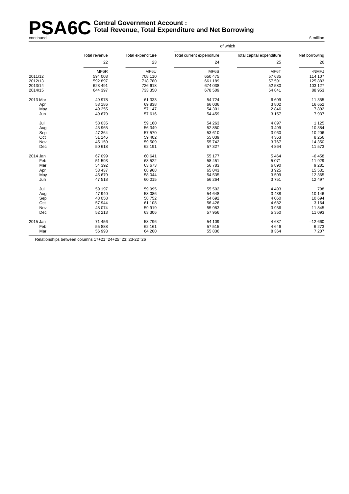#### **PSA6C** Central Government Account :<br> **PSA6C** Total Revenue, Total Expenditu **Total Revenue , Total Expenditure and Net Borrowing** continued £ million

|          |               |                   |                           | of which                  |               |  |
|----------|---------------|-------------------|---------------------------|---------------------------|---------------|--|
|          | Total revenue | Total expenditure | Total current expenditure | Total capital expenditure | Net borrowing |  |
|          | 22            | 23                | 24                        | 25                        | 26            |  |
|          | MF6R          | MF6U              | MF6S                      | MF6T                      | -NMFJ         |  |
| 2011/12  | 594 003       | 708 110           | 650 475                   | 57 635                    | 114 107       |  |
| 2012/13  | 592 897       | 718 780           | 661 189                   | 57 591                    | 125 883       |  |
| 2013/14  | 623 491       | 726 618           | 674 038                   | 52 580                    | 103 127       |  |
| 2014/15  | 644 397       | 733 350           | 678 509                   | 54 841                    | 88 953        |  |
| 2013 Mar | 49 978        | 61 333            | 54 724                    | 6 6 0 9                   | 11 355        |  |
| Apr      | 53 186        | 69838             | 66 036                    | 3802                      | 16 652        |  |
| May      | 49 255        | 57 147            | 54 301                    | 2846                      | 7892          |  |
| Jun      | 49 679        | 57 616            | 54 459                    | 3 1 5 7                   | 7937          |  |
| Jul      | 58 035        | 59 160            | 54 263                    | 4897                      | 1 1 2 5       |  |
| Aug      | 45 965        | 56 349            | 52 850                    | 3 4 9 9                   | 10 384        |  |
| Sep      | 47 364        | 57 570            | 53 610                    | 3 9 6 0                   | 10 20 6       |  |
| Oct      | 51 146        | 59 402            | 55 039                    | 4 3 6 3                   | 8 2 5 6       |  |
| Nov      | 45 159        | 59 509            | 55 742                    | 3767                      | 14 350        |  |
| Dec      | 50 618        | 62 191            | 57 327                    | 4 8 6 4                   | 11 573        |  |
| 2014 Jan | 67 099        | 60 641            | 55 177                    | 5 4 6 4                   | $-6458$       |  |
| Feb      | 51 593        | 63 522            | 58 451                    | 5 0 7 1                   | 11 929        |  |
| Mar      | 54 392        | 63 673            | 56 783                    | 6890                      | 9 2 8 1       |  |
| Apr      | 53 437        | 68 968            | 65 043                    | 3 9 2 5                   | 15 5 31       |  |
| May      | 45 679        | 58 044            | 54 535                    | 3509                      | 12 3 65       |  |
| Jun      | 47 518        | 60 015            | 56 264                    | 3751                      | 12 497        |  |
| Jul      | 59 197        | 59 995            | 55 502                    | 4 4 9 3                   | 798           |  |
| Aug      | 47 940        | 58 086            | 54 648                    | 3 4 3 8                   | 10 146        |  |
| Sep      | 48 058        | 58752             | 54 692                    | 4 0 6 0                   | 10 694        |  |
| Oct      | 57 944        | 61 108            | 56 426                    | 4682                      | 3 1 6 4       |  |
| Nov      | 48 074        | 59 919            | 55 983                    | 3936                      | 11 845        |  |
| Dec      | 52 213        | 63 306            | 57 956                    | 5 3 5 0                   | 11 093        |  |
| 2015 Jan | 71 456        | 58 796            | 54 109                    | 4687                      | $-12660$      |  |
| Feb      | 55 888        | 62 161            | 57 515                    | 4646                      | 6 2 7 3       |  |
| Mar      | 56 993        | 64 200            | 55 836                    | 8 3 6 4                   | 7 207         |  |

Relationships between columns 17+21=24+25=23; 23-22=26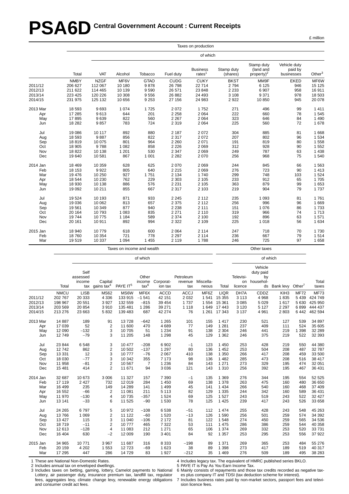# **PSA6D** Central Government Account : Current Receipts

|          |             |             |         |                            |             | Taxes on production          |                        |                                          |                                       |           |
|----------|-------------|-------------|---------|----------------------------|-------------|------------------------------|------------------------|------------------------------------------|---------------------------------------|-----------|
|          |             |             |         |                            |             | of which                     |                        |                                          |                                       |           |
|          | Total       | VAT         | Alcohol | Tobacco                    | Fuel duty   | <b>Business</b><br>rates $1$ | Stamp duty<br>(shares) | Stamp duty<br>(land and<br>property) $2$ | Vehicle duty<br>paid by<br>businesses | Other $3$ |
|          | <b>NMBY</b> | <b>NZGF</b> | MF6V    | <b>GTAO</b>                | <b>CUDG</b> | <b>CUKY</b>                  | <b>BKST</b>            | MM9F                                     | <b>EKED</b>                           | MF6W      |
| 2011/12  | 206 627     | 112 067     | 10 180  | 9878                       | 26 798      | 22714                        | 2794                   | 6 1 2 5                                  | 946                                   | 15 125    |
| 2012/13  | 211 622     | 114 465     | 10 139  | 9590                       | 26 571      | 23 848                       | 2 2 3 3                | 6907                                     | 958                                   | 16 911    |
| 2013/14  | 223 425     | 120 226     | 10 308  | 9556                       | 26 882      | 24 4 93                      | 3 1 0 8                | 9 3 7 1                                  | 978                                   | 18 503    |
| 2014/15  | 231 975     | 125 132     | 10 656  | 9 2 5 3                    | 27 156      | 24 983                       | 2922                   | 10850                                    | 945                                   | 20 078    |
| 2013 Mar | 18 593      | 9693        | 1 0 7 4 | 1725                       | 2 0 7 2     | 1752                         | 271                    | 496                                      | 99                                    | 1 4 1 1   |
| Apr      | 17 285      | 9613        | 644     | 201                        | 2 2 5 8     | 2 0 6 4                      | 222                    | 660                                      | 78                                    | 1 5 4 5   |
| May      | 17895       | 9639        | 822     | 560                        | 2 2 6 7     | 2064                         | 323                    | 646                                      | 84                                    | 1 4 9 0   |
| Jun      | 18 28 2     | 9857        | 783     | 724                        | 2 3 1 9     | 2 0 6 4                      | 225                    | 560                                      | 72                                    | 1678      |
| Jul      | 19 086      | 10 117      | 892     | 880                        | 2 1 8 7     | 2072                         | 304                    | 885                                      | 81                                    | 1668      |
| Aug      | 18 593      | 9887        | 856     | 822                        | 2 3 1 7     | 2072                         | 207                    | 802                                      | 96                                    | 1 5 3 4   |
| Sep      | 18819       | 10 075      | 801     | 964                        | 2 2 6 0     | 2 0 7 1                      | 191                    | 819                                      | 80                                    | 1 5 5 8   |
| Oct      | 18 905      | 9788        | 1 0 8 2 | 858                        | 2 2 2 6     | 2069                         | 312                    | 928                                      | 90                                    | 1 5 5 2   |
| Nov      | 18822       | 10 138      | 1 2 0 1 | 530                        | 2 3 4 7     | 2069                         | 249                    | 787                                      | 63                                    | 1 4 3 8   |
| Dec      | 19 640      | 10 581      | 867     | 1 0 0 1                    | 2 2 8 2     | 2070                         | 256                    | 968                                      | 75                                    | 1540      |
| 2014 Jan | 18 4 69     | 10 359      | 628     | 625                        | 2 0 7 0     | 2069                         | 244                    | 845                                      | 66                                    | 1563      |
| Feb      | 18 153      | 9922        | 805     | 640                        | 2 2 1 5     | 2069                         | 276                    | 723                                      | 90                                    | 1413      |
| Mar      | 19 476      | 10 250      | 927     | 1751                       | 2 1 3 4     | 1740                         | 299                    | 748                                      | 103                                   | 1 5 2 4   |
| Apr      | 18 544      | 10 230      | 762     | 229                        | 2 3 0 3     | 2 1 0 5                      | 233                    | 912                                      | 65                                    | 1705      |
| May      | 18 930      | 10 138      | 886     | 576                        | 2 2 3 1     | 2 1 0 5                      | 363                    | 879                                      | 99                                    | 1 653     |
| Jun      | 19 092      | 10 211      | 855     | 667                        | 2 3 1 7     | 2 1 0 3                      | 219                    | 904                                      | 79                                    | 1737      |
| Jul      | 19524       | 10 193      | 871     | 933                        | 2 2 4 5     | 2 1 1 2                      | 235                    | 1 0 9 3                                  | 81                                    | 1761      |
| Aug      | 19 0 36     | 10 062      | 813     | 657                        | 2 3 7 5     | 2 1 1 2                      | 256                    | 996                                      | 96                                    | 1 6 6 9   |
| Sep      | 19561       | 10 349      | 877     | 940                        | 2 2 3 8     | 2 1 1 1                      | 151                    | 1076                                     | 86                                    | 1 7 3 3   |
| Oct      | 20 164      | 10793       | 1 0 8 3 | 835                        | 2 2 7 1     | 2 1 1 0                      | 319                    | 966                                      | 74                                    | 1713      |
| Nov      | 19744       | 10775       | 1 1 8 4 | 589                        | 2 3 7 4     | 2 100                        | 192                    | 896                                      | 63                                    | 1571      |
| Dec      | 20 161      | 10 911      | 892     | 994                        | 2 3 2 2     | 2 1 0 9                      | 225                    | 1018                                     | 56                                    | 1 6 3 4   |
| 2015 Jan | 18 940      | 10779       | 618     | 600                        | 2 0 6 4     | 2 1 1 4                      | 247                    | 718                                      | 70                                    | 1730      |
| Feb      | 18760       | 10 354      | 721     | 778                        | 2 2 9 7     | 2 1 1 4                      | 236                    | 667                                      | 79                                    | 1514      |
| Mar      | 19519       | 10 337      | 1 0 9 4 | 1 4 5 5                    | 2 1 1 9     | 1788                         | 246                    | 725                                      | 97                                    | 1658      |
|          |             |             |         | Taxes on income and wealth |             |                              |                        | Other taxes                              |                                       |           |

Vehicle Self duty paid assessed Other Petroleum Televisi- by income Capital income Corporat- revenue Miscella- on househol- Total Total tax gains tax<sup>4</sup> PAYE IT<sup>5</sup> tax<sup>6</sup> ion tax tax neous Total licence ds Bank levy Other<sup>7</sup> taxes NMCU LISB MS62 MS6W MF6X ACCD ACCJ MF6Z LIQR DH7A CDDZ KIH3 MF72 MF73 2011/12 202 767 20 333 4 336 133 915 −1 541 42 151 2 032 1 541 15 355 3 113 4 968 1 835 5 439 424 749 2012/13 198 967 20 551 3 927 132 559 −815 39 454 1 737 1 554 15 361 3 085 5 029 1 617 5 630 425 950 2013/14 203 569 20 854 3 910 135 481 1 286 39 271 1 118 1 649 17 443 3 120 5 127 2 297 6 899 444 437 2014/15 213 276 23 663 5 832 139 483 687 42 274 76 1 261 17 343 3 137 4 961 2 803 6 442 462 594 2013 Mar 14 887 189 91 13 728 −642 1 265 101 155 1 417 230 521 127 539 34 897 Apr 17 039 52 2 11 600 470 4 689 77 149 1 281 237 409 111 524 35 605 May 12 090 −132 3 10 705 51 1 234 91 138 2 304 246 441 219 1 398 32 289 Jun 12 749 −79 3 11 205 148 1 298 45 129 1 362 246 375 219 522 32 393 Jul 23 844 6 548 3 10 477 −208 6 902 −1 123 1 450 253 428 219 550 44 380 Aug 12 742 862 2 10 502 −137 1 297 80 136 1 452 253 504 208 487 32 787 Sep 13 331 12 3 10 777 −76 2 067 410 138 1 350 266 417 208 459 33 500 Oct 18 030 −77 3 10 342 355 7 173 98 136 1 482 285 473 208 516 38 417 Nov 11 958 −81 2 10 567 7 1 236 84 143 1 271 273 329 195 474 32 051 Dec 15 481 414 2 11 671 94 3 036 121 143 1 310 256 392 195 467 36 431 2014 Jan 32 687 10 673 3 006 11 327 157 7 390 −1 135 1 369 276 344 195 554 52 525 Feb 17 119 2 427 732 12 019 284 1 450 69 138 1 378 263 475 160 480 36 650 Mar 16 499 235 149 14 289 141 1 499 45 141 1 434 266 540 160 468 37 409 Apr 16 552 −66 2 11 081 211 5 113 82 129 1 335 244 342 160 589 36 431 May 11 970 −130 4 10 735 −357 1 524 69 125 1 527 243 519 243 522 32 427 Jun 13 141 −33 6 11 525 −90 1 530 78 125 1 425 239 417 243 526 33 658 Jul 24 265 6 797 5 10 972 −108 6 538 −51 112 1 474 255 428 243 548 45 263 Aug 13 766 1 069 2 11 122 −60 1 520 −13 126 1 590 256 501 259 574 34 392 Sep 13 427 115 3 11 040 −106 2 172 81 122 1 548 274 450 259 565 34 536 Oct 18 719 −11 2 10 777 465 7 322 53 111 1 475 286 386 259 544 40 358 Nov 12 613 −128 4 11 083 212 1 271 65 106 1 374 269 332 253 520 33 731 Dec 16 404 630 −2 12 009 190 3 401 84 92 1 357 253 295 253 556 37 922 2015 Jan 34 965 10 771 3 967 11 687 316 8 333 −198 89 1 371 269 365 253 484 55 276 Feb 20 159 4 202 1 553 12 723 −69 1 623 38 89 1 398 273 417 189 519 40 317

Mar 17 295 447 286 14 729 83 1 927 −212 35 1 469 276 509 189 495 38 283

of which of which

1 These are National Non-Domestic Rates.

2 Includes annual tax on enveloped dwellings.

3 Includes taxes on betting, gaming, lottery, Camelot payments to National Lottery, air passenger duty, insurance premium tax, landfill tax, regulator fees, aggregates levy, climate change levy, renewable energy obligations and consumer credit act fees.

4 Includes legacy tax. The equivalent of HMRC published series BKLO.

5 PAYE IT is Pay As You Earn Income Tax.<br>6 Mainly consists of repayments and those

Mainly consists of repayments and those tax credits recorded as negative taxes plus company IT and TDSI (tax deduction scheme for interest).

7 Includes business rates paid by non-market sectors, passport fees and television licence fees.

£ million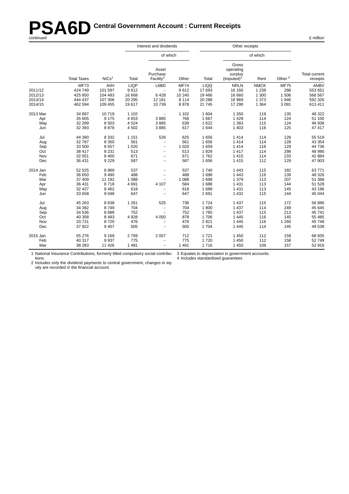# **PSA6D** Central Government Account : Current Receipts<br>
continued E million

|          |                    |                   |             | Interest and dividends                     |             |             | Other receipts                                          |             |                    |                                  |
|----------|--------------------|-------------------|-------------|--------------------------------------------|-------------|-------------|---------------------------------------------------------|-------------|--------------------|----------------------------------|
|          |                    |                   |             | of which                                   |             |             |                                                         | of which    |                    |                                  |
|          | <b>Total Taxes</b> | NICs <sup>1</sup> | Total       | Asset<br>Purchase<br>Facility <sup>2</sup> | Other       | Total       | Gross<br>operating<br>surplus<br>(imputed) <sup>3</sup> | Rent        | Other <sup>4</sup> | <b>Total current</b><br>receipts |
|          | <b>MF73</b>        | AIIH              | <b>LIQP</b> | L6BD                                       | <b>MF74</b> | <b>LIQQ</b> | <b>NRLN</b>                                             | <b>NMCK</b> | <b>MF75</b>        | <b>ANBV</b>                      |
| 2011/12  | 424 749            | 101 597           | 9612        | $\qquad \qquad -$                          | 9612        | 17 693      | 16 16 6                                                 | 1 2 3 9     | 288                | 553 651                          |
| 2012/13  | 425 950            | 104 483           | 16 668      | 6428                                       | 10 240      | 19 4 66     | 16 660                                                  | 1 3 0 0     | 1 506              | 566 567                          |
| 2013/14  | 444 437            | 107 306           | 20 29 5     | 12 181                                     | 8 1 1 4     | 20 288      | 16 969                                                  | 1 3 7 3     | 1946               | 592 326                          |
| 2014/15  | 462 594            | 109 455           | 19617       | 10739                                      | 8878        | 21 745      | 17 290                                                  | 1 3 6 4     | 3 0 9 1            | 613 411                          |
| 2013 Mar | 34 897             | 10719             | 1 1 0 2     | $\qquad \qquad -$                          | 1 1 0 2     | 1 604       | 1 3 5 0                                                 | 119         | 135                | 48 322                           |
| Apr      | 35 605             | 9 1 7 5           | 4653        | 3885                                       | 768         | 1667        | 1429                                                    | 114         | 124                | 51 100                           |
| May      | 32 289             | 8503              | 4524        | 3885                                       | 639         | 1 6 2 2     | 1 3 8 3                                                 | 115         | 124                | 46 938                           |
| Jun      | 32 393             | 8878              | 4502        | 3885                                       | 617         | 1 644       | 1 4 0 3                                                 | 116         | 125                | 47 417                           |
| Jul      | 44 380             | 8 3 3 2           | 1 1 5 1     | 526                                        | 625         | 1656        | 1414                                                    | 114         | 128                | 55 519                           |
| Aug      | 32 787             | 8 3 5 0           | 561         | $\overline{\phantom{0}}$                   | 561         | 1656        | 1414                                                    | 114         | 128                | 43 354                           |
| Sep      | 33 500             | 8557              | 1 0 2 0     | $\overline{\phantom{a}}$                   | 1 0 2 0     | 1659        | 1414                                                    | 116         | 129                | 44 736                           |
| Oct      | 38 417             | 8 2 3 1           | 513         | $\overline{\phantom{a}}$                   | 513         | 1829        | 1417                                                    | 114         | 298                | 48 990                           |
| Nov      | 32 051             | 8 4 0 0           | 671         | $\overline{\phantom{0}}$                   | 671         | 1762        | 1415                                                    | 114         | 233                | 42 884                           |
| Dec      | 36 431             | 9 2 2 9           | 587         | $\overline{\phantom{0}}$                   | 587         | 1656        | 1 4 1 5                                                 | 112         | 129                | 47 903                           |
| 2014 Jan | 52 525             | 8969              | 537         | $\overline{\phantom{0}}$                   | 537         | 1740        | 1 4 4 3                                                 | 115         | 182                | 63771                            |
| Feb      | 36 650             | 9490              | 488         | $\overline{\phantom{0}}$                   | 488         | 1698        | 1 4 4 3                                                 | 116         | 139                | 48 326                           |
| Mar      | 37 409             | 11 192            | 1 0 8 8     | $\overline{\phantom{0}}$                   | 1 0 8 8     | 1699        | 1 379                                                   | 113         | 207                | 51 388                           |
| Apr      | 36 431             | 8718              | 4691        | 4 107                                      | 584         | 1688        | 1 4 3 1                                                 | 113         | 144                | 51 528                           |
| May      | 32 4 27            | 8462              | 618         | $\overline{\phantom{m}}$                   | 618         | 1689        | 1 4 3 1                                                 | 113         | 145                | 43 196                           |
| Jun      | 33 658             | 9048              | 647         | $\overline{a}$                             | 647         | 1691        | 1 4 3 2                                                 | 115         | 144                | 45 044                           |
| Jul      | 45 263             | 8638              | 1 2 6 1     | 525                                        | 736         | 1724        | 1 4 3 7                                                 | 115         | 172                | 56 886                           |
| Aug      | 34 392             | 8749              | 704         | $\overline{\phantom{a}}$                   | 704         | 1800        | 1 4 3 7                                                 | 114         | 249                | 45 645                           |
| Sep      | 34 536             | 8688              | 752         | $\overline{\phantom{0}}$                   | 752         | 1765        | 1 4 3 7                                                 | 115         | 213                | 45 741                           |
| Oct      | 40 358             | 8 4 9 3           | 4 9 28      | 4 0 5 0                                    | 878         | 1706        | 1 4 4 5                                                 | 116         | 145                | 55 485                           |
| Nov      | 33 731             | 8720              | 476         |                                            | 476         | 2821        | 1 4 4 5                                                 | 116         | 1 2 6 0            | 45 748                           |
| Dec      | 37 922             | 9 4 0 7           | 505         | $\overline{\phantom{m}}$                   | 505         | 1704        | 1 4 4 5                                                 | 114         | 145                | 49 538                           |
| 2015 Jan | 55 276             | 9 1 6 9           | 2769        | 2 0 5 7                                    | 712         | 1721        | 1 4 5 0                                                 | 112         | 159                | 68 935                           |
| Feb      | 40 317             | 9937              | 775         | $\overline{a}$                             | 775         | 1720        | 1 4 5 0                                                 | 112         | 158                | 52749                            |
| Mar      | 38 283             | 11 4 26           | 1 4 9 1     | $\overline{\phantom{0}}$                   | 1 4 9 1     | 1716        | 1 4 5 0                                                 | 109         | 157                | 52 916                           |

1 National Insurance Contributions, for merly titled compulsory social contributions. 3 Equates to depreciation in government accounts.

4 Includes standardised guarantees

2 Includes only the dividend payments to central government, changes in equity are recorded in the financial account.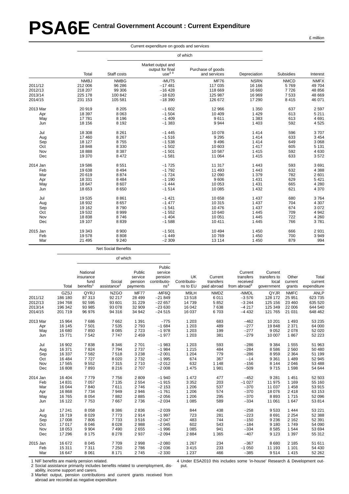# **PSA6E Central Government Account : Current Expenditure**

|          |             |             | Current expenditure on goods and services         |                                   |              |             |             |
|----------|-------------|-------------|---------------------------------------------------|-----------------------------------|--------------|-------------|-------------|
|          |             |             |                                                   | of which                          |              |             |             |
|          | Total       | Staff costs | Market output and<br>output for final<br>use $34$ | Purchase of goods<br>and services | Depreciation | Subsidies   | Interest    |
|          | <b>NMBJ</b> | <b>NMBG</b> | -MUT5                                             | <b>MF76</b>                       | <b>NSRN</b>  | <b>NMCD</b> | <b>NMFX</b> |
| 2011/12  | 212 006     | 96 286      | $-17481$                                          | 117 035                           | 16 16 6      | 5769        | 49 704      |
| 2012/13  | 218 207     | 99 306      | $-16428$                                          | 118 669                           | 16 660       | 7726        | 48 856      |
| 2013/14  | 225 178     | 100 842     | $-18620$                                          | 125 987                           | 16 969       | 7 5 3 3     | 48 669      |
| 2014/15  | 231 153     | 105 581     | $-18390$                                          | 126 672                           | 17 290       | 8 4 1 5     | 46 071      |
| 2013 Mar | 20919       | 8 2 0 5     | $-1602$                                           | 12 966                            | 1 3 5 0      | 637         | 2 5 9 7     |
| Apr      | 18 397      | 8 0 6 3     | $-1504$                                           | 10 409                            | 1 4 2 9      | 613         | 5 2 1 1     |
| May      | 17781       | 8 1 9 6     | $-1409$                                           | 9611                              | 1 3 8 3      | 613         | 4691        |
| Jun      | 18 15 6     | 8 1 9 2     | $-1383$                                           | 9944                              | 1 4 0 3      | 592         | 4525        |
| Jul      | 18 308      | 8 2 6 1     | $-1445$                                           | 10 078                            | 1414         | 596         | 3707        |
| Aug      | 17460       | 8 2 6 7     | $-1516$                                           | 9 2 9 5                           | 1414         | 633         | 3 4 5 4     |
| Sep      | 18 127      | 8755        | $-1538$                                           | 9496                              | 1414         | 649         | 3 0 6 8     |
| Oct      | 18848       | 8 3 3 0     | $-1502$                                           | 10 603                            | 1417         | 605         | 5 1 3 1     |
| Nov      | 18888       | 8 3 8 7     | $-1501$                                           | 10 587                            | 1415         | 592         | 4 6 3 0     |
| Dec      | 19 370      | 8472        | $-1581$                                           | 11 064                            | 1 4 1 5      | 633         | 3572        |
| 2014 Jan | 19586       | 8551        | $-1725$                                           | 11 317                            | 1 4 4 3      | 593         | 3691        |
| Feb      | 19638       | 8 4 9 4     | $-1792$                                           | 11 493                            | 1 4 4 3      | 632         | 4 3 8 8     |
| Mar      | 20 619      | 8874        | $-1724$                                           | 12 090                            | 1 3 7 9      | 782         | 2 601       |
| Apr      | 18 3 31     | 8484        | $-1190$                                           | 9606                              | 1 4 3 1      | 629         | 5 4 21      |
| May      | 18 647      | 8607        | $-1444$                                           | 10 053                            | 1 4 3 1      | 665         | 4 2 8 0     |
| Jun      | 18 653      | 8650        | $-1514$                                           | 10 085                            | 1 4 3 2      | 621         | 4 3 7 0     |
| Jul      | 19535       | 8861        | $-1421$                                           | 10 658                            | 1 4 3 7      | 680         | 3764        |
| Aug      | 18 9 32     | 8657        | $-1477$                                           | 10 315                            | 1 4 3 7      | 704         | 4 3 0 7     |
| Sep      | 19 162      | 8790        | $-1541$                                           | 10 476                            | 1 4 3 7      | 674         | 3 0 7 2     |
| Oct      | 19532       | 8999        | $-1552$                                           | 10 640                            | 1 4 4 5      | 709         | 4 9 4 2     |
| Nov      | 18838       | 8746        | $-1404$                                           | 10 051                            | 1 4 4 5      | 722         | 4 2 6 0     |
| Dec      | 19 107      | 8839        | $-1588$                                           | 10 411                            | 1 4 4 5      | 766         | 3781        |
| 2015 Jan | 19 343      | 8 9 0 0     | $-1501$                                           | 10 4 94                           | 1 4 5 0      | 666         | 2931        |
| Feb      | 19578       | 8808        | $-1449$                                           | 10769                             | 1 4 5 0      | 700         | 3949        |
| Mar      | 21 4 9 5    | 9 2 4 0     | $-2309$                                           | 13 114                            | 1 4 5 0      | 879         | 994         |

Net Social Benefits

of which

|          |         |                       |                         |             | Public          |              |             |                 |              |             |             |
|----------|---------|-----------------------|-------------------------|-------------|-----------------|--------------|-------------|-----------------|--------------|-------------|-------------|
|          |         | National              |                         | Public      | service         |              |             | Current         | Current      |             |             |
|          |         | insurance             |                         | service     | pension         | UK           | Current     | transfers       | transfers to | Other       | Total       |
|          |         | fund                  | Social                  | pension     | contributio-    | Contributio- | transfers   | received        | local        | current     | current     |
|          | Total   | benefits <sup>1</sup> | assistance <sup>2</sup> | payments    | ns <sup>3</sup> | ns to EU     | paid abroad | from abroad $3$ | government   | grants      | expenditure |
|          | GZSJ    | QYRJ                  | <b>NZGO</b>             | <b>MF77</b> | -MF6Q           | M9LH         | <b>NMDZ</b> | -NMDL           | QYJR         | <b>NMFC</b> | <b>ANLP</b> |
| 2011/12  | 186 180 | 87 313                | 92 217                  | 28 4 9 9    | $-21849$        | 13518        | 6011        | $-3576$         | 128 172      | 25 951      | 623735      |
| 2012/13  | 194 768 | 92 595                | 93 601                  | 31 229      | $-22657$        | 14 739       | 5852        | $-3244$         | 125 156      | 23 460      | 635 520     |
| 2013/14  | 196 342 | 93 985                | 93 078                  | 32 909      | $-23630$        | 16 042       | 7638        | $-4217$         | 125 349      | 22 006      | 644 540     |
| 2014/15  | 201 719 | 96 976                | 94 316                  | 34 942      | $-24515$        | 16 037       | 6703        | $-4432$         | 121 765      | 21 0 31     | 648 462     |
| 2013 Mar | 15 9 64 | 7686                  | 7662                    | 1 3 9 1     | $-775$          | 1 2 0 3      | 683         | $-462$          | 10 201       | 1 4 9 3     | 53 235      |
| Apr      | 16 145  | 7 501                 | 7 5 3 5                 | 2793        | $-1684$         | 1 2 0 3      | 489         | $-277$          | 19848        | 2 3 7 1     | 64 000      |
| May      | 16 680  | 7850                  | 8 0 8 5                 | 2723        | $-1978$         | 1 2 0 3      | 199         | $-277$          | 9 0 5 2      | 2 0 7 8     | 52 020      |
| Jun      | 15771   | 7542                  | 7747                    | 2 4 5 9     | $-1977$         | 1 2 0 3      | 381         | $-279$          | 10 007       | 1867        | 52 223      |
| Jul      | 16 902  | 7838                  | 8 3 4 6                 | 2701        | $-1983$         | 1 2 0 3      | 593         | $-286$          | 9 3 8 4      | 1 5 5 5     | 51 963      |
| Aug      | 16 371  | 7824                  | 7794                    | 2737        | $-1984$         | 1 2 1 5      | 484         | $-284$          | 8586         | 2 5 6 0     | 50 480      |
| Sep      | 16 337  | 7582                  | 7518                    | 3 2 3 8     | $-2001$         | 1 2 0 4      | 779         | $-286$          | 8959         | 2 3 6 4     | 51 199      |
| Oct      | 16 4 84 | 7727                  | 8 0 2 0                 | 2732        | $-1995$         | 674          | 367         | $-14$           | 9 3 6 1      | 1 4 8 9     | 52 945      |
| Nov      | 17 565  | 9552                  | 7315                    | 2710        | $-2012$         | 632          | 1 1 4 8     | $-156$          | 8 1 4 4      | 2 0 4 6     | 53 488      |
| Dec      | 16 808  | 7893                  | 8 2 1 6                 | 2707        | $-2008$         | 1 4 7 5      | 1981        | $-509$          | 9715         | 1598        | 54 644      |
| 2014 Jan | 16 404  | 7779                  | 7756                    | 2 8 0 9     | $-1940$         | 1 472        | 477         | $-452$          | 9 2 8 1      | 1 4 5 1     | 52 503      |
| Feb      | 14 8 31 | 7 0 5 7               | 7 1 3 5                 | 2 5 5 4     | $-1915$         | 3 3 5 2      | 203         | $-1027$         | 11 975       | 1 1 6 9     | 55 160      |
| Mar      | 16 044  | 7840                  | 7611                    | 2746        | $-2153$         | 1 2 0 6      | 537         | $-370$          | 11 0 37      | 1 4 5 8     | 53 915      |
| Apr      | 16 868  | 7734                  | 7949                    | 2946        | $-1761$         | 1 2 0 6      | 574         | $-370$          | 18 0 76      | 2418        | 63 153      |
| May      | 16765   | 8 0 5 4               | 7882                    | 2885        | $-2056$         | 1 2 0 6      | 295         | $-370$          | 8893         | 1715        | 52 096      |
| Jun      | 16 122  | 7753                  | 7667                    | 2 7 3 6     | $-2034$         | 1 0 8 5      | 589         | $-334$          | 11 061       | 1 647       | 53814       |
| Jul      | 17 241  | 8 0 5 8               | 8 3 8 6                 | 2836        | $-2039$         | 844          | 438         | $-258$          | 9533         | 1 4 4 4     | 53 221      |
| Aug      | 16719   | 8 0 2 9               | 7773                    | 2914        | $-1997$         | 723          | 281         | $-223$          | 8691         | 2 2 5 4     | 52 388      |
| Sep      | 17 008  | 7806                  | 7733                    | 3516        | $-2047$         | 483          | 744         | $-150$          | 9 2 3 6      | 2 1 6 2     | 52 391      |
| Oct      | 17 017  | 8 0 4 6               | 8 0 28                  | 2988        | $-2045$         | 602          | 543         | $-184$          | 9 1 8 0      | 1749        | 54 090      |
| Nov      | 18 053  | 9 9 0 4               | 7 4 9 0                 | 2655        | $-1996$         | 1 0 8 5      | 941         | $-334$          | 8585         | 1 5 4 4     | 53 694      |
| Dec      | 17 29 6 | 8 1 7 5               | 8 2 7 8                 | 2937        | $-2094$         | 2884         | 1 3 6 5     | $-407$          | 9 1 2 3      | 1 3 9 7     | 55 312      |
| 2015 Jan | 16 672  | 8 0 4 5               | 7709                    | 2998        | $-2080$         | 1 2 6 7      | 234         | $-367$          | 8680         | 2 1 8 5     | 51 611      |
| Feb      | 15 311  | 7 3 1 1               | 7 2 5 0                 | 2786        | $-2036$         | 3415         | 233         | $-1050$         | 11 193       | 1 1 0 1     | 54 430      |
| Mar      | 16 647  | 8 0 61                | 8 1 7 1                 | 2745        | $-2330$         | 1 2 3 7      | 466         | $-385$          | 9514         | 1415        | 52 262      |

1 NIF benefits are mainly pension related.

2 Social assistance primarily includes benefits related to unemployment, disability, income support and carers.

3 Market output, pension contributions and current grants received from

abroad are recorded as negative expenditure

4 Under ESA2010 this includes some 'in-house' Research & Development output.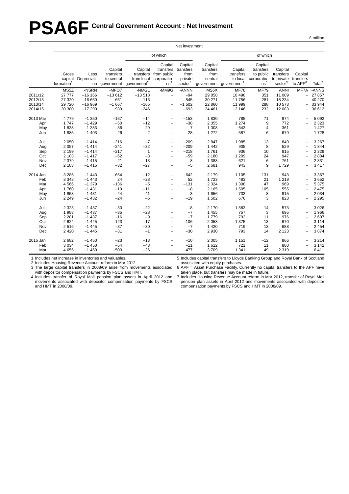# **PSA6F Central Government Account : Net Investment**

|                                             | Net investment                                                 |                                                                |                                                       |                                                                             |                                                                                                                                   |                                                                |                                                       |                                                             |                                                                     |                                                           |                                                              |                                                             |
|---------------------------------------------|----------------------------------------------------------------|----------------------------------------------------------------|-------------------------------------------------------|-----------------------------------------------------------------------------|-----------------------------------------------------------------------------------------------------------------------------------|----------------------------------------------------------------|-------------------------------------------------------|-------------------------------------------------------------|---------------------------------------------------------------------|-----------------------------------------------------------|--------------------------------------------------------------|-------------------------------------------------------------|
|                                             |                                                                |                                                                |                                                       |                                                                             | of which                                                                                                                          |                                                                |                                                       |                                                             | of which                                                            |                                                           |                                                              |                                                             |
|                                             | Gross<br>capital<br>formation <sup>1</sup>                     | Less<br>Depreciati-                                            | Capital<br>transfers<br>to central                    | Capital<br>transfers<br>from local<br>on government government <sup>2</sup> | Capital<br>transfers<br>from public<br>corporatio-<br>ns <sup>3</sup>                                                             | Capital<br>transfers<br>from<br>private<br>sector <sup>4</sup> | Capital<br>transfers<br>from<br>central<br>government | Capital<br>transfers<br>to local<br>government <sup>2</sup> | Capital<br>transfers<br>to public<br>corporatio-<br>ns <sup>5</sup> | Capital<br>transfers<br>to private<br>sector <sup>3</sup> | Capital<br>transfers<br>to APF <sup>6</sup>                  | Total <sup>7</sup>                                          |
| 2011/12<br>2012/13<br>2013/14<br>2014/15    | MS5Z<br>27 777<br>27 320<br>29 7 20<br>30 380                  | -NSRN<br>$-16$ 166<br>$-16660$<br>$-16969$<br>$-17290$         | -MFO7<br>$-13612$<br>$-661$<br>$-1667$<br>$-939$      | -NMGL<br>$-13518$<br>$-116$<br>$-165$<br>$-246$                             | -MM9G<br>$\overline{\phantom{a}}$<br>$\overline{\phantom{0}}$<br>$\overline{\phantom{0}}$<br>$\overline{\phantom{0}}$             | -ANNN<br>$-94$<br>$-545$<br>$-1502$<br>$-693$                  | MS6X<br>29 858<br>30 271<br>22 860<br>24 461          | <b>MF78</b><br>18 4 98<br>11 756<br>11 999<br>12 14 6       | <b>MF79</b><br>351<br>281<br>288<br>232                             | <b>ANNI</b><br>11 009<br>18 234<br>10 573<br>12 083       | MF7A<br>$\overline{\phantom{0}}$<br>$\overline{\phantom{0}}$ | -ANNS<br>27 857<br>40 270<br>33 944<br>36 612               |
| 2013 Mar<br>Apr<br>May<br>Jun               | 4779<br>1747<br>1838<br>1885                                   | $-1350$<br>$-1429$<br>$-1383$<br>$-1403$                       | $-167$<br>$-50$<br>$-36$<br>$-26$                     | $-14$<br>$-12$<br>$-29$<br>$\overline{2}$                                   | $\overline{\phantom{0}}$<br>$\overline{\phantom{0}}$<br>$\overline{\phantom{0}}$<br>$\overline{\phantom{0}}$                      | $-153$<br>$-38$<br>$-7$<br>$-28$                               | 1830<br>2 0 5 5<br>1 0 0 8<br>1 2 7 2                 | 785<br>1 2 7 4<br>643<br>587                                | 71<br>9<br>$\overline{4}$<br>6                                      | 974<br>772<br>361<br>679                                  |                                                              | 5 0 9 2<br>2 3 2 3<br>1 4 2 7<br>1728                       |
| Jul<br>Aug<br>Sep<br>Oct<br>Nov<br>Dec      | 2 0 5 0<br>2 0 5 7<br>2 1 9 9<br>2 1 8 3<br>2 3 7 9<br>2 1 8 3 | $-1414$<br>$-1414$<br>$-1414$<br>$-1417$<br>$-1415$<br>$-1415$ | $-216$<br>$-241$<br>$-217$<br>$-62$<br>$-21$<br>$-32$ | $-7$<br>$-32$<br>1<br>$-3$<br>$-13$<br>$-27$                                | $\overline{\phantom{0}}$<br>$\qquad \qquad -$<br>$\overline{\phantom{0}}$<br>$\overline{\phantom{0}}$                             | $-209$<br>$-209$<br>$-218$<br>$-59$<br>$-8$<br>$-5$            | 2847<br>1 4 4 2<br>1761<br>2 1 8 0<br>1 3 8 8<br>2681 | 1985<br>905<br>936<br>1 2 0 9<br>621<br>943                 | 13<br>8<br>10<br>24<br>6<br>9                                       | 849<br>529<br>815<br>947<br>761<br>1729                   | $\overline{\phantom{0}}$<br>-                                | 3 2 6 7<br>1844<br>2 3 2 9<br>2884<br>2 3 3 1<br>3 4 1 7    |
| 2014 Jan<br>Feb<br>Mar<br>Apr<br>May<br>Jun | 3 2 8 5<br>3 3 4 8<br>4 5 6 6<br>1760<br>1853<br>2 2 4 9       | $-1443$<br>$-1443$<br>$-1379$<br>$-1431$<br>$-1431$<br>$-1432$ | $-654$<br>24<br>$-136$<br>$-19$<br>$-44$<br>$-24$     | $-12$<br>$-28$<br>$-5$<br>$-11$<br>$-41$<br>$-5$                            | $\overline{\phantom{0}}$<br>$\qquad \qquad -$<br>$\overline{\phantom{0}}$<br>$\overline{\phantom{0}}$<br>$\overline{\phantom{0}}$ | $-642$<br>52<br>$-131$<br>$-8$<br>$-3$<br>$-19$                | 2 1 7 9<br>1723<br>2 3 2 4<br>2 1 6 5<br>1656<br>1502 | 1 1 0 5<br>483<br>1 3 0 8<br>1 505<br>733<br>676            | 131<br>21<br>47<br>105<br>8<br>3                                    | 943<br>1 2 1 9<br>969<br>555<br>915<br>823                | -                                                            | 3 3 6 7<br>3652<br>5 3 7 5<br>2 4 7 5<br>2 0 3 4<br>2 2 9 5 |
| Jul<br>Aug<br>Sep<br>Oct<br>Nov<br>Dec      | 2 3 2 3<br>1983<br>2 2 8 1<br>2 6 2 4<br>2516<br>2 4 2 0       | $-1437$<br>$-1437$<br>$-1437$<br>$-1445$<br>$-1445$<br>$-1445$ | $-30$<br>$-35$<br>$-16$<br>$-123$<br>$-37$<br>$-31$   | $-22$<br>$-28$<br>$-9$<br>$-17$<br>$-30$<br>$-1$                            | $\overline{\phantom{0}}$<br>$\overline{\phantom{0}}$<br>$\overline{\phantom{0}}$<br>$\overline{\phantom{0}}$                      | $-8$<br>$-7$<br>$-7$<br>$-106$<br>$-7$<br>$-30$                | 2 1 7 0<br>1455<br>1779<br>2058<br>1 4 2 0<br>2930    | 1583<br>757<br>792<br>1 3 7 5<br>719<br>793                 | 14<br>3<br>11<br>13<br>13<br>14                                     | 573<br>695<br>976<br>670<br>688<br>2 1 2 3                | $\overline{\phantom{0}}$<br>-                                | 3 0 26<br>1966<br>2 607<br>3 1 1 4<br>2 4 5 4<br>3874       |
| 2015 Jan<br>Feb<br>Mar                      | 2682<br>3 0 3 4<br>4655                                        | $-1450$<br>$-1450$<br>$-1450$                                  | $-23$<br>$-54$<br>$-503$                              | $-13$<br>$-43$<br>$-26$                                                     |                                                                                                                                   | $-10$<br>$-11$<br>$-477$                                       | 2 0 0 5<br>1612<br>3709                               | 1 1 5 1<br>721<br>1 3 4 1                                   | $-12$<br>11<br>49                                                   | 866<br>880<br>2 3 1 9                                     |                                                              | 3 2 1 4<br>3 1 4 2<br>6411                                  |

1 Includes net increase in inventories and valuables.

2 Includes Housing Revenue Account reform in Mar 2012.

3 The large capital transfers in 2008/09 arise from movements associated with depositor compensation payments by FSCS and HMT.

4 Includes transfer of Royal Mail pension plan assets in April 2012 and movements associated with depositor compensation payments by FSCS and HMT in 2008/09.

5 Includes capital transfers to Lloyds Banking Group and Royal Bank of Scotland associated with equity purchases.

6 APF = Asset Purchase Facility. Currently no capital transfers to the APF have taken place, but transfers may be made in future.

7 Includes Housing Revenue Account reform in Mar 2012, transfer of Royal Mail pension plan assets in April 2012 and movements associated with depositor compensation payments by FSCS and HMT in 2008/09.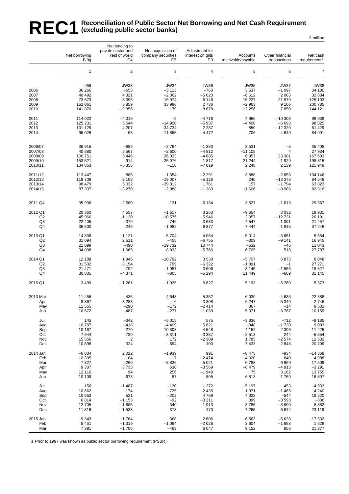#### REC1 Reconciliation of Public Sector Net Borrowing and Net Cash Requirement<br>REC1 (excluding public sector banks) **(excluding public sector banks)** £ million

|                                      | Net borrowing<br>$-B.9g$                                  | Net lending to<br>private sector and<br>rest of world<br>F.4   | Net acquisition of<br>company securities<br>F.5              | Adjustment for<br>interest on gilts<br>F <sub>3</sub>          | Accounts<br>receivable/payable                                 | Other financial<br>transactions                                | Net cash<br>requirement <sup>1</sup>                             |
|--------------------------------------|-----------------------------------------------------------|----------------------------------------------------------------|--------------------------------------------------------------|----------------------------------------------------------------|----------------------------------------------------------------|----------------------------------------------------------------|------------------------------------------------------------------|
|                                      | $\mathbf{1}$                                              | $\overline{c}$                                                 | 3                                                            | $\overline{4}$                                                 | 5                                                              | 6                                                              | $\overline{7}$                                                   |
| 2006<br>2007<br>2008<br>2009<br>2010 | -J5II<br>36 266<br>40 492<br>73 673<br>152 061<br>141 870 | <b>JW33</b><br>$-653$<br>4 3 2 1<br>3 3 9 6<br>5859<br>$-9356$ | <b>JW34</b><br>$-3113$<br>$-2362$<br>16 974<br>33 986<br>179 | <b>JW36</b><br>$-760$<br>$-5020$<br>$-6146$<br>2736<br>$-8678$ | <b>JW35</b><br>3537<br>$-6612$<br>15 2 27<br>$-2963$<br>12 256 | <b>JW37</b><br>$-1097$<br>2 0 6 5<br>21 979<br>9 1 0 6<br>7850 | <b>JW38</b><br>34 180<br>32 884<br>125 103<br>200 785<br>144 121 |
| 2011                                 | 114 022                                                   | $-4019$                                                        | $-9$                                                         | $-4716$                                                        | 4966                                                           | $-10306$                                                       | 99 938                                                           |
| 2012                                 | 125 231                                                   | 5 5 4 4                                                        | $-14920$                                                     | $-5937$                                                        | $-4400$                                                        | $-6693$                                                        | 98 825                                                           |
| 2013                                 | 101 129                                                   | 4 207                                                          | $-34724$                                                     | 2 2 8 7                                                        | 850                                                            | $-12320$                                                       | 61 429                                                           |
| 2014                                 | 96 0 26                                                   | $-63$                                                          | $-11855$                                                     | $-4472$                                                        | 706                                                            | 4649                                                           | 84 991                                                           |
| 2006/07                              | 36 915                                                    | $-889$                                                         | $-2764$                                                      | $-1383$                                                        | 3531                                                           | $-5$                                                           | 35 405                                                           |
| 2007/08                              | 40 880                                                    | 5 5 6 7                                                        | $-2600$                                                      | $-4812$                                                        | $-111105$                                                      | $\overline{4}$                                                 | 27 934                                                           |
| 2008/09                              | 100 751                                                   | 5 4 4 6                                                        | 26 033                                                       | $-4885$                                                        | 6957                                                           | 33 301                                                         | 167 603                                                          |
| 2009/10                              | 153 521                                                   | $-914$                                                         | 25 0 76                                                      | 1817                                                           | 21 244                                                         | $-1929$                                                        | 198 815                                                          |
| 2010/11                              | 134 853                                                   | $-5356$                                                        | $-116$                                                       | $-7819$                                                        | 2 2 4 8                                                        | 2 1 3 9                                                        | 125 949                                                          |
| 2011/12                              | 113 447                                                   | 885                                                            | $-1354$                                                      | $-2291$                                                        | $-3888$                                                        | $-2653$                                                        | 104 146                                                          |
| 2012/13                              | 119 709                                                   | 2 1 0 8                                                        | $-19007$                                                     | $-5126$                                                        | 240                                                            | $-13376$                                                       | 84 548                                                           |
| 2013/14                              | 98 479                                                    | 5 0 3 2                                                        | $-39812$                                                     | 1761                                                           | 157                                                            | $-1794$                                                        | 63 823                                                           |
| 2014/15                              | 87 337                                                    | $-3270$                                                        | $-2988$                                                      | $-1383$                                                        | 11 606                                                         | $-8986$                                                        | 82 316                                                           |
| 2011 Q4                              | 35 936                                                    | $-2580$                                                        | 131                                                          | $-6134$                                                        | 3627                                                           | $-1613$                                                        | 29 367                                                           |
| 2012 Q1                              | 20 360                                                    | 4557                                                           | $-1617$                                                      | 3 2 5 3                                                        | $-9654$                                                        | 3 0 3 2                                                        | 19 931                                                           |
| Q2                                   | 45 966                                                    | 1 1 2 0                                                        | $-10575$                                                     | $-5946$                                                        | 2 3 5 7                                                        | $-12731$                                                       | 20 191                                                           |
| Q3                                   | 22 405                                                    | $-379$                                                         | $-746$                                                       | 3633                                                           | $-4547$                                                        | 1 0 9 1                                                        | 21 457                                                           |
| Q4                                   | 36 500                                                    | 246                                                            | $-1982$                                                      | $-6877$                                                        | 7444                                                           | 1915                                                           | 37 246                                                           |
| 2013 Q1                              | 14 8 38                                                   | 1 1 2 1                                                        | $-5704$                                                      | 4 0 64                                                         | $-5014$                                                        | $-3651$                                                        | 5 6 5 4                                                          |
| Q2                                   | 31 094                                                    | 2511                                                           | $-455$                                                       | $-6755$                                                        | $-309$                                                         | $-9141$                                                        | 16 945                                                           |
| Q <sub>3</sub>                       | 21 099                                                    | $-490$                                                         | $-19732$                                                     | 10744                                                          | $-532$                                                         | $-46$                                                          | 11 043                                                           |
| Q4                                   | 34 098                                                    | 1 0 6 5                                                        | $-8833$                                                      | $-5766$                                                        | 6705                                                           | 518                                                            | 27 787                                                           |
| 2014 Q1                              | 12 188                                                    | 1946                                                           | $-10792$                                                     | 3538                                                           | $-5707$                                                        | 6875                                                           | 8 0 4 8                                                          |
| Q2                                   | 31 532                                                    | 3 1 5 4                                                        | 799                                                          | $-6322$                                                        | $-1891$                                                        | $-1$                                                           | 27 271                                                           |
| Q <sub>3</sub>                       | 21 471                                                    | $-792$                                                         | $-1057$                                                      | 3606                                                           | $-3145$                                                        | $-1556$                                                        | 18 527                                                           |
| Q4                                   | 30 835                                                    | $-4371$                                                        | $-805$                                                       | $-5294$                                                        | 11 449                                                         | -669                                                           | 31 145                                                           |
| 2015 Q1                              | 3 4 9 9                                                   | $-1261$                                                        | $-1925$                                                      | 6627                                                           | 5 1 9 3                                                        | $-6760$                                                        | 5 3 7 3                                                          |
| 2013 Mar                             | 11 455                                                    | $-436$                                                         | $-4648$                                                      | 5 3 5 2                                                        | 6030                                                           | 4635                                                           | 22 388                                                           |
| Apr                                  | 8867                                                      | 3 2 8 8                                                        | $-6$                                                         | $-3308$                                                        | $-6247$                                                        | $-5340$                                                        | $-2746$                                                          |
| May                                  | 11 555                                                    | -290                                                           | $-172$                                                       | $-2414$                                                        | 867                                                            | $-14$                                                          | 9532                                                             |
| Jun                                  | 10 672                                                    | $-487$                                                         | $-277$                                                       | $-1033$                                                        | 5 0 7 1                                                        | $-3787$                                                        | 10 159                                                           |
| Jul                                  | 145                                                       | $-342$                                                         | $-5015$                                                      | 575                                                            | $-3836$                                                        | $-712$                                                         | $-9185$                                                          |
| Aug                                  | 10787                                                     | $-418$                                                         | $-4409$                                                      | 5 6 21                                                         | $-848$                                                         | $-1730$                                                        | 9 0 0 3                                                          |
| Sep                                  | 10 167                                                    | 270                                                            | $-10308$                                                     | 4548                                                           | 4 1 5 2                                                        | 2 3 9 6                                                        | 11 225                                                           |
| Oct                                  | 7644                                                      | 739                                                            | $-8311$                                                      | $-3357$                                                        | $-2513$                                                        | 244                                                            | $-5554$                                                          |
| Nov                                  | 15 556                                                    | $\overline{\mathbf{c}}$                                        | 172                                                          | $-2309$                                                        | 1785                                                           | $-2574$                                                        | 12 632                                                           |
| Dec                                  | 10898                                                     | 324                                                            | $-694$                                                       | $-100$                                                         | 7433                                                           | 2848                                                           | 20709                                                            |
| 2014 Jan                             | $-6034$                                                   | 2 0 2 2                                                        | $-1939$                                                      | 991                                                            | $-8475$                                                        | $-934$                                                         | $-14369$                                                         |
| Feb                                  | 10 395                                                    | 184                                                            | $-17$                                                        | $-2474$                                                        | $-4020$                                                        | 840                                                            | 4 9 0 8                                                          |
| Mar                                  | 7827                                                      | $-260$                                                         | $-8836$                                                      | 5 0 21                                                         | 6788                                                           | 6969                                                           | 17 509                                                           |
| Apr                                  | 9 3 0 7                                                   | 3733                                                           | 630                                                          | $-3569$                                                        | $-8479$                                                        | $-4913$                                                        | $-3291$                                                          |
| May                                  | 12 116                                                    | 94                                                             | 256                                                          | $-1948$                                                        | 75                                                             | 3 1 6 2                                                        | 13755                                                            |
| Jun                                  | 10 109                                                    | $-673$                                                         | $-87$                                                        | $-805$                                                         | 6513                                                           | 1750                                                           | 16 807                                                           |
| Jul                                  | 156                                                       | $-1487$                                                        | $-130$                                                       | 1 2 7 2                                                        | $-5197$                                                        | 453                                                            | $-4933$                                                          |
| Aug                                  | 10 662                                                    | 174                                                            | $-725$                                                       | $-2435$                                                        | $-1971$                                                        | $-1465$                                                        | 4 2 4 0                                                          |
| Sep                                  | 10 653                                                    | 521                                                            | $-202$                                                       | 4769                                                           | 4 0 23                                                         | $-544$                                                         | 19 220                                                           |
| Oct                                  | 6814                                                      | $-1153$                                                        | $-92$                                                        | $-3211$                                                        | 399                                                            | $-3593$                                                        | $-836$                                                           |
| Nov                                  | 12 705                                                    | $-1685$                                                        | $-340$                                                       | $-1913$                                                        | 3785                                                           | $-3690$                                                        | 8862                                                             |
| Dec                                  | 11 316                                                    | $-1533$                                                        | $-373$                                                       | $-170$                                                         | 7 2 6 5                                                        | 6614                                                           | 23 119                                                           |
| 2015 Jan                             | $-9343$                                                   | 1764                                                           | $-368$                                                       | 2 6 0 6                                                        | $-6563$                                                        | $-5628$                                                        | $-17532$                                                         |
| Feb                                  | 5 4 5 1                                                   | $-1319$                                                        | $-1094$                                                      | $-2026$                                                        | 2604                                                           | $-1988$                                                        | 1628                                                             |
| Mar                                  | 7 3 9 1                                                   | $-1706$                                                        | $-463$                                                       | 6 0 4 7                                                        | 9 1 5 2                                                        | 856                                                            | 21 277                                                           |

1 Prior to 1997 was known as public sector borrowing requirement (PSBR)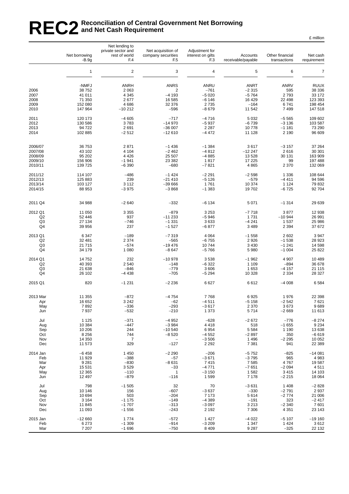# REC2<sup>Reconciliation of Central Government Net Borrowing<br>REC2 and Net Cash Requirement</sup> **and Net Cash Requirement**

|                      | Net borrowing<br>$-B.9g$ | Net lending to<br>private sector and<br>rest of world<br>F <sub>4</sub> | Net acquisition of<br>company securities<br>F <sub>5</sub> | Adjustment for<br>interest on gilts<br>F <sub>3</sub> | Accounts<br>receivable/payable | Other financial<br>transactions | Net cash<br>requirement |
|----------------------|--------------------------|-------------------------------------------------------------------------|------------------------------------------------------------|-------------------------------------------------------|--------------------------------|---------------------------------|-------------------------|
|                      | $\mathbf{1}$             | $\sqrt{2}$                                                              | 3                                                          | 4                                                     | 5                              | 6                               | $\overline{7}$          |
|                      | -NMFJ                    | <b>ANRH</b>                                                             | <b>ANRS</b>                                                | ANRU                                                  | <b>ANRT</b>                    | <b>ANRV</b>                     | <b>RUUX</b>             |
| 2006                 | 38 752                   | 2 0 6 3                                                                 | 2                                                          | $-761$                                                | $-2315$                        | 595                             | 38 336                  |
| 2007                 | 41 011                   | 4 3 4 5                                                                 | $-4193$                                                    | $-5020$                                               | $-5764$                        | 2793                            | 33 172                  |
| 2008                 | 71 350                   | 2677                                                                    | 16 585                                                     | $-6146$                                               | 16 4 29                        | 22 4 98                         | 123 393                 |
| 2009<br>2010         | 152 080<br>147 964       | 4686<br>$-10212$                                                        | 32 376<br>$-596$                                           | 2735<br>$-8679$                                       | $-164$<br>11 542               | 6741<br>7 4 9 9                 | 198 454<br>147 518      |
| 2011                 | 120 173                  | $-4605$                                                                 | $-717$                                                     | $-4716$                                               | 5 0 3 2                        | $-5565$                         | 109 602                 |
| 2012                 | 130 586                  | 3783                                                                    | $-14970$                                                   | $-5937$                                               | $-6739$                        | $-3136$                         | 103 587                 |
| 2013                 | 94 722                   | 2691                                                                    | $-36007$                                                   | 2 2 8 7                                               | 10778                          | $-1181$                         | 73 290                  |
| 2014                 | 102 885                  | $-2512$                                                                 | $-12610$                                                   | $-4472$                                               | 11 128                         | 2 1 9 0                         | 96 609                  |
| 2006/07              | 36 753                   | 2871                                                                    | $-1436$                                                    | $-1.384$                                              | 3617                           | $-3157$                         | 37 264                  |
| 2007/08              | 43 102                   | 4 1 0 4                                                                 | $-2462$                                                    | $-4812$                                               | $-12247$                       | 2616                            | 30 301                  |
| 2008/09              | 95 202                   | 4 4 2 6                                                                 | 25 507                                                     | $-4885$                                               | 13 5 28                        | 30 131                          | 163 909                 |
| 2009/10<br>2010/11   | 156 906<br>139 725       | $-1941$<br>$-6390$                                                      | 23 382<br>$-680$                                           | 1817<br>$-7821$                                       | 17 225<br>4865                 | 99<br>2 3 7 0                   | 197 488<br>132 069      |
| 2011/12              | 114 107                  | $-486$                                                                  | $-1424$                                                    | $-2291$                                               | $-2598$                        | 1 3 3 6                         | 108 644                 |
| 2012/13              | 125 883                  | 239                                                                     | $-21410$                                                   | $-5126$                                               | $-579$                         | $-4411$                         | 94 596                  |
| 2013/14              | 103 127                  | 3 1 1 2                                                                 | $-39666$                                                   | 1761                                                  | 10 374                         | 1 1 2 4                         | 79 832                  |
| 2014/15              | 88 953                   | $-3975$                                                                 | $-3868$                                                    | $-1383$                                               | 19702                          | $-6725$                         | 92 704                  |
| 2011 Q4              | 34 988                   | $-2640$                                                                 | $-332$                                                     | $-6134$                                               | 5 0 7 1                        | $-1314$                         | 29 639                  |
| 2012 Q1              | 11 050                   | 3 3 5 5                                                                 | $-879$                                                     | 3 2 5 3                                               | $-7718$                        | 3877                            | 12 938                  |
| Q2                   | 52 446                   | 937                                                                     | $-11233$                                                   | $-5946$                                               | 1731                           | $-10944$                        | 26 991                  |
| Q <sub>3</sub>       | 27 134                   | $-746$                                                                  | $-1331$                                                    | 3633                                                  | $-4241$                        | 1537                            | 25 986                  |
| Q4                   | 39 956                   | 237                                                                     | $-1527$                                                    | $-6877$                                               | 3 4 8 9                        | 2 3 9 4                         | 37 672                  |
| 2013 Q1              | 6 3 4 7                  | $-189$                                                                  | $-7319$                                                    | 4 0 64                                                | $-1558$                        | 2 602                           | 3 9 4 7                 |
| Q <sub>2</sub><br>Q3 | 32 481<br>21 715         | 2 3 7 4<br>$-574$                                                       | $-565$<br>$-19476$                                         | $-6755$<br>10744                                      | 2926<br>3 4 3 0                | $-1538$<br>$-1241$              | 28 923<br>14 598        |
| Q4                   | 34 179                   | 1 0 8 0                                                                 | $-8647$                                                    | $-5766$                                               | 5 980                          | $-1004$                         | 25 822                  |
| 2014 Q1              | 14752                    | 232                                                                     | $-10978$                                                   | 3538                                                  | $-1962$                        | 4 9 0 7                         | 10 489                  |
| Q <sub>2</sub>       | 40 393                   | 2540                                                                    | $-148$                                                     | $-6322$                                               | 1 1 0 9                        | $-894$                          | 36 678                  |
| Q3                   | 21 638                   | $-846$                                                                  | $-779$                                                     | 3 606                                                 | 1653                           | $-4157$                         | 21 115                  |
| Q4                   | 26 102                   | $-4438$                                                                 | $-705$                                                     | $-5294$                                               | 10 328                         | 2 3 3 4                         | 28 327                  |
| 2015 Q1              | 820                      | $-1231$                                                                 | $-2236$                                                    | 6627                                                  | 6612                           | $-4008$                         | 6584                    |
| 2013 Mar             | 11 355                   | $-872$                                                                  | $-4754$                                                    | 7768                                                  | 6925                           | 1976                            | 22 398                  |
| Apr                  | 16 652                   | 3 2 4 2                                                                 | $-62$                                                      | $-4511$                                               | $-5158$                        | $-2542$                         | 7621                    |
| May                  | 7892                     | $-336$                                                                  | $-293$                                                     | $-3617$                                               | 2 3 7 0                        | 3673                            | 9689                    |
| Jun                  | 7937                     | $-532$                                                                  | $-210$                                                     | 1 3 7 3                                               | 5714                           | $-2669$                         | 11 613                  |
| Jul                  | 1 1 2 5                  | $-371$                                                                  | $-4952$                                                    | $-628$                                                | $-2672$                        | $-776$                          | $-8274$                 |
| Aug<br>Sep           | 10 384<br>10 206         | $-447$<br>244                                                           | $-3984$<br>$-10540$                                        | 4 4 1 8<br>6954                                       | 518<br>5 5 8 4                 | $-1655$<br>1 1 9 0              | 9 2 3 4<br>13 638       |
| Oct                  | 8 2 5 6                  | 744                                                                     | $-8520$                                                    | $-4552$                                               | $-2897$                        | 350                             | $-6619$                 |
| Nov                  | 14 3 50                  | 7                                                                       | $\qquad \qquad -$                                          | $-3506$                                               | 1 4 9 6                        | $-2295$                         | 10 052                  |
| Dec                  | 11 573                   | 329                                                                     | $-127$                                                     | 2 2 9 2                                               | 7 3 8 1                        | 941                             | 22 389                  |
| 2014 Jan             | $-6458$                  | 1 4 5 0                                                                 | $-2290$                                                    | $-206$                                                | $-5752$                        | $-825$                          | $-14081$                |
| Feb<br>Mar           | 11 929<br>9 2 8 1        | $-388$<br>$-830$                                                        | -57<br>$-8631$                                             | $-3671$<br>7415                                       | $-3795$<br>7585                | 965<br>4767                     | 4983<br>19587           |
| Apr                  | 15 531                   | 3529                                                                    | $-33$                                                      | $-4771$                                               | $-7651$                        | $-2094$                         | 4511                    |
| May                  | 12 3 65                  | $-110$                                                                  | $\mathbf{1}$                                               | $-3150$                                               | 1582                           | 3415                            | 14 103                  |
| Jun                  | 12 497                   | $-879$                                                                  | $-116$                                                     | 1599                                                  | 7 1 7 8                        | $-2215$                         | 18 064                  |
| Jul<br>Aug           | 798<br>10 146            | $-1505$<br>156                                                          | 32<br>$-607$                                               | 70<br>$-3637$                                         | $-3631$<br>$-330$              | 1 4 0 8<br>$-2791$              | $-2828$<br>2937         |
| Sep                  | 10 694                   | 503                                                                     | $-204$                                                     | 7 1 7 3                                               | 5614                           | $-2774$                         | 21 006                  |
| Oct                  | 3 1 6 4                  | $-1175$                                                                 | $-149$                                                     | $-4389$                                               | $-191$                         | 323                             | $-2417$                 |
| Nov<br>Dec           | 11 845<br>11 093         | $-1707$<br>$-1556$                                                      | $-313$<br>$-243$                                           | $-3097$<br>2 1 9 2                                    | 3 2 1 3<br>7 3 0 6             | $-2340$<br>4 3 5 1              | 7601<br>23 143          |
| 2015 Jan             | $-12660$                 | 1774                                                                    | $-572$                                                     | 1 4 2 7                                               | $-4022$                        | $-5107$                         | $-19160$                |
| Feb                  | 6 2 7 3                  | $-1309$                                                                 | $-914$                                                     | $-3209$                                               | 1 3 4 7                        | 1424                            | 3612                    |
| Mar                  | 7 207                    | $-1696$                                                                 | $-750$                                                     | 8 4 0 9                                               | 9 2 8 7                        | $-325$                          | 22 132                  |

£ million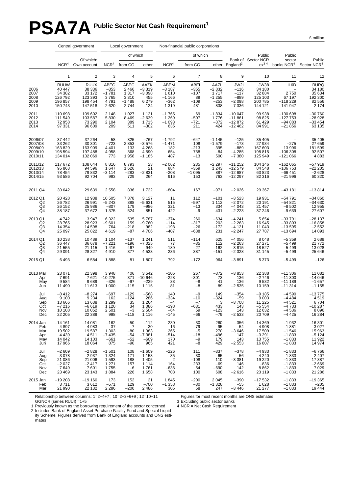# **PSA7A** Public Sector Net Cash Requirement<sup>1</sup>

£ million

|                                                     | Central government<br>Local government                           |                                                                 |                                                        |                                                          | Non-financial public corporations                           |                                                         |                                                        |                                                      |                                                          |                                                            |                                                                |                                                                    |
|-----------------------------------------------------|------------------------------------------------------------------|-----------------------------------------------------------------|--------------------------------------------------------|----------------------------------------------------------|-------------------------------------------------------------|---------------------------------------------------------|--------------------------------------------------------|------------------------------------------------------|----------------------------------------------------------|------------------------------------------------------------|----------------------------------------------------------------|--------------------------------------------------------------------|
|                                                     |                                                                  |                                                                 |                                                        | of which                                                 |                                                             |                                                         | of which                                               |                                                      |                                                          | Public                                                     | Public                                                         |                                                                    |
|                                                     | NCR <sup>4</sup>                                                 | Of which:<br>Own account                                        | NCR <sup>4</sup>                                       | from CG                                                  | other                                                       | NCR <sup>4</sup>                                        | from CG                                                |                                                      | other England <sup>2</sup>                               | Bank of Sector NCR<br>$ex^3$ <sup>4</sup>                  | sector<br>banks NCR <sup>4</sup>                               | Public<br>Sector NCR <sup>4</sup>                                  |
|                                                     | $\mathbf{1}$                                                     | $\overline{c}$                                                  | 3                                                      | $\overline{4}$                                           | 5                                                           | 6                                                       | $\overline{7}$                                         | 8                                                    | 9                                                        | 10                                                         | 11                                                             | 12                                                                 |
| 2006<br>2007<br>2008<br>2009<br>2010                | <b>RUUW</b><br>40 447<br>34 382<br>126 792<br>196 857<br>150 743 | <b>RUUX</b><br>38 336<br>33 172<br>123 393<br>198 454<br>147518 | ABEG<br>$-853$<br>$-1781$<br>3765<br>4791<br>2620      | ABEC<br>2 4 6 6<br>1 3 1 7<br>3 3 1 0<br>$-1488$<br>2744 | AAZK<br>$-3319$<br>$-3098$<br>455<br>6 2 7 9<br>$-124$      | ABEM<br>$-3187$<br>1610<br>$-1166$<br>$-362$<br>1 3 1 9 | <b>ABEI</b><br>$-355$<br>$-107$<br>89<br>$-109$<br>481 | AAZL<br>$-2832$<br>1717<br>$-1.255$<br>$-253$<br>838 | JW2I<br>$-116$<br>$-117$<br>$-889$<br>$-2098$<br>$-7336$ | JW38<br>34 180<br>32 884<br>125 103<br>200 785<br>144 121  | IL6D<br>2750<br>67 197<br>$-118229$<br>$-141947$               | <b>RURQ</b><br>34 180<br>$35634$<br>192 300<br>82 556<br>2 174     |
| 2011<br>2012<br>2013<br>2014                        | 110 698<br>111 549<br>72958<br>97 331                            | 109 602<br>103 587<br>73 290<br>96 609                          | 2 1 4 8<br>5830<br>2 1 0 4<br>209                      | 1 0 2 7<br>8 4 6 9<br>389<br>511                         | 1 1 2 1<br>$-2639$<br>1715<br>$-302$                        | $-1765$<br>1 2 6 9<br>$-1$ 093<br>635                   | 69<br>$-507$<br>$-721$<br>211                          | $-1834$<br>1776<br>$-372$<br>424                     | $-10047$<br>$-11861$<br>$-12872$<br>$-12462$             | 99 938<br>98 825<br>61 429<br>84 991                       | $-130698$<br>$-127753$<br>$-94883$<br>$-21856$                 | $-30760$<br>$-28928$<br>$-33454$<br>63135                          |
| 2006/07<br>2007/08<br>2008/09<br>2009/10<br>2010/11 | 37 442<br>33 26 2<br>163 829<br>198 594<br>134 014               | 37 264<br>30 301<br>163 909<br>197 488<br>132 069               | 58<br>$-723$<br>4 4 0 1<br>4958<br>773                 | 825<br>2853<br>133<br>368<br>1958                        | $-767$<br>$-3576$<br>4 2 6 8<br>4590<br>$-1185$             | $-1792$<br>$-1471$<br>182<br>654<br>487                 | $-647$<br>108<br>$-213$<br>738<br>$-13$                | $-1145$<br>$-1579$<br>395<br>$-84$<br>500            | $-125$<br>$-173$<br>$-889$<br>$-4\,285$<br>$-7380$       | 35 405<br>27 934<br>167 603<br>198 815<br>125 949          | $-275$<br>13 996<br>$-106308$<br>$-121066$                     | 35 405<br>27 659<br>181 599<br>92 507<br>4 883                     |
| 2011/12<br>2012/13<br>2013/14<br>2014/15            | 117 672<br>95 863<br>78 454<br>93 586                            | 108 644<br>94 596<br>79 832<br>92 704                           | 8816<br>1647<br>$-3114$<br>993                         | 8793<br>1626<br>$-283$<br>729                            | 23<br>21<br>$-2831$<br>264                                  | $-2062$<br>884<br>$-208$<br>916                         | 235<br>$-359$<br>$-1095$<br>153                        | $-2297$<br>1 2 4 3<br>887<br>763                     | $-11252$<br>$-12579$<br>$-12687$<br>$-12297$             | 104 146<br>84 548<br>63 823<br>82 316                      | $-162065$<br>$-106753$<br>$-66451$<br>$-21996$                 | $-57919$<br>$-22205$<br>$-2628$<br>60 320                          |
| 2011 Q4                                             | 30 642                                                           | 29 639                                                          | 2558                                                   | 836                                                      | 1722                                                        | $-804$                                                  | 167                                                    | $-971$                                               | $-2026$                                                  | 29 367                                                     | $-43181$                                                       | $-13814$                                                           |
| 2012 Q1<br>$\frac{Q2}{Q3}$                          | 20 4 28<br>26 782<br>26 152<br>38 187                            | 12 938<br>26 991<br>25 986<br>37 672                            | 10 505<br>$-5243$<br>$-807$<br>1 3 7 5                 | 7 3 7 8<br>388<br>179<br>524                             | 3 1 2 7<br>$-5631$<br>$-986$<br>851                         | 11<br>515<br>321<br>422                                 | 112<br>$-597$<br>$-13$<br>$-9$                         | $-101$<br>1 1 1 2<br>334<br>431                      | $-3523$<br>$-2072$<br>$-4043$<br>$-2\,223$               | 19 931<br>20 191<br>21 457<br>37 246                       | $-54791$<br>$-54821$<br>$-8502$<br>$-9639$                     | $-34860$<br>-34 630<br>12 955<br>27 607                            |
| 2013 Q1<br>Q2<br>Q3<br>Q <sub>4</sub>               | 4742<br>28 765<br>14 3 54<br>25 097                              | 3 9 4 7<br>28 923<br>14 598<br>25 8 22                          | 6 3 2 2<br>$-9601$<br>764<br>4619                      | 535<br>159<br>$-218$<br>$-87$                            | 5787<br>$-9760$<br>982<br>4706                              | $-374$<br>$-114$<br>$-198$<br>$-407$                    | 260<br>$-317$<br>$-26$<br>$-638$                       | $-634$<br>203<br>$-172$<br>231                       | $-4241$<br>$-2263$<br>$-4121$<br>$-2247$                 | 5 6 5 4<br>16 945<br>11 043<br>27 787                      | $-33791$<br>$-33803$<br>$-13595$<br>$-13694$                   | $-28137$<br>$-16858$<br>$-2552$<br>14 093                          |
| 2014 Q1<br>Q2<br>Q3<br>Q4                           | 10 238<br>36 447<br>21 555<br>29 091                             | 10 4 8 9<br>36 678<br>21 115<br>28 327                          | 1 1 0 4<br>$-7221$<br>1416<br>4910                     | $-137$<br>$-196$<br>467<br>377                           | 1 2 4 1<br>$-7025$<br>949<br>4 5 3 3                        | 511<br>77<br>$-189$<br>236                              | $-114$<br>$-35$<br>-27<br>387                          | 625<br>112<br>$-162$<br>$-151$                       | $-4056$<br>$-2263$<br>$-3815$<br>$-2328$                 | 8 048<br>27 271<br>18527<br>31 145                         | $-5359$<br>$-5499$<br>$-5499$<br>$-5499$                       | 2 689<br>21 772<br>13 028<br>25 646                                |
| 2015 Q1                                             | 6493                                                             | 6584                                                            | 1888                                                   | 81                                                       | 1807                                                        | 792                                                     | $-172$                                                 | 964                                                  | $-3891$                                                  | 5 3 7 3                                                    | $-5499$                                                        | $-126$                                                             |
| 2013 Mar<br>Apr<br>May<br>Jun                       | 23 071<br>7 691<br>9584<br>11 490                                | 22 398<br>7621<br>9689<br>11 613                                | 3948<br>$-10275$<br>$-326$<br>1 0 0 0                  | 406<br>371<br>$-97$<br>$-115$                            | 3542<br>$-10646$<br>$-229$<br>1 1 1 5                       | $-105$<br>$-228$<br>33<br>81                            | 267<br>$-301$<br>-8<br>$-8$                            | $-372$<br>73<br>41<br>89                             | $-3853$<br>136<br>136<br>$-2535$                         | 22 388<br>$-2746$<br>9532<br>10 159                        | $-11306$<br>$-11300$<br>$-111189$<br>$-11314$                  | 11 082<br>$-14046$<br>$-1.657$<br>$-1155$                          |
| Jul<br>Aug<br>Sep<br>Oct<br>Nov<br>Dec              | $-8412$<br>9 100<br>13 666<br>$-7216$<br>10 108<br>22 205        | $-8274$<br>9 2 3 4<br>13 638<br>$-6619$<br>10 052<br>22 389     | $-697$<br>162<br>1 2 9 9<br>1 1 2 0<br>2501<br>998     | $-129$<br>$-124$<br>35<br>34<br>$-3$<br>$-118$           | $-568$<br>286<br>1 2 6 4<br>1 0 8 6<br>2 5 0 4<br>1 1 1 6   | 140<br>$-334$<br>$-4$<br>$-198$<br>$-64$<br>$-145$      | $-9$<br>$-10$<br>$-7$<br>$-631$<br>59<br>-66           | 149<br>$-324$<br>3<br>433<br>$-123$<br>$-79$         | $-354$<br>$-59$<br>$-3708$<br>143<br>143<br>$-2533$      | $-9185$<br>9003<br>11 2 25<br>$-5554$<br>12 632<br>20709   | $-4590$<br>$-4484$<br>$-4521$<br>$-4733$<br>$-4536$<br>$-4425$ | $-13775$<br>4519<br>6704<br>$-10287$<br>8 0 9 6<br>16 284          |
| 2014 Jan<br>Feb<br>Mar<br>Apr<br>May<br>Jun         | $-14161$<br>4897<br>19 502<br>4 4 3 9<br>14 042<br>17 966        | $-14081$<br>4983<br>19587<br>4511<br>14 103<br>18 0 64          | $-162$<br>$-37$<br>1 3 0 3<br>$-7435$<br>$-661$<br>875 | $-50$<br>$-7$<br>$-80$<br>$-54$<br>$-52$<br>$-90$        | $-112$<br>$-30$<br>1 3 8 3<br>$-7381$<br>$-609$<br>965      | 230<br>16<br>265<br>$-514$<br>170<br>421                | $-30$<br>$-79$<br>$-5$<br>$-18$<br>$-9$<br>$-8$        | 260<br>95<br>270<br>$-496$<br>179<br>429             | $-356$<br>$-54$<br>$-3646$<br>147<br>143<br>$-2553$      | $-14369$<br>4 9 0 8<br>17 509<br>$-3291$<br>13755<br>16807 | $-1932$<br>$-1881$<br>$-1546$<br>$-1833$<br>$-1833$<br>$-1833$ | $-16301$<br>3027<br>15 963<br>-5 124<br>-5 124<br>11 922<br>14 974 |
| Jul<br>Aug<br>Sep<br>Oct<br>Nov<br>Dec              | $-2609$<br>3 0 7 8<br>21 086<br>$-2027$<br>7649<br>23 4 69       | $-2828$<br>2937<br>21 006<br>$-2417$<br>7601<br>23 143          | $-1501$<br>1 3 2 4<br>1593<br>1 2 7 1<br>1755<br>1884  | 108<br>171<br>188<br>157<br>$-6$<br>226                  | $-1609$<br>1 1 5 3<br>1 4 0 5<br>1 1 1 4<br>1761<br>1 6 5 8 | $-226$<br>35<br>$\overline{2}$<br>164<br>$-636$<br>708  | 111<br>$-30$<br>$-108$<br>233<br>54<br>100             | $-337$<br>65<br>110<br>$-69$<br>-690<br>608          | $-378$<br>$-56$<br>$-3381$<br>146<br>142<br>$-2616$      | $-4933$<br>4 2 4 0<br>19 2 20<br>$-836$<br>8862<br>23 119  | $-1833$<br>$-1833$<br>$-1833$<br>$-1833$<br>$-1833$<br>$-1833$ | $-6$ 766<br>2 407<br>17 387<br>-2 669<br>7 0 2 9<br>21 286         |
| 2015 Jan<br>Feb<br>Mar                              | $-19208$<br>3711<br>21 990                                       | $-19160$<br>3612<br>22 132                                      | 173<br>$-571$<br>2 2 8 6                               | 152<br>129<br>$-200$                                     | 21<br>$-700$<br>2486                                        | 1845<br>$-1358$<br>305                                  | $-200$<br>$-30$<br>58                                  | 2 0 4 5<br>$-1328$<br>247                            | $-390$<br>$-55$<br>$-3446$                               | $-17532$<br>1628<br>21 277                                 | $-1833$<br>$-1833$<br>$-1833$                                  | $-19365$<br>$-205$<br>19 4 44                                      |

Relationship between columns: 1=2+4+7 ; 10=2+3+6+9 ; 12=10+11 GGNCR (series RUUI) =1+5

Figures for most recent months are ONS estimates

3 Excluding public sector banks

1 Previously known as the borrowing requirement of the sector concerned 4 NCR = Net Cash Requirement

2 Includes Bank of England Asset Purchase Facility Fund and Special Liquidity Scheme. Figures derived from Bank of England accounts and ONS estimates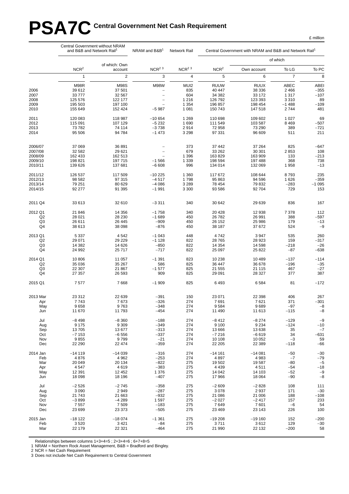# PSA7C Central Government Net Cash Requirement

|                           | Central Government without NRAM<br>and B&B and Network Rail <sup>1</sup> |                    | NRAM and B&B <sup>1</sup>                  | Network Rail        |                    | Central Government with NRAM and B&B and Network Rail <sup>1</sup> |                    |                 |  |
|---------------------------|--------------------------------------------------------------------------|--------------------|--------------------------------------------|---------------------|--------------------|--------------------------------------------------------------------|--------------------|-----------------|--|
|                           |                                                                          | of which: Own      |                                            |                     |                    |                                                                    | of which           |                 |  |
|                           | NCR <sup>2</sup>                                                         | account            | $NCR2$ <sup>3</sup>                        | $NCR2$ <sup>3</sup> | NCR <sup>2</sup>   | Own account                                                        | To LG              | To PC           |  |
|                           | $\mathbf{1}$                                                             | $\overline{2}$     | 3                                          | $\overline{4}$      | 5                  | 6                                                                  | $\overline{7}$     | 8               |  |
|                           | M98R                                                                     | M98S               | <b>M98W</b>                                | MUI2                | <b>RUUW</b>        | <b>RUUX</b>                                                        | ABEC               | <b>ABEI</b>     |  |
| 2006                      | 39 612                                                                   | 37 501             |                                            | 835                 | 40 447             | 38 336                                                             | 2 4 6 6            | $-355$          |  |
| 2007<br>2008              | 33 777<br>125 576                                                        | 32 567<br>122 177  | $\overline{\phantom{0}}$<br>$\overline{a}$ | 604<br>1 2 1 6      | 34 382<br>126 792  | 33 172<br>123 393                                                  | 1 3 1 7<br>3 3 1 0 | $-107$<br>89    |  |
| 2009                      | 195 503                                                                  | 197 100            | $\overline{\phantom{0}}$                   | 1 3 5 4             | 196 857            | 198 454                                                            | $-1488$            | $-109$          |  |
| 2010                      | 155 649                                                                  | 152 424            | $-5987$                                    | 1 0 8 1             | 150 743            | 147 518                                                            | 2744               | 481             |  |
| 2011                      | 120 083                                                                  | 118 987            | $-10654$                                   | 1 2 6 9             | 110 698            | 109 602                                                            | 1 0 2 7            | 69              |  |
| 2012                      | 115 091                                                                  | 107 129            | $-5232$                                    | 1690                | 111 549            | 103 587                                                            | 8 4 6 9            | $-507$          |  |
| 2013<br>2014              | 73 782<br>95 506                                                         | 74 114<br>94 784   | $-3738$<br>$-1473$                         | 2914<br>3 2 9 8     | 72 958<br>97 331   | 73 290<br>96 609                                                   | 389<br>511         | $-721$<br>211   |  |
|                           |                                                                          |                    |                                            |                     |                    |                                                                    |                    |                 |  |
| 2006/07                   | 37 069                                                                   | 36 891             |                                            | 373                 | 37 442             | 37 264                                                             | 825                | $-647$          |  |
| 2007/08                   | 32 582                                                                   | 29 621             |                                            | 679                 | 33 262             | 30 301                                                             | 2853               | 108             |  |
| 2008/09                   | 162 433                                                                  | 162 513            |                                            | 1 3 9 6             | 163 829            | 163 909                                                            | 133                | $-213$          |  |
| 2009/10<br>2010/11        | 198 821<br>139 626                                                       | 197 715<br>137 681 | $-1566$<br>$-6608$                         | 1 3 3 9<br>996      | 198 594<br>134 014 | 197 488<br>132 069                                                 | 368<br>1958        | 738<br>$-13$    |  |
| 2011/12                   | 126 537                                                                  | 117 509            | $-10225$                                   | 1 3 6 0             | 117 672            | 108 644                                                            | 8793               | 235             |  |
| 2012/13                   | 98 582                                                                   | 97 315             | $-4517$                                    | 1798                | 95 863             | 94 596                                                             | 1626               | $-359$          |  |
| 2013/14                   | 79 251                                                                   | 80 629             | $-4086$                                    | 3 2 8 9             | 78 454             | 79 832                                                             | $-283$             | $-1095$         |  |
| 2014/15                   | 92 277                                                                   | 91 395             | $-1991$                                    | 3 3 0 0             | 93 586             | 92 704                                                             | 729                | 153             |  |
| 2011 Q4                   | 33 613                                                                   | 32 610             | $-3311$                                    | 340                 | 30 642             | 29 639                                                             | 836                | 167             |  |
| 2012 Q1                   | 21 846                                                                   | 14 3 5 6           | $-1758$                                    | 340                 | 20 4 28            | 12 938                                                             | 7 3 7 8            | 112             |  |
| Q2                        | 28 0 21                                                                  | 28 230             | $-1689$                                    | 450                 | 26 782             | 26 991                                                             | 388                | $-597$          |  |
| Q3<br>Q4                  | 26 611<br>38 613                                                         | 26 445<br>38 098   | $-909$<br>-876                             | 450<br>450          | 26 152<br>38 187   | 25 986<br>37 672                                                   | 179<br>524         | $-13$<br>$-9$   |  |
|                           |                                                                          |                    | $-1043$                                    | 448                 |                    | 3 9 4 7                                                            | 535                |                 |  |
| 2013 Q1<br>Q <sub>2</sub> | 5 3 3 7<br>29 071                                                        | 4 5 4 2<br>29 229  | $-1128$                                    | 822                 | 4742<br>28 765     | 28 923                                                             | 159                | 260<br>$-317$   |  |
| Q <sub>3</sub>            | 14 382                                                                   | 14 626             | $-850$                                     | 822                 | 14 3 54            | 14 598                                                             | $-218$             | $-26$           |  |
| Q4                        | 24 992                                                                   | 25 717             | $-717$                                     | 822                 | 25 097             | 25 822                                                             | $-87$              | $-638$          |  |
| 2014 Q1                   | 10 806                                                                   | 11 057             | $-1391$                                    | 823                 | 10 238             | 10 489                                                             | $-137$             | $-114$          |  |
| Q <sub>2</sub>            | 35 036                                                                   | 35 267             | 586                                        | 825                 | 36 447             | 36 678                                                             | $-196$             | $-35$           |  |
| Q3<br>Q4                  | 22 307<br>27 357                                                         | 21 867<br>26 593   | $-1577$<br>909                             | 825<br>825          | 21 555<br>29 091   | 21 115<br>28 327                                                   | 467<br>377         | $-27$<br>387    |  |
|                           |                                                                          |                    |                                            |                     |                    |                                                                    |                    |                 |  |
| 2015 Q1                   | 7577                                                                     | 7668               | $-1909$                                    | 825                 | 6493               | 6584                                                               | 81                 | $-172$          |  |
| 2013 Mar                  | 23 312                                                                   | 22 639             | $-391$                                     | 150                 | 23 071             | 22 398                                                             | 406                | 267             |  |
| Apr                       | 7743<br>9658                                                             | 7673<br>9763       | $-326$<br>-348                             | 274<br>274          | 7691<br>9584       | 7621<br>9689                                                       | 371<br>-97         | $-301$<br>-8    |  |
| May<br>Jun                | 11 670                                                                   | 11 793             | $-454$                                     | 274                 | 11 490             | 11 613                                                             | $-115$             | $-8$            |  |
| Jul                       | $-8498$                                                                  | $-8360$            | $-188$                                     | 274                 | $-8412$            | $-8274$                                                            | $-129$             | $-9$            |  |
| Aug                       | 9 1 7 5                                                                  | 9 3 0 9            | $-349$                                     | 274                 | 9 100              | 9 2 3 4                                                            | $-124$             | $-10$           |  |
| Sep                       | 13705                                                                    | 13 677             | $-313$                                     | 274                 | 13 666             | 13 638                                                             | 35                 | $-7$            |  |
| Oct<br>Nov                | $-7153$<br>9855                                                          | $-6556$<br>9799    | $-337$<br>$-21$                            | 274<br>274          | $-7216$<br>10 108  | $-6619$<br>10 052                                                  | 34<br>$-3$         | $-631$<br>59    |  |
| Dec                       | 22 290                                                                   | 22 474             | $-359$                                     | 274                 | 22 205             | 22 389                                                             | $-118$             | -66             |  |
| 2014 Jan                  | $-14119$                                                                 | $-14039$           | $-316$                                     | 274                 | $-14161$           | $-14081$                                                           | $-50$              | $-30$           |  |
| Feb                       | 4876                                                                     | 4 9 6 2            | $-253$<br>$-822$                           | 274                 | 4897               | 4 9 8 3                                                            | $-7$               | $-79$           |  |
| Mar<br>Apr                | 20 049<br>4 5 4 7                                                        | 20 134<br>4619     | $-383$                                     | 275<br>275          | 19 502<br>4 4 3 9  | 19587<br>4511                                                      | $-80$<br>$-54$     | $-5$<br>$-18$   |  |
| May                       | 12 3 9 1                                                                 | 12 452             | 1 376                                      | 275                 | 14 042             | 14 103                                                             | $-52$              | $-9$            |  |
| Jun                       | 18 098                                                                   | 18 196             | $-407$                                     | 275                 | 17 966             | 18 064                                                             | $-90$              | $-8$            |  |
| Jul                       | $-2526$                                                                  | $-2745$            | $-358$                                     | 275                 | $-2609$            | $-2828$                                                            | 108                | 111             |  |
| Aug<br>Sep                | 3 0 9 0<br>21 743                                                        | 2949<br>21 663     | $-287$<br>$-932$                           | 275<br>275          | 3 0 7 8<br>21 086  | 2937<br>21 006                                                     | 171<br>188         | $-30$<br>$-108$ |  |
| Oct                       | $-3899$                                                                  | $-4289$            | 1597                                       | 275                 | $-2027$            | $-2417$                                                            | 157                | 233             |  |
| Nov                       | 7 5 5 7                                                                  | 7509               | $-183$                                     | 275                 | 7649               | 7601                                                               | $-6$               | 54              |  |
| Dec                       | 23 699                                                                   | 23 373             | $-505$                                     | 275                 | 23 4 69            | 23 143                                                             | 226                | 100             |  |
| 2015 Jan                  | $-18122$                                                                 | $-18074$           | $-1.361$                                   | 275                 | $-19208$           | $-19160$                                                           | 152                | $-200$          |  |
| Feb<br>Mar                | 3520<br>22 179                                                           | 3 4 21<br>22 321   | $-84$<br>$-464$                            | 275<br>275          | 3711<br>21 990     | 3612<br>22 132                                                     | 129<br>$-200$      | $-30$<br>58     |  |
|                           |                                                                          |                    |                                            |                     |                    |                                                                    |                    |                 |  |

Relationships between columns 1+3+4=5 ; 2+3+4=6 ; 6+7+8=5

1 NRAM = Northern Rock Asset Management, B&B = Bradford and Bingley.

2 NCR = Net Cash Requirement

3 Does not include Net Cash Requirement to Central Government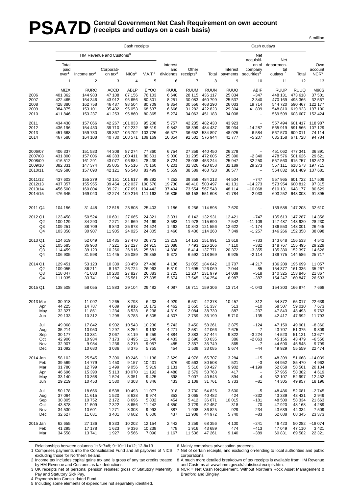# **PSA7D** Central Government Net Cash Requirement on own account (receipts and outlays on a cash basis) **(receipts and outlays on a cash basis)**

|                                                     | Cash receipts                                               |                                                                    |                                                                |                                                               |                                                               |                                                              |                                                               |                                                                    | Cash outlays                                                  |                                                                   |                                                            |                                                                                            |                                                           |
|-----------------------------------------------------|-------------------------------------------------------------|--------------------------------------------------------------------|----------------------------------------------------------------|---------------------------------------------------------------|---------------------------------------------------------------|--------------------------------------------------------------|---------------------------------------------------------------|--------------------------------------------------------------------|---------------------------------------------------------------|-------------------------------------------------------------------|------------------------------------------------------------|--------------------------------------------------------------------------------------------|-----------------------------------------------------------|
|                                                     |                                                             |                                                                    | HM Revenue and Customs <sup>8</sup>                            |                                                               |                                                               |                                                              |                                                               |                                                                    |                                                               | Net                                                               |                                                            |                                                                                            |                                                           |
|                                                     | Total<br>paid<br>over <sup>1</sup>                          | Income tax <sup>2</sup>                                            | Corporati-<br>on tax $^2$                                      | NICs <sup>3</sup>                                             | V.A.T <sup>4</sup>                                            | Interest<br>and<br>dividends                                 | Other<br>receipts <sup>5</sup>                                |                                                                    | Interest<br>Total payments                                    | acquisiti-<br>on of<br>company<br>securities <sup>6</sup>         | Net<br>departmen-<br>tal<br>outlays <sup>7</sup>           | Total                                                                                      | Own<br>account<br>NCR <sup>9</sup>                        |
|                                                     | $\mathbf{1}$                                                | $\overline{2}$                                                     | 3                                                              | 4                                                             | 5                                                             | 6                                                            | $\overline{7}$                                                | 8                                                                  | 9                                                             | 10                                                                | 11                                                         | 12                                                                                         | 13                                                        |
| 2006<br>2007<br>2008<br>2009<br>2010                | MIZX<br>401 362<br>422 465<br>428 380<br>384 875<br>411 846 | <b>RURC</b><br>144 983<br>154 346<br>162 758<br>153 101<br>153 237 | <b>ACCD</b><br>47 108<br>43 912<br>46 487<br>35 402<br>41 253  | ABLP<br>87 156<br>96 656<br>98 504<br>95 053<br>95 860        | <b>EYOO</b><br>76 103<br>80 301<br>80 709<br>68 637<br>80 865 | <b>RUUL</b><br>6640<br>8 2 5 1<br>9 3 5 4<br>6666<br>5 2 7 4 | <b>RUUM</b><br>28 115<br>30 083<br>30 556<br>31 282<br>34 063 | <b>RUUN</b><br>436 117<br>460 799<br>468 290<br>422 823<br>451 183 | <b>RUUO</b><br>25 834<br>25 537<br>26 033<br>29 304<br>34 008 | ABIF<br>$-347$<br>$-2340$<br>19714<br>41 809<br>$\qquad \qquad -$ | <b>RUUP</b><br>448 131<br>470 169<br>569 599               | <b>RUUQ</b><br>473 618<br>493 366<br>544 720 590 467<br>548 810 619 923<br>603 607 152 424 | <b>M98S</b><br>37 501<br>32 567<br>122 177<br>197 100     |
| 2011<br>2012<br>2013<br>2014                        | 434 438<br>436 196<br>451 668<br>467 588                    | 157 066<br>154 430<br>159 730<br>164 108                           | 42 267<br>39 710<br>39 367<br>40 730                           | 101 033<br>102 232<br>106 702<br>108 571                      | 95 208<br>98 619<br>103 726<br>109 169                        | 5757<br>9842<br>46 577<br>16854                              | 42 235<br>38 399                                              | 482 430<br>484 437<br>36 652 534 897<br>92 502 576 944             | 43 923<br>39 934<br>48 025<br>41 777                          | $\qquad \qquad -$<br>$-14287$<br>$-6584$<br>$-5207$               | 557 494                                                    | 601 417 118 987<br>565 919 591 566<br>567 570 609 011<br>635 158 671 728                   | 107 129<br>74 114<br>94 784                               |
| 2006/07<br>2007/08<br>2008/09<br>2009/10<br>2010/11 | 406 337<br>431 800<br>416512<br>382 331<br>419580           | 151 533<br>157 006<br>161 291<br>147 374<br>157 090                | 44 308<br>46 383<br>43 077<br>35 805<br>42 121                 | 87 274<br>100 411<br>96 884<br>95 516<br>96 548               | 77 360<br>80 601<br>78 439<br>70 160<br>83 499                | 6754<br>9 0 0 0<br>8724<br>6 201<br>5 5 5 9                  | 27 359<br>31 205<br>28 008<br>32 3 26<br>38 589               | 440 450<br>472 005<br>453 244<br>420 858<br>463728                 | 26 279<br>25 390<br>25 947<br>32 189<br>36 577                | $-2340$<br>32 250<br>29 273<br>$\hspace{1.0cm} - \hspace{1.0cm}$  | 557 111                                                    | 451 062 477 341<br>478 576 501 626<br>557 560 615 757<br>618 573<br>564 832 601 409        | 36 891<br>29 621<br>162 513<br>197 715<br>137 681         |
| 2011/12<br>2012/13<br>2013/14<br>2014/15            | 437 603<br>437 357<br>456 500<br>476 645                    | 155 279<br>155 955<br>160 804<br>169 040                           | 42 151<br>39 454<br>39 271                                     | 101 617<br>102 037<br>107 691<br>42 274 109 216 111 163       | 98 292<br>100 570<br>104 442                                  | 7 2 5 2<br>19730<br>37 494<br>16 805                         | 39 358<br>46 410<br>73 554                                    | 484 213<br>503 497<br>567 548<br>58 158 551 608                    | 44 504<br>41 131<br>48 114<br>41784                           | $-747$<br>$-14273$<br>$-100068$<br>$-2033$                        | 557 965<br>573 954                                         | 601 722 117 509<br>600 812<br>610 131 648 177<br>603 252 643 003                           | 97 315<br>80 629<br>91 395                                |
| 2011 Q4                                             | 104 156                                                     | 31 448                                                             | 12 515                                                         | 23 808                                                        | 25 4 03                                                       | 1 1 8 6                                                      |                                                               | 9 256 114 598                                                      | 7620                                                          | $\overline{\phantom{a}}$                                          |                                                            | 139 588 147 208                                                                            | 32 610                                                    |
| 2012 Q1<br>Q <sub>2</sub><br>Q3<br>Q4               | 123 458<br>100 129<br>109 251<br>103 358                    | 50 524<br>34 290<br>38 709<br>30 907                               | 10 691<br>7 2 7 1<br>9843<br>11 905                            | 27 665<br>24 669<br>25 873<br>24 0 25                         | 24 8 21<br>24 4 69<br>24 5 24<br>24 805                       | 3 3 3 1<br>3583<br>1 4 6 2<br>1466                           | 11 978<br>9436                                                | 6 142 132 931<br>115 690<br>10 843 121 556<br>114 260              | 12 4 21<br>7 5 4 2<br>12 622<br>7 3 4 9                       | $-747$<br>$-111109$<br>$-1174$<br>$-1257$                         | 146 266                                                    | 135 613 147 287<br>147 487 143 920<br>136 553 148 001<br>152 358                           | 14 356<br>28 230<br>26 445<br>38 098                      |
| 2013 Q1<br>Q <sub>2</sub><br>Q <sub>3</sub><br>Q4   | 124 619<br>105 685<br>114 459<br>106 905                    | 52 049<br>36 960<br>39 123<br>31 598                               | 10 4 35<br>7 2 2 1<br>10 266<br>11 445                         | 27 470<br>27 227<br>26 916<br>25 089                          | 26 772<br>24 915<br>25 681<br>26 358                          | 13 219<br>13 088<br>14 8 98<br>5 3 7 2                       | 14 153<br>7493                                                | 151 991<br>126 266<br>8 414 137 771<br>6 592 118 869               | 13618<br>7 1 1 0<br>20 372<br>6925                            | $-733$<br>$-382$<br>$-3355$<br>$-2114$                            | 148 767<br>135 380                                         | 143 648 156 533<br>155 495<br>152 397<br>139 775 144 586                                   | 4 5 4 2<br>29 229<br>14 626<br>25 717                     |
| 2014 Q1<br>Q2<br>Q <sub>3</sub><br>Q4               | 129 451<br>109 055<br>118 047<br>111 035                    | 53 123<br>36 211<br>41 033<br>33741                                | 10 339<br>8 1 6 7<br>10 230<br>11 994                          | 28 459<br>26 724<br>27 827<br>25 5 61                         | 27 488<br>26 963<br>26 883<br>27 835                          | 4 1 3 6<br>5 3 1 9<br>1725<br>5 6 7 4                        | 51 055<br>11 695<br>12 207                                    | 184 642<br>126 069<br>131 979<br>17 545 134 254                    | 13707<br>7 0 4 4<br>14 039<br>6987                            | $-4217$<br>$-85$<br>$-518$<br>$-387$                              | 140 325                                                    | 186 209 195 699<br>154 377 161 336<br>153846<br>154 247 160 847                            | 11 057<br>35 267<br>21 867<br>26 593                      |
| 2015 Q1                                             | 138 508                                                     | 58 055                                                             | 11 883                                                         | 29 104                                                        | 29 4 82                                                       | 4 0 8 7                                                      |                                                               | 16 711 159 306                                                     | 13714                                                         | $-1043$                                                           |                                                            | 154 303 166 974                                                                            | 7668                                                      |
| 2013 Mar<br>Apr<br>May<br>Jun                       | 30 918<br>44 225<br>32 327<br>29 133                        | 11 092<br>14787<br>11 861<br>10 312                                | 1 2 6 5<br>4689<br>1 2 3 4<br>1 2 9 8                          | 8793<br>9916<br>8528<br>8783                                  | 6433<br>10 172<br>8 2 3 8<br>6 5 0 5                          | 4 9 2 9<br>4 4 6 2<br>4 3 1 9<br>4 3 0 7                     | 6531<br>2650<br>2 0 8 4<br>2759                               | 42 378<br>51 337<br>38 730<br>36 199                               | 10 457<br>513<br>887<br>5710                                  | $-312$<br>$-10$<br>$-237$<br>$-135$                               | 54 872<br>58 507<br>47 843<br>42 417                       | 65 017<br>59 010<br>48 493<br>47 992                                                       | 22 639<br>7673<br>9763<br>11 793                          |
| Jul<br>Aug<br>Sep<br>Oct<br>Nov<br>Dec              | 49 0 68<br>35 214<br>30 177<br>42 906<br>32 907<br>31 092   | 17842<br>10 950<br>10 331<br>10 934<br>9984<br>10 680              | 6 9 0 2<br>1 2 9 7<br>2 0 6 7<br>7 1 7 3<br>1 2 3 6<br>3 0 36  | 10 543<br>8 2 5 4<br>8 1 1 9<br>8 4 9 5<br>8 2 1 9<br>8 3 7 5 | 10 230<br>9 1 9 2<br>6 2 5 9<br>11 546<br>9 0 5 7<br>5 7 5 5  | 5743<br>4 2 7 1<br>4884<br>4 4 3 3<br>485<br>454             | 3 4 5 0<br>2581<br>2 3 8 3<br>2696<br>2 3 5 7<br>1539         | 58 261<br>42 066<br>37 444<br>50 035<br>35 749<br>33 085           | 2875<br>7675<br>9822<br>386<br>865<br>5 6 7 4                 | $-124$<br>$-7$<br>$-3224$<br>$-2063$<br>$-7$<br>-44               | 47 150<br>43 707<br>44 523<br>45 156<br>44 690<br>49 929   | 49 901<br>51 375<br>51 121<br>43 4 79<br>45 548<br>55 559                                  | $-8360$<br>9 3 0 9<br>13 677<br>$-6556$<br>9799<br>22 474 |
| 2014 Jan<br>Feb<br>Mar<br>Apr<br>May<br>Jun         | 58 102<br>39 569<br>31 780<br>46 696<br>33 140<br>29 219    | 25 545<br>14779<br>12799<br>15 390<br>10 368<br>10 453             | 7 3 9 0<br>1 4 5 0<br>1 4 9 9<br>5 1 1 3<br>1 5 2 4<br>1 5 3 0 | 10 246<br>9 1 5 7<br>9 0 5 6<br>10 070<br>8 3 5 1<br>8 3 0 3  | 11 138<br>10 4 31<br>5919<br>11 192<br>9 4 2 5<br>6 3 4 6     | 2629<br>376<br>1 1 3 1<br>4488<br>398<br>433                 | 4976<br>40 563<br>5516<br>2579<br>7 0 0 7<br>2 1 0 9          | 65 707<br>80 508<br>38 427<br>53 763<br>40 545<br>31 761           | 3 2 8 4<br>521<br>9 9 0 2<br>417<br>894<br>5733               | $-15$<br>$-3$<br>$-4199$<br>$\qquad \qquad -$<br>$-4$<br>-81      | 48 399<br>84 952<br>52 858<br>57 965<br>52 107<br>44 30 5  | 51 668<br>85 470<br>58 561<br>58 382<br>52 997<br>49 957                                   | $-14039$<br>4 9 6 2<br>20 134<br>4619<br>12 452<br>18 196 |
| Jul<br>Aug<br>Sep<br>Oct<br>Nov<br>Dec              | 50 178<br>37 064<br>30 805<br>43 878<br>34 530<br>32 627    | 18 6 66<br>11 615<br>10752<br>11 509<br>10 601<br>11 631           | 6538<br>1 5 2 0<br>2 1 7 2<br>7 3 2 2<br>1 2 7 1<br>3 4 0 1    | 10 493<br>8638<br>8696<br>8656<br>8 3 0 3<br>8 6 0 2          | 11 077<br>9974<br>5832<br>11 242<br>9993<br>6 600             | 918<br>353<br>454<br>4850<br>387<br>437                      | 3730<br>3 0 6 5<br>5412<br>3729<br>1 908<br>11 908            | 54 826<br>40 482<br>36 671<br>52 457<br>36 825<br>44 972           | 3 600<br>424<br>10 015<br>318<br>929<br>5740                  | $-5$<br>$-332$<br>$-181$<br>$-70$<br>$-234$<br>$-83$              | 48 4 8 6<br>43 339<br>48 500<br>47 920<br>43 639<br>62 688 | 52 081<br>43 4 31<br>58 334<br>48 168<br>44 334<br>68 345                                  | $-2745$<br>2949<br>21 663<br>$-4289$<br>7 5 0 9<br>23 373 |
| 2015 Jan<br>Feb<br>Mar                              | 62 655<br>41 295<br>34 558                                  | 27 136<br>17 178<br>13741                                          | 8 3 3 3<br>1 6 2 3<br>1927                                     | 10 202<br>9 3 3 6<br>9566                                     | 12 154<br>10 238<br>7 0 9 0                                   | 2442<br>478<br>1 1 6 7                                       | 3 2 5 9<br>1916<br>11 536                                     | 68 356<br>43 689<br>47 261                                         | 4 100<br>474<br>9 1 4 0                                       | $-241$<br>$-413$<br>$-389$                                        | 46 423<br>47 049<br>60 831                                 | 50 282<br>47 110<br>69 582                                                                 | $-18074$<br>3 4 21<br>22 3 21                             |

Relationships between columns 1+6+7=8; 9+10+11=12; 12-8=13

1 Comprises payments into the Consolidated Fund and all payovers of NICS

excluding those for Northern Ireland. 2 Income tax includes capital gains tax and is gross of any tax credits treated

by HM Revenue and Customs as tax deductions. hy HM Revenue and Customs as tax deductions. varial customs and Customs at www.hmrc.gov.uk/statistics/receipts.htm.<br>3 UK receipts net of personal pension rebates; gross of Statutory Maternity 9 NCR = Net Cash Requirement.

Pay and Statutory Sick Pay.

4 Payments into Consolidated Fund.

5 Including some elements of expenditure not separately identified.

6 Mainly comprises privatisation proceeds.

7 Net of certain receipts, and excluding on-lending to local authorities and public corporations.

8 A much more detailed breakdown of tax receipts is available from HM Revenue

£ million

9 NCR = Net Cash Requirement. Without Northern Rock Asset Management & Bradford and Bingley.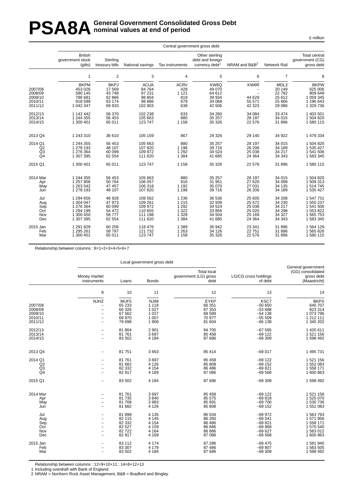# PSA8A General Government Consolidated Gross Debt<br> **PSA8A** nominal values at end of period **nominal values at end of period**

£ million

|                                                     |                                                                                         |                                                                   |                                                                           |                                                                           | Central government gross debt                                       |                                                                       |                                                                    |                                                                                         |
|-----------------------------------------------------|-----------------------------------------------------------------------------------------|-------------------------------------------------------------------|---------------------------------------------------------------------------|---------------------------------------------------------------------------|---------------------------------------------------------------------|-----------------------------------------------------------------------|--------------------------------------------------------------------|-----------------------------------------------------------------------------------------|
|                                                     | <b>British</b><br>government stock<br>(gilts)                                           | Sterling<br>treasury bills                                        | National savings                                                          | Tax instruments                                                           | Other sterling<br>debt and foreign<br>currency debt <sup>1</sup>    | NRAM and B&B <sup>2</sup>                                             | Network Rail                                                       | <b>Total central</b><br>qovernment (CG)<br>gross debt                                   |
|                                                     | $\mathbf{1}$                                                                            | 2                                                                 | 3                                                                         | 4                                                                         | 5                                                                   | 6                                                                     | $\overline{7}$                                                     | 8                                                                                       |
| 2007/08<br>2008/09<br>2009/10<br>2010/11<br>2011/12 | <b>BKPM</b><br>453 026<br>580 145<br>786 681<br>918 599<br>1 042 347                    | <b>BKPJ</b><br>17569<br>43748<br>62 866<br>63 174<br>69 933       | <b>ACUA</b><br>84 764<br>97 231<br>98 804<br>98 886<br>102 903            | <b>ACRV</b><br>428<br>1 1 2 1<br>819<br>679<br>638                        | KW6Q<br>49 070<br>64 612<br>39 934<br>34 068<br>42 506              | KW6R<br>$\overline{\phantom{0}}$<br>44 629<br>55 571<br>42 323        | MDL3<br>20 149<br>22792<br>25 612<br>25 6 66<br>29 086             | <b>BKPW</b><br>625 006<br>809 649<br>1 059 345<br>1 196 643<br>1 329 736                |
| 2012/13<br>2013/14<br>2014/15                       | 1 142 442<br>1 244 355<br>1 300 401                                                     | 56 370<br>56 453<br>65 011                                        | 102 238<br>105 663<br>123 747                                             | 633<br>880<br>1 1 5 8                                                     | 34 260<br>35 257<br>35 326                                          | 34 084<br>28 197<br>22 576                                            | 33 4 74<br>34 015<br>31896                                         | 1 403 501<br>1 504 820<br>1580115                                                       |
| 2013 Q4                                             | 1 243 310                                                                               | 36 610                                                            | 105 159                                                                   | 867                                                                       | 29 3 26                                                             | 29 140                                                                | 34 922                                                             | 1 479 334                                                                               |
| 2014 Q1<br>Q2<br>$^{Q3}_{Q4}$                       | 1 244 355<br>1 278 193<br>1 276 364<br>1 307 395                                        | 56 453<br>48 107<br>60 099<br>62 554                              | 105 663<br>107820<br>109 972<br>111 620                                   | 880<br>1 1 9 6<br>1 2 9 2<br>1 3 8 4                                      | 35 257<br>39 716<br>34 5 24<br>41 685                               | 28 197<br>26 206<br>25 0 38<br>24 3 64                                | 34 015<br>34 189<br>34 217<br>34 343                               | 1 504 820<br>1 535 427<br>1 541 506<br>1 583 345                                        |
| 2015 Q1                                             | 1 300 401                                                                               | 65 011                                                            | 123 747                                                                   | 1 1 5 8                                                                   | 35 326                                                              | 22 576                                                                | 31896                                                              | 1580115                                                                                 |
| 2014 Mar<br>Apr<br>May<br>Jun                       | 1 244 355<br>1 257 906<br>1 263 542<br>1 278 193                                        | 56 453<br>50764<br>47 457<br>48 107                               | 105 663<br>106 057<br>106 318<br>107820                                   | 880<br>916<br>1 1 9 2<br>1 1 9 6                                          | 35 257<br>31 951<br>35 070<br>39 716                                | 28 197<br>27 620<br>27 031<br>26 20 6                                 | 34 015<br>34 099<br>34 135<br>34 189                               | 1 504 820<br>1 509 313<br>1 514 745<br>1 535 427                                        |
| Jul<br>Aug<br>Sep<br>Oct<br>Nov<br>Dec<br>2015 Jan  | 1 294 656<br>1 304 047<br>1 276 364<br>1 294 199<br>1 300 450<br>1 307 395<br>1 291 829 | 46 928<br>47 973<br>60 099<br>54 472<br>58777<br>62 554<br>60 256 | 108 562<br>109 261<br>109 972<br>110 655<br>111 198<br>111 620<br>118 476 | 1 2 3 6<br>1 2 1 5<br>1 2 9 2<br>1 3 2 2<br>1 3 2 8<br>1 3 8 4<br>1 3 8 9 | 36 536<br>32 939<br>34 5 24<br>33 856<br>34 504<br>41 685<br>36 942 | 25 605<br>25 572<br>25 0 38<br>25 0 20<br>25 169<br>24 3 64<br>23 341 | 34 208<br>34 230<br>34 217<br>34 298<br>34 327<br>34 343<br>31 896 | 1 547 731<br>1 555 237<br>1 541 506<br>1 553 822<br>1 565 753<br>1 583 345<br>1 564 129 |
| Feb<br>Mar                                          | 1 295 261<br>1 300 401                                                                  | 58797<br>65 011                                                   | 121 732<br>123 747                                                        | 1 2 6 3<br>1 1 5 8                                                        | 34 126<br>35 326                                                    | 22 751<br>22 576                                                      | 31896<br>31896                                                     | 1 565 826<br>1 580 115                                                                  |

Relationship between columns : 8=1+2+3+4+5+6+7

|                                                     |                                                                                                 |                                                         | Local government gross debt                                      |                                                               |                                                                      |                                                                          |  |
|-----------------------------------------------------|-------------------------------------------------------------------------------------------------|---------------------------------------------------------|------------------------------------------------------------------|---------------------------------------------------------------|----------------------------------------------------------------------|--------------------------------------------------------------------------|--|
|                                                     | Money market<br>instruments                                                                     | Loans                                                   | <b>Bonds</b>                                                     | <b>Total local</b><br>government (LG) gross<br>debt           | LG/CG cross holdings<br>of debt                                      | General government<br>(GG) consolidated<br>gross debt<br>(Maastricht)    |  |
|                                                     | 9                                                                                               | 10                                                      | 11                                                               | 12                                                            | 13                                                                   | 14                                                                       |  |
| 2007/08<br>2008/09<br>2009/10<br>2010/11<br>2011/12 | <b>NJHZ</b><br>$\overline{\phantom{0}}$<br>$\overline{\phantom{m}}$<br>$\overline{\phantom{m}}$ | MUF5<br>65 233<br>66 326<br>67 562<br>69 970<br>79 698  | <b>NJIM</b><br>1 1 1 8<br>1 0 2 7<br>1 0 2 7<br>1 0 0 7<br>1 906 | <b>EYKP</b><br>66 351<br>67 353<br>68 589<br>70 977<br>81 604 | KSC7<br>$-50650$<br>$-53688$<br>$-54$ 138<br>$-55509$<br>$-66$ 138   | <b>BKPX</b><br>640 707<br>823 314<br>1 073 796<br>1 212 111<br>1 345 202 |  |
| 2012/13<br>2013/14<br>2014/15                       |                                                                                                 | 81 804<br>81 761<br>83 502                              | 2 9 0 1<br>3697<br>4 1 8 4                                       | 84 705<br>85 458<br>87 686                                    | $-67595$<br>$-69$ 122<br>$-69309$                                    | 1 420 611<br>1 521 156<br>1 598 492                                      |  |
| 2013 Q4                                             |                                                                                                 | 81 751                                                  | 3 6 6 3                                                          | 85 414                                                        | $-69017$                                                             | 1 495 731                                                                |  |
| 2014 Q1<br>Q2<br>Q <sub>3</sub><br>Q <sub>4</sub>   | $\overline{\phantom{a}}$                                                                        | 81 761<br>81 682<br>82 332<br>82 917                    | 3697<br>4 1 2 6<br>4 1 5 4<br>4 1 6 9                            | 85 458<br>85 808<br>86 486<br>87 086                          | $-69$ 122<br>$-69$ 152<br>$-69821$<br>$-69568$                       | 1 521 156<br>1 552 083<br>1 558 171<br>1 600 863                         |  |
| 2015 Q1                                             |                                                                                                 | 83 502                                                  | 4 1 8 4                                                          | 87 686                                                        | $-69309$                                                             | 1 598 492                                                                |  |
| 2014 Mar<br>Apr<br>May<br>Jun                       | $\overline{\phantom{0}}$                                                                        | 81 761<br>81 735<br>81 708<br>81 682                    | 3697<br>3840<br>3983<br>4 1 2 6                                  | 85 458<br>85 575<br>85 691<br>85 808                          | $-69$ 122<br>$-69818$<br>$-69700$<br>$-69$ 152                       | 1 521 156<br>1 525 070<br>1 530 736<br>1 552 083                         |  |
| Jul<br>Aug<br>Sep<br>Oct<br>Nov<br>Dec              |                                                                                                 | 81 899<br>82 115<br>82 332<br>82 527<br>82722<br>82 917 | 4 1 3 5<br>4 1 4 5<br>4 1 5 4<br>4 1 5 9<br>4 1 6 4<br>4 1 6 9   | 86 034<br>86 260<br>86 486<br>86 686<br>86 886<br>87 086      | $-69972$<br>$-69541$<br>$-69821$<br>$-69968$<br>$-69627$<br>$-69568$ | 1 563 793<br>1571956<br>1 558 171<br>1 570 540<br>1 583 012<br>1 600 863 |  |
| 2015 Jan<br>Feb<br>Mar                              |                                                                                                 | 83 112<br>83 307<br>83 502                              | 4 1 7 4<br>4 1 7 9<br>4 1 8 4                                    | 87 286<br>87 486<br>87 686                                    | $-69475$<br>$-69807$<br>$-69309$                                     | 1581940<br>1 583 505<br>1 598 492                                        |  |

Relationship between columns : 12=9+10+11 ; 14=8+12+13

1 Including overdraft with Bank of England.

2 NRAM = Northern Rock Asset Management, B&B = Bradford and Bingley.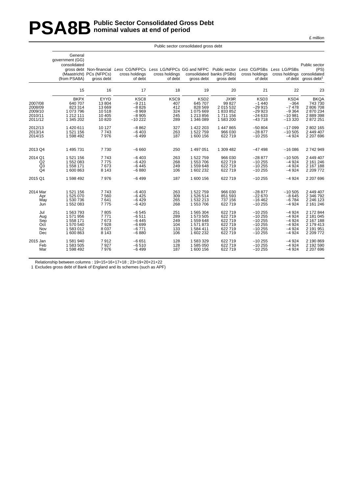# **PSA8B** Public Sector Consolidated Gross Debt<br>nominal values at end of period **nominal values at end of period**

|                                                     | General<br>government (GG)<br>consolidated<br>(from PSA8A)               | (Maastricht) PCs (NFPCs)<br>aross debt                | gross debt Non-financial Less CG/NFPCs Less LG/NFPCs GG and NFPC Public sector Less CG/PSBs Less LG/PSBs<br>cross holdings<br>of debt | cross holdings<br>of debt               | gross debt                                                                  | consolidated banks (PSBs)<br>gross debt                          | cross holdings<br>of debt                                      | cross holdings consolidated                                   | Public sector<br>(PS)<br>of debt gross debt <sup>1</sup>                 |
|-----------------------------------------------------|--------------------------------------------------------------------------|-------------------------------------------------------|---------------------------------------------------------------------------------------------------------------------------------------|-----------------------------------------|-----------------------------------------------------------------------------|------------------------------------------------------------------|----------------------------------------------------------------|---------------------------------------------------------------|--------------------------------------------------------------------------|
|                                                     | 15                                                                       | 16                                                    | 17                                                                                                                                    | 18                                      | 19                                                                          | 20                                                               | 21                                                             | 22                                                            | 23                                                                       |
| 2007/08<br>2008/09<br>2009/10<br>2010/11<br>2011/12 | <b>BKPX</b><br>640 707<br>823 314<br>1 073 796<br>1 212 111<br>1 345 202 | EYYD<br>13804<br>13 6 69<br>10518<br>10 4 05<br>10820 | KSC <sub>8</sub><br>$-9211$<br>$-8826$<br>$-8969$<br>$-8905$<br>$-10222$                                                              | KSC9<br>407<br>412<br>324<br>245<br>289 | KSD <sub>2</sub><br>645 707<br>828 569<br>1075669<br>1 213 856<br>1 346 089 | JX9R<br>99 827<br>2 015 532<br>1833852<br>1 711 156<br>1 583 200 | KSD3<br>$-1440$<br>$-29915$<br>$-2993$<br>$-24633$<br>$-43718$ | KSD4<br>$-364$<br>$-7478$<br>$-9364$<br>$-10.981$<br>$-13320$ | <b>BKQA</b><br>743 730<br>2 806 708<br>2870234<br>2 889 398<br>2 872 251 |
| 2012/13                                             | 1420611                                                                  | 10 127                                                | $-8862$                                                                                                                               | 327                                     | 1 422 203                                                                   | 1 447 865                                                        | $-50804$                                                       | $-17099$                                                      | 2 802 165                                                                |
| 2013/14                                             | 1521156                                                                  | 7743                                                  | $-6403$                                                                                                                               | 263                                     | 1522759                                                                     | 966 030                                                          | $-28877$                                                       | $-10505$                                                      | 2 449 407                                                                |
| 2014/15                                             | 1 598 492                                                                | 7976                                                  | $-6499$                                                                                                                               | 187                                     | 1600 156                                                                    | 622 719                                                          | $-10255$                                                       | $-4924$                                                       | 2 207 696                                                                |
| 2013 Q4                                             | 1 495 731                                                                | 7730                                                  | $-6660$                                                                                                                               | 250                                     | 1 497 051                                                                   | 1 309 482                                                        | $-47498$                                                       | $-16086$                                                      | 2 742 949                                                                |
| 2014 Q1                                             | 1 521 156                                                                | 7743                                                  | $-6403$                                                                                                                               | 263                                     | 1 522 759                                                                   | 966 030                                                          | $-28877$                                                       | $-10505$                                                      | 2 449 407                                                                |
| Q2                                                  | 1 552 083                                                                | 7775                                                  | $-6420$                                                                                                                               | 268                                     | 1 553 706                                                                   | 622 719                                                          | $-10255$                                                       | $-4924$                                                       | 2 161 246                                                                |
| Q <sub>3</sub>                                      | 1 558 171                                                                | 7673                                                  | $-6445$                                                                                                                               | 249                                     | 1559648                                                                     | 622 719                                                          | $-10255$                                                       | $-4924$                                                       | 2 167 188                                                                |
| Q <sub>4</sub>                                      | 1 600 863                                                                | 8 1 4 3                                               | $-6880$                                                                                                                               | 106                                     | 1 602 232                                                                   | 622 719                                                          | $-10255$                                                       | $-4924$                                                       | 2 209 772                                                                |
| 2015 Q1                                             | 1 598 492                                                                | 7976                                                  | $-6499$                                                                                                                               | 187                                     | 1600 156                                                                    | 622 719                                                          | $-10255$                                                       | $-4924$                                                       | 2 207 696                                                                |
| 2014 Mar                                            | 1521156                                                                  | 7743                                                  | $-6403$                                                                                                                               | 263                                     | 1522759                                                                     | 966 030                                                          | $-28877$                                                       | $-10505$                                                      | 2 449 407                                                                |
| Apr                                                 | 1 525 070                                                                | 7560                                                  | $-6425$                                                                                                                               | 309                                     | 1 526 514                                                                   | 851 593                                                          | $-22670$                                                       | $-8645$                                                       | 2 346 792                                                                |
| May                                                 | 1 530 736                                                                | 7641                                                  | $-6429$                                                                                                                               | 265                                     | 1532213                                                                     | 737 156                                                          | $-16462$                                                       | $-6784$                                                       | 2 246 123                                                                |
| Jun                                                 | 1 552 083                                                                | 7775                                                  | $-6420$                                                                                                                               | 268                                     | 1 553 706                                                                   | 622 719                                                          | $-10255$                                                       | $-4924$                                                       | 2 161 246                                                                |
| Jul                                                 | 1 563 793                                                                | 7805                                                  | $-6545$                                                                                                                               | 251                                     | 1 565 304                                                                   | 622 719                                                          | $-10255$                                                       | $-4924$                                                       | 2 172 844                                                                |
| Aug                                                 | 1571956                                                                  | 7771                                                  | $-6511$                                                                                                                               | 289                                     | 1 573 505                                                                   | 622 719                                                          | $-10255$                                                       | $-4924$                                                       | 2 181 045                                                                |
| Sep                                                 | 1 558 171                                                                | 7673                                                  | $-6445$                                                                                                                               | 249                                     | 1559648                                                                     | 622 719                                                          | $-10255$                                                       | $-4924$                                                       | 2 167 188                                                                |
| Oct                                                 | 1 570 540                                                                | 7928                                                  | $-6699$                                                                                                                               | 104                                     | 1571873                                                                     | 622 719                                                          | $-10255$                                                       | $-4924$                                                       | 2 179 413                                                                |
| Nov                                                 | 1 583 012                                                                | 8 0 3 7                                               | $-6771$                                                                                                                               | 133                                     | 1584 411                                                                    | 622 719                                                          | $-10255$                                                       | $-4924$                                                       | 2 191 951                                                                |
| Dec                                                 | 1 600 863                                                                | 8 1 4 3                                               | $-6880$                                                                                                                               | 106                                     | 1 602 232                                                                   | 622 719                                                          | $-10255$                                                       | $-4924$                                                       | 2 209 772                                                                |
| 2015 Jan                                            | 1581940                                                                  | 7912                                                  | $-6651$                                                                                                                               | 128                                     | 1583329                                                                     | 622 719                                                          | $-10255$                                                       | $-4924$                                                       | 2 190 869                                                                |
| Feb                                                 | 1 583 505                                                                | 7927                                                  | $-6510$                                                                                                                               | 128                                     | 1585050                                                                     | 622 719                                                          | $-10255$                                                       | $-4924$                                                       | 2 192 590                                                                |
| Mar                                                 | 1 598 492                                                                | 7976                                                  | $-6499$                                                                                                                               | 187                                     | 1 600 156                                                                   | 622 719                                                          | $-10255$                                                       | $-4924$                                                       | 2 207 696                                                                |

Public sector consolidated gross debt

Relationship between columns : 19=15+16+17+18 ; 23=19+20+21+22

1 Excludes gross debt of Bank of England and its schemes (such as APF)

£ million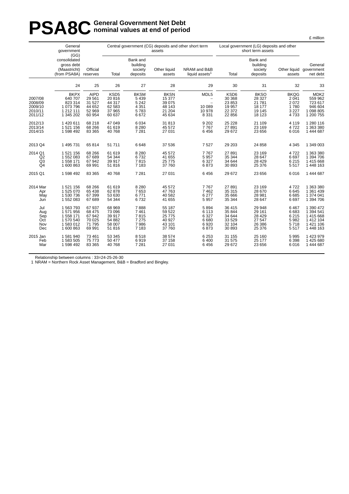# **PSA8C General Government Net Debt**<br> **PSA8C nominal values at end of perio nominal values at end of period**

|                                                     | General<br>government<br>(GG)                                                |                                                                |                                                                    |                                                              | assets                                                        | Central government (CG) deposits and other short term | Local government (LG) deposits and other<br>short term assets |                                                                  |                                                           |                                                                             |
|-----------------------------------------------------|------------------------------------------------------------------------------|----------------------------------------------------------------|--------------------------------------------------------------------|--------------------------------------------------------------|---------------------------------------------------------------|-------------------------------------------------------|---------------------------------------------------------------|------------------------------------------------------------------|-----------------------------------------------------------|-----------------------------------------------------------------------------|
|                                                     | consolidated<br>gross debt<br>(Maastricht)<br>(from PSA8A) reserves          | Official                                                       | Total                                                              | Bank and<br>building<br>society<br>deposits                  | Other liquid<br>assets                                        | NRAM and B&B<br>liquid assets <sup>1</sup>            | Total                                                         | Bank and<br>building<br>society<br>deposits                      | assets                                                    | General<br>Other liquid government<br>net debt                              |
|                                                     | 24                                                                           | 25                                                             | 26                                                                 | 27                                                           | 28                                                            | 29                                                    | 30                                                            | 31                                                               | 32                                                        | 33                                                                          |
| 2007/08<br>2008/09<br>2009/10<br>2010/11<br>2011/12 | <b>BKPX</b><br>640 707<br>823 314<br>1 073 796<br>1 2 1 2 1 1 1<br>1 345 202 | <b>AIPD</b><br>29 5 61<br>31 527<br>44 652<br>52 969<br>60 954 | KSD <sub>5</sub><br>20 816<br>44 317<br>62 583<br>37 965<br>60 637 | <b>BKSM</b><br>5 4 3 9<br>5 2 4 2<br>4 3 5 1<br>5783<br>6672 | <b>BKSN</b><br>15 377<br>39 075<br>48 143<br>21 204<br>45 634 | MDL5<br>10 089<br>10 978<br>8 3 3 1                   | KSD6<br>30 368<br>23 853<br>19 957<br>22 372<br>22 856        | <b>BKSO</b><br>28 3 27<br>21 7 8 1<br>18 177<br>19 145<br>18 123 | <b>BKQG</b><br>2 0 4 1<br>2072<br>1780<br>3 2 2 7<br>4733 | MDK <sub>2</sub><br>559 962<br>723 617<br>946 604<br>1 098 805<br>1 200 755 |
| 2012/13<br>2013/14<br>2014/15                       | 1420611<br>1521156<br>1 598 492                                              | 68 218<br>68 266<br>83 365                                     | 47 049<br>61 619<br>40 768                                         | 6 0 34<br>8 2 8 0<br>7 2 8 1                                 | 31813<br>45 572<br>27 031                                     | 9 2 0 2<br>7767<br>6456                               | 25 2 28<br>27 891<br>29 672                                   | 21 109<br>23 169<br>23 656                                       | 4 1 1 9<br>4722<br>6016                                   | 1 280 116<br>1 363 380<br>1 444 687                                         |
| 2013 Q4                                             | 1 495 731                                                                    | 65 814                                                         | 51 711                                                             | 6648                                                         | 37 536                                                        | 7527                                                  | 29 203                                                        | 24 858                                                           | 4 3 4 5                                                   | 1 349 003                                                                   |
| 2014 Q1<br>Q2<br>Q <sub>3</sub><br>Q <sub>4</sub>   | 1 521 156<br>1552083<br>1 558 171<br>1 600 863                               | 68 266<br>67 689<br>67 942<br>69 991                           | 61 619<br>54 344<br>39 917<br>51 816                               | 8 2 8 0<br>6732<br>7815<br>7 183                             | 45 572<br>41 655<br>25 775<br>37 760                          | 7767<br>5 9 5 7<br>6 3 2 7<br>6873                    | 27 891<br>35 344<br>34 644<br>30 893                          | 23 169<br>28 647<br>28 4 29<br>25 376                            | 4722<br>6697<br>6 2 1 5<br>5517                           | 1 363 380<br>1 394 706<br>1415668<br>1448 163                               |
| 2015 Q1                                             | 1 598 492                                                                    | 83 365                                                         | 40 768                                                             | 7 2 8 1                                                      | 27 031                                                        | 6456                                                  | 29 672                                                        | 23 656                                                           | 6016                                                      | 1 444 687                                                                   |
| 2014 Mar<br>Apr<br>May<br>Jun                       | 1 521 156<br>1525070<br>1 530 736<br>1552083                                 | 68 266<br>65 438<br>67 399<br>67 689                           | 61 619<br>62 878<br>53 630<br>54 344                               | 8 2 8 0<br>7653<br>6771<br>6732                              | 45 572<br>47 763<br>40 582<br>41 655                          | 7767<br>7 4 6 2<br>6 277<br>5 9 5 7                   | 27 891<br>35 315<br>35 666<br>35 344                          | 23 169<br>28 670<br>28 981<br>28 647                             | 4722<br>6645<br>6685<br>6697                              | 1 363 380<br>1 361 439<br>1 374 041<br>1 394 706                            |
| Jul<br>Aug<br>Sep<br>Oct<br>Nov<br>Dec              | 1 563 793<br>1571956<br>1 558 171<br>1570540<br>1583012<br>1 600 863         | 67 937<br>68 475<br>67 942<br>70 025<br>71 795<br>69 991       | 68 969<br>73 096<br>39 917<br>54 882<br>58 007<br>51 816           | 7888<br>7 4 6 1<br>7815<br>7 2 7 5<br>7986<br>7 183          | 55 187<br>59 522<br>25 775<br>40 927<br>43 101<br>37 760      | 5894<br>6 1 1 3<br>6 3 2 7<br>6680<br>6920<br>6873    | 36 415<br>35 844<br>34 644<br>33 529<br>32 104<br>30 893      | 29 948<br>29 161<br>28 4 29<br>27 547<br>26 386<br>25 376        | 6 4 6 7<br>6683<br>6 2 1 5<br>5982<br>5718<br>5517        | 1 390 472<br>1 394 541<br>1 415 668<br>1 412 104<br>1 421 106<br>1 448 163  |
| 2015 Jan<br>Feb<br>Mar                              | 1581940<br>1583505<br>1598492                                                | 73 461<br>75 773<br>83 365                                     | 53 345<br>50 477<br>40 768                                         | 8518<br>6919<br>7 2 8 1                                      | 38 574<br>37 158<br>27 031                                    | 6 2 5 3<br>6 4 0 0<br>6456                            | 31 155<br>31 575<br>29 672                                    | 25 160<br>25 177<br>23 656                                       | 5995<br>6 3 9 8<br>6016                                   | 1 423 979<br>1425680<br>1 444 687                                           |

Relationship between columns : 33=24-25-26-30

1 NRAM = Northern Rock Asset Management, B&B = Bradford and Bingley.

£ million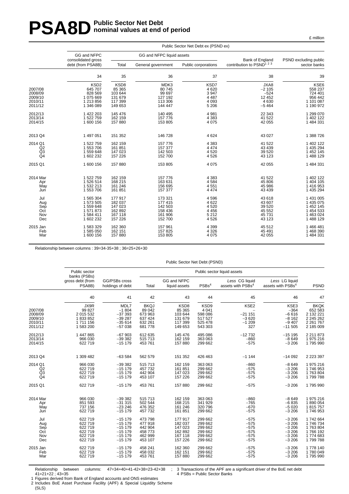# **PSA8D** Public Sector Net Debt **nominal values at end of period**

|                                                     |                                                                             |                                                                |                                                                | Public Sector Net Debt ex (PSND ex)                        |                                                           |                                                                          |
|-----------------------------------------------------|-----------------------------------------------------------------------------|----------------------------------------------------------------|----------------------------------------------------------------|------------------------------------------------------------|-----------------------------------------------------------|--------------------------------------------------------------------------|
|                                                     | GG and NFPC<br>consolidated gross                                           |                                                                | GG and NFPC liquid assets                                      |                                                            | Bank of England                                           | PSND excluding public                                                    |
|                                                     | debt (from PSA8B)                                                           | Total                                                          | General government                                             | Public corporations                                        | contribution to PSND <sup>123</sup>                       | sector banks                                                             |
|                                                     | 34                                                                          | 35                                                             | 36                                                             | 37                                                         | 38                                                        | 39                                                                       |
| 2007/08<br>2008/09<br>2009/10<br>2010/11<br>2011/12 | KSD <sub>2</sub><br>645 707<br>828 569<br>1075669<br>1 213 856<br>1 346 089 | KSD8<br>85 365<br>103 644<br>131 679<br>117 399<br>149 653     | MDK3<br>80 745<br>99 697<br>127 192<br>113 306<br>144 447      | KSD7<br>4 6 20<br>3 9 4 7<br>4 4 8 7<br>4 0 9 3<br>5 2 0 6 | JXA8<br>$-2105$<br>$-524$<br>12 4 5 2<br>4630<br>$-5464$  | <b>KSE6</b><br>558 237<br>724 401<br>956 442<br>1 101 087<br>1 190 972   |
| 2012/13<br>2013/14<br>2014/15                       | 1 422 203<br>1 522 759<br>1600 156                                          | 145 476<br>162 159<br>157 880                                  | 140 495<br>157 776<br>153 805                                  | 4 9 8 1<br>4 3 8 3<br>4 0 7 5                              | 22 343<br>41 522<br>42 055                                | 1 299 070<br>1 402 122<br>1 484 331                                      |
| 2013 Q4                                             | 1 497 051                                                                   | 151 352                                                        | 146 728                                                        | 4 6 24                                                     | 43 0 27                                                   | 1 388 726                                                                |
| 2014 Q1<br>Q2<br>Q3<br>Q4                           | 1 522 759<br>1 553 706<br>1559648<br>1 602 232                              | 162 159<br>161 851<br>147 023<br>157 226                       | 157 776<br>157 377<br>142 503<br>152 700                       | 4 3 8 3<br>4 4 7 4<br>4520<br>4526                         | 41 522<br>43 4 39<br>39 5 20<br>43 1 23                   | 1 402 122<br>1 435 294<br>1 452 145<br>1 488 129                         |
| 2015 Q1                                             | 1600 156                                                                    | 157 880                                                        | 153 805                                                        | 4 0 7 5                                                    | 42 055                                                    | 1 484 331                                                                |
| 2014 Mar<br>Apr<br>May<br>Jun                       | 1 522 759<br>1526514<br>1 532 213<br>1 553 706                              | 162 159<br>168 215<br>161 246<br>161 851                       | 157 776<br>163 631<br>156 695<br>157 377                       | 4 3 8 3<br>4584<br>4551<br>4 4 7 4                         | 41 522<br>45 806<br>45 986<br>43 4 39                     | 1 402 122<br>1 404 105<br>1416953<br>1 435 294                           |
| Jul<br>Aug<br>Sep<br>Oct<br>Nov<br>Dec              | 1 565 304<br>1573505<br>1559648<br>1571873<br>1584411<br>1 602 232          | 177 917<br>182 037<br>147 023<br>162 892<br>167 118<br>157 226 | 173 321<br>177 415<br>142 503<br>158 436<br>161 906<br>152 700 | 4596<br>4 6 22<br>4520<br>4 4 5 6<br>5 2 1 2<br>4526       | 43 618<br>43 607<br>39 5 20<br>45 552<br>45 731<br>43 123 | 1 431 005<br>1 435 075<br>1 452 145<br>1 454 533<br>1463024<br>1 488 129 |
| 2015 Jan<br>Feb<br>Mar                              | 1583329<br>1 585 050<br>1 600 156                                           | 162 360<br>162 151<br>157 880                                  | 157 961<br>157 825<br>153 805                                  | 4 3 9 9<br>4 3 2 6<br>4 0 7 5                              | 45 512<br>45 491<br>42 055                                | 1466481<br>1 468 390<br>1 484 331                                        |
|                                                     |                                                                             |                                                                |                                                                |                                                            |                                                           |                                                                          |

£ million

Relationship between columns : 39=34-35+38 ; 36=25+26+30

| Public Sector Net Debt (PSND) |  |  |  |
|-------------------------------|--|--|--|
|-------------------------------|--|--|--|

|              | Public sector<br>banks (PSBs) | Public sector liquid assets       |                    |                              |                    |                                                 |                                                 |                     |
|--------------|-------------------------------|-----------------------------------|--------------------|------------------------------|--------------------|-------------------------------------------------|-------------------------------------------------|---------------------|
|              | gross debt (from<br>PSA8B)    | GG/PSBs cross<br>holdings of debt | Total              | GG and NFPC<br>liquid assets | PSBs <sup>4</sup>  | Less CG liquid<br>assets with PSBs <sup>4</sup> | Less LG liquid<br>assets with PSBs <sup>4</sup> | <b>PSND</b>         |
|              | 40                            | 41                                | 42                 | 43                           | 44                 | 45                                              | 46                                              | 47                  |
|              | JX9R                          | MDL7                              | <b>BKQJ</b>        | KSD <sub>8</sub>             | KSD <sub>9</sub>   | KSE2                                            | KSE3                                            | <b>BKQK</b>         |
| 2007/08      | 99 827                        | $-1804$                           | 89 042             | 85 365                       | 4 0 4 1            |                                                 | $-364$                                          | 652 583             |
| 2008/09      | 2 015 532                     | $-37393$                          | 673 963            | 103 644                      | 598 086            | $-21151$                                        | $-6616$                                         | 2 132 221           |
| 2009/10      | 1833852                       | $-39287$                          | 637 424            | 131 679                      | 517 527            | $-3620$                                         | $-8162$                                         | 2 245 262           |
| 2010/11      | 1 711 156                     | $-35614$                          | 632 261            | 117 399                      | 525 478            | $-1209$                                         | $-9407$                                         | 2 2 61 7 67         |
| 2011/12      | 1 583 200                     | $-57038$                          | 681778             | 149 653                      | 543 303            | 327                                             | $-11505$                                        | 2 185 009           |
| 2012/13      | 1 447 865                     | $-67903$                          | 612 635            | 145 476                      | 495 086            | $-12732$                                        | $-15195$                                        | 2 2 1 8 7 3         |
| 2013/14      | 966 030                       | $-39382$                          | 515 713            | 162 159                      | 363 063            | $-860$                                          | $-8649$                                         | 1 975 216           |
| 2014/15      | 622 719                       | $-15179$                          | 453 761            | 157 880                      | 299 662            | $-575$                                          | $-3206$                                         | 1795990             |
| 2013 Q4      | 1 309 482                     | $-63584$                          | 562 579            | 151 352                      | 426 463            | $-1144$                                         | $-14092$                                        | 2 2 2 3 3 9 7       |
| 2014 Q1      | 966 030                       | $-39382$                          | 515 713            | 162 159                      | 363 063            | $-860$                                          | $-8649$                                         | 1975216             |
|              | 622 719                       | $-15179$                          | 457 732            | 161 851                      | 299 662            | $-575$                                          | $-3206$                                         | 1746953             |
| $^{Q2}_{Q3}$ | 622 719                       | $-15179$                          | 442 904            | 147 023                      | 299 662            | $-575$                                          | $-3206$                                         | 1763804             |
| Q4           | 622 719                       | $-15179$                          | 453 107            | 157 226                      | 299 662            | $-575$                                          | $-3206$                                         | 1799788             |
| 2015 Q1      | 622 719                       | $-15179$                          | 453 761            | 157880                       | 299 662            | $-575$                                          | $-3206$                                         | 1795990             |
| 2014 Mar     | 966 030                       | $-39382$                          | 515 713            | 162 159                      | 363 063            | $-860$                                          | $-8649$                                         | 1 975 216           |
| Apr          | 851 593                       | $-31315$                          | 502 544            | 168 215                      | 341 929            | $-765$                                          | $-6835$                                         | 1890054             |
| May          | 737 156                       | $-23246$                          | 476 352            | 161 246                      | 320 796            | $-670$                                          | $-5020$                                         | 1815757             |
| Jun          | 622 719                       | $-15179$                          | 457 732            | 161 851                      | 299 662            | $-575$                                          | $-3206$                                         | 1746953             |
| Jul          | 622 719                       | $-15179$                          | 473 798            | 177 917                      | 299 662            | $-575$                                          | $-3206$                                         | 1742664             |
| Aug          | 622 719                       | $-15179$                          | 477918             | 182 037                      | 299 662            | $-575$                                          | $-3206$                                         | 1746734             |
| Sep<br>Oct   | 622 719<br>622 719            | $-15179$<br>$-15179$              | 442 904<br>458 773 | 147 023<br>162 892           | 299 662<br>299 662 | $-575$<br>$-575$                                | $-3206$<br>$-3206$                              | 1763804<br>1766 192 |
| Nov          | 622 719                       | $-15179$                          | 462 999            | 167 118                      | 299 662            | $-575$                                          | $-3206$                                         | 1774683             |
| Dec          | 622 719                       | $-15179$                          | 453 107            | 157 226                      | 299 662            | $-575$                                          | $-3206$                                         | 1799788             |
| 2015 Jan     | 622 719                       | $-15179$                          | 458 241            | 162 360                      | 299 662            | $-575$                                          | $-3206$                                         | 1778 140            |
| Feb          | 622 719                       | $-15179$                          | 458 032            | 162 151                      | 299 662            | $-575$                                          | $-3206$                                         | 1780049             |
| Mar          | 622 719                       | $-15179$                          | 453 761            | 157 880                      | 299 662            | $-575$                                          | $-3206$                                         | 1795990             |
|              |                               |                                   |                    |                              |                    |                                                 |                                                 |                     |

Relationship between columns: 47=34+40+41-42+38=23-42+38 ; 41=21+22 ; 43=35

1 Figures derived from Bank of England accounts and ONS estimates

2 Includes BoE Asset Purchase Facility (APF) & Special Liquidity Scheme (SLS)

<sup>3</sup> Transactions of the APF are a significant driver of the BoE net debt 4 PSBs = Public Sector Banks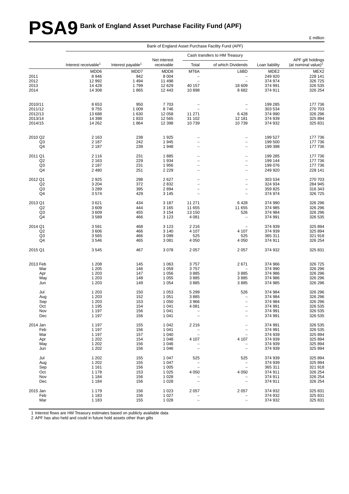# **PSA9 Bank of England Asset Purchase Facility Fund (APF)**

|                      | Bank of England Asset Purchase Facility Fund (APF) |                               |              |                          |                                        |                  |                                 |  |  |
|----------------------|----------------------------------------------------|-------------------------------|--------------|--------------------------|----------------------------------------|------------------|---------------------------------|--|--|
|                      |                                                    |                               | Net interest |                          | Cash transfers to HM Treasury          |                  | APF gilt holdings               |  |  |
|                      | Interest receivable <sup>1</sup>                   | Interest payable <sup>1</sup> | receivable   | Total                    | of which Dividends                     | Loan liability   | (at nominal value) <sup>2</sup> |  |  |
|                      | MDD6                                               | MDD7                          | MDD8         | MT6A                     | L6BD                                   | MDE <sub>2</sub> | MEX2                            |  |  |
| 2011                 | 8946                                               | 942                           | 8 0 0 4      | $\qquad \qquad -$        | $\overline{\phantom{a}}$               | 249 920          | 228 141                         |  |  |
| 2012                 | 12 992                                             | 1 4 9 4                       | 11 498       | $\overline{\phantom{0}}$ | $\overline{\phantom{0}}$               | 374 974          | 326 725                         |  |  |
| 2013                 | 14 4 28                                            | 1799                          | 12 629       | 40 157                   | 18 609                                 | 374 991          | 326 535                         |  |  |
| 2014                 | 14 308                                             | 1865                          | 12 443       | 10898                    | 8682                                   | 374 911          | 326 254                         |  |  |
| 2010/11              | 8653                                               | 950                           | 7703         |                          | $\qquad \qquad -$                      | 199 285          | 177 736                         |  |  |
| 2011/12              | 9755                                               | 1 0 0 9                       | 8746         | $\qquad \qquad -$        |                                        | 303 534          | 270 703                         |  |  |
| 2012/13              | 13688                                              | 1 6 3 0                       | 12 058       | 11 271                   | 6428                                   | 374 990          | 326 296                         |  |  |
| 2013/14              | 14 3 98                                            | 1833                          | 12 5 65      | 31 102                   | 12 181                                 | 374 939          | 325 894                         |  |  |
| 2014/15              | 14 26 2                                            | 1864                          | 12 3 98      | 10739                    | 10739                                  | 374 932          | 325 831                         |  |  |
|                      |                                                    |                               |              |                          |                                        |                  |                                 |  |  |
| 2010 Q2<br>Q3        | 2 1 6 3                                            | 238<br>242                    | 1925<br>1945 | $\overline{\phantom{0}}$ | $\qquad \qquad -$<br>$\qquad \qquad -$ | 199 527          | 177 736                         |  |  |
| Q <sub>4</sub>       | 2 1 8 7                                            |                               |              |                          |                                        | 199 500          | 177 736                         |  |  |
|                      | 2 1 8 7                                            | 239                           | 1948         | $\overline{\phantom{0}}$ | $\overline{\phantom{0}}$               | 199 398          | 177 736                         |  |  |
| 2011 Q1              | 2 1 1 6                                            | 231                           | 1885         |                          | $\overline{a}$                         | 199 285          | 177 736                         |  |  |
| Q2                   | 2 1 6 3                                            | 229                           | 1934         | -                        | $\overline{\phantom{m}}$               | 199 144          | 177 736                         |  |  |
| Q3<br>Q <sub>4</sub> | 2 1 8 7                                            | 231                           | 1956         | $\overline{\phantom{0}}$ | $\qquad \qquad -$                      | 199 076          | 177 736                         |  |  |
|                      | 2 4 8 0                                            | 251                           | 2 2 2 9      | $\overline{\phantom{0}}$ | $\qquad \qquad -$                      | 249 920          | 228 141                         |  |  |
| 2012 Q1              | 2925                                               | 298                           | 2627         |                          | $\qquad \qquad -$                      | 303 534          | 270 703                         |  |  |
| Q <sub>2</sub>       | 3 2 0 4                                            | 372                           | 2832         | $\overline{\phantom{0}}$ | $\overline{\phantom{a}}$               | 324 934          | 284 945                         |  |  |
| Q <sub>3</sub>       | 3 2 8 9                                            | 395                           | 2894         | $\qquad \qquad -$        | $\overline{\phantom{a}}$               | 359 825          | 316 343                         |  |  |
| Q4                   | 3574                                               | 429                           | 3 1 4 5      | $\overline{\phantom{0}}$ | $\overline{\phantom{0}}$               | 374 974          | 326 725                         |  |  |
| 2013 Q1              | 3621                                               | 434                           | 3 1 8 7      | 11 271                   | 6428                                   | 374 990          | 326 296                         |  |  |
| Q2                   | 3609                                               | 444                           | 3 1 6 5      | 11 655                   | 11 655                                 | 374 985          | 326 296                         |  |  |
| Q3                   | 3609                                               | 455                           | 3 1 5 4      | 13 150                   | 526                                    | 374 984          | 326 296                         |  |  |
| Q4                   | 3589                                               | 466                           | 3 1 2 3      | 4 0 8 1                  | $\overline{\phantom{0}}$               | 374 991          | 326 535                         |  |  |
| 2014 Q1              | 3591                                               | 468                           | 3 1 2 3      | 2 2 1 6                  |                                        | 374 939          | 325 894                         |  |  |
| Q2                   | 3606                                               | 466                           | 3 1 4 0      | 4 1 0 7                  | 4 107                                  | 374 939          | 325 894                         |  |  |
| Q3                   | 3565                                               | 466                           | 3 0 9 9      | 525                      | 525                                    | 365 311          | 321 918                         |  |  |
| Q <sub>4</sub>       | 3546                                               | 465                           | 3 0 8 1      | 4 0 5 0                  | 4 0 5 0                                | 374 911          | 326 254                         |  |  |
| 2015 Q1              | 3545                                               | 467                           | 3078         | 2057                     | 2 0 5 7                                | 374 932          | 325 831                         |  |  |
| 2013 Feb             | 1 2 0 8                                            | 145                           | 1 0 6 3      | 3757                     | 2671                                   | 374 966          | 326 725                         |  |  |
| Mar                  | 1 2 0 5                                            | 146                           | 1 0 5 9      | 3757                     |                                        | 374 990          | 326 296                         |  |  |
| Apr                  | 1 2 0 3                                            | 147                           | 1 0 5 6      | 3885                     | 3885                                   | 374 986          | 326 296                         |  |  |
| May                  | 1 2 0 3                                            | 148                           | 1 0 5 5      | 3885                     | 3885                                   | 374 986          | 326 296                         |  |  |
| Jun                  | 1 2 0 3                                            | 149                           | 1 0 5 4      | 3885                     | 3885                                   | 374 985          | 326 296                         |  |  |
| Jul                  | 1 2 0 3                                            | 150                           | 1 0 5 3      | 5 2 9 9                  | 526                                    | 374 984          | 326 296                         |  |  |
| Aug                  | 1 2 0 3                                            | 152                           | 1 0 5 1      | 3885                     | $\qquad \qquad -$                      | 374 984          | 326 296                         |  |  |
| Sep                  | 1 2 0 3                                            | 153                           | 1 0 5 0      | 3966                     | $\overline{\phantom{a}}$               | 374 984          | 326 296                         |  |  |
| Oct                  | 1 1 9 5                                            | 154                           | 1 0 4 1      | 4 0 8 1                  |                                        | 374 991          | 326 535                         |  |  |
| Nov                  | 1 1 9 7                                            | 156                           | 1 0 4 1      |                          | $\overline{\phantom{a}}$               | 374 991          | 326 535                         |  |  |
| Dec                  | 1 1 9 7                                            | 156                           | 1 0 4 1      | $\overline{\phantom{0}}$ | $\overline{\phantom{0}}$               | 374 991          | 326 535                         |  |  |
| 2014 Jan             | 1 1 9 7                                            | 155                           | 1 0 4 2      | 2 2 1 6                  | $\qquad \qquad -$                      | 374 991          | 326 535                         |  |  |
| Feb                  | 1 1 9 7                                            | 156                           | 1 0 4 1      | $\qquad \qquad -$        | $\qquad \qquad -$                      | 374 991          | 326 535                         |  |  |
| Mar                  | 1 1 9 7                                            | 157                           | 1 0 4 0      | $\qquad \qquad -$        |                                        | 374 939          | 325 894                         |  |  |
| Apr                  | 1 2 0 2                                            | 154                           | 1 0 4 8      | 4 107                    | 4 107                                  | 374 939          | 325 894                         |  |  |
| May                  | 1 2 0 2                                            | 156                           | 1 0 4 6      |                          | $\overline{\phantom{0}}$               | 374 939          | 325 894                         |  |  |
| Jun                  | 1 2 0 2                                            | 156                           | 1 0 4 6      | $\qquad \qquad -$        | $\qquad \qquad -$                      | 374 939          | 325 894                         |  |  |
| Jul                  | 1 2 0 2                                            | 155                           | 1 0 4 7      | 525                      | 525                                    | 374 939          | 325 894                         |  |  |
| Aug                  | 1 2 0 2                                            | 155                           | 1 0 4 7      |                          | $\qquad \qquad -$                      | 374 939          | 325 894                         |  |  |
| Sep                  | 1 1 6 1                                            | 156                           | 1 0 0 5      | $\overline{\phantom{a}}$ | $\overline{\phantom{a}}$               | 365 311          | 321 918                         |  |  |
| Oct                  | 1 1 7 8                                            | 153                           | 1 0 2 5      | 4 0 5 0                  | 4 0 5 0                                | 374 911          | 326 254                         |  |  |
| Nov                  | 1 1 8 4                                            | 156                           | 1 0 2 8      |                          |                                        | 374 911          | 326 254                         |  |  |
| Dec                  | 1 1 8 4                                            | 156                           | 1 0 2 8      | $\overline{\phantom{a}}$ | $\overline{\phantom{a}}$               | 374 911          | 326 254                         |  |  |
| 2015 Jan             | 1 1 7 9                                            | 156                           | 1 0 2 3      | 2057                     | 2 0 5 7                                | 374 932          | 325 831                         |  |  |
| Feb                  | 1 1 8 3                                            | 156                           | 1 0 2 7      |                          | $\bar{\phantom{a}}$                    | 374 932          | 325 831                         |  |  |
| Mar                  | 1 1 8 3                                            | 155                           | 1 0 2 8      | $\overline{\phantom{0}}$ | $\overline{\phantom{a}}$               | 374 932          | 325 831                         |  |  |
|                      |                                                    |                               |              |                          |                                        |                  |                                 |  |  |

1 Interest flows are HM Treasury estimates based on publicly available data

2 APF has also held and could in future hold assets other than gilts

£ million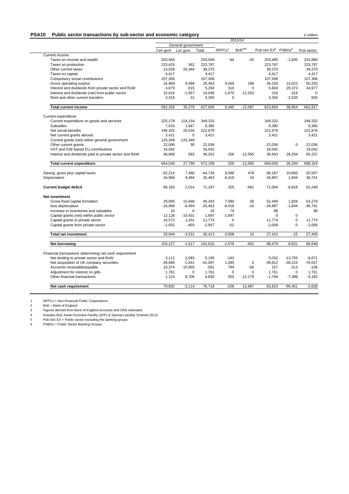#### **PSA10** Public sector transactions by sub-sector and economic category **Example 2** million

|                                                         |                    | 2013/14     |           |                    |                    |                                            |             |            |  |
|---------------------------------------------------------|--------------------|-------------|-----------|--------------------|--------------------|--------------------------------------------|-------------|------------|--|
|                                                         | General government |             |           |                    |                    |                                            |             |            |  |
|                                                         | Cen govt           | Loc govt    | Total     | NFPCs <sup>1</sup> | BoE <sup>234</sup> | Pub sec-EX <sup>5</sup> PSBGs <sup>6</sup> |             | Pub sector |  |
| Current income                                          |                    |             |           |                    |                    |                                            |             |            |  |
| Taxes on income and wealth                              | 203,569            |             | 203,569   | $-64$              | $-20$              | 203,485                                    | $-1,605$    | 201,880    |  |
| Taxes on production                                     | 223,425            | 362         | 223,787   |                    |                    | 223,787                                    |             | 223,787    |  |
| Other current taxes                                     | 13,026             | 26,344      | 39,370    |                    |                    | 39,370                                     |             | 39,370     |  |
| Taxes on capital                                        | 4,417              |             | 4,417     |                    |                    | 4,417                                      |             | 4,417      |  |
| Compulsory social contributions                         | 107,306            |             | 107,306   |                    |                    | 107,306                                    |             | 107,306    |  |
| Gross operating surplus                                 | 16,969             | 9,494       | 26,463    | 9,569              | 196                | 36,228                                     | 14,022      | 50,250     |  |
| Interest and dividends from private sector and RoW      | 4,679              | 615         | 5,294     | 310                | $\Omega$           | 5.604                                      | 29.373      | 34,977     |  |
| Interest and dividends (net) from public sector         | 15,616             | $-1,567$    | 14,049    | $-1,470$           | $-12,263$          | 316                                        | $-316$      |            |  |
| Rent and other current transfers                        | 3,319              | 31          | 3,350     | $\mathbf 0$        |                    | 3,350                                      | $-2,520$    | 830        |  |
| <b>Total current income</b>                             | 592,326            | 35,279      | 627,605   | 8,345              | $-12,087$          | 623,863                                    | 38,954      | 662,817    |  |
| Current expenditure                                     |                    |             |           |                    |                    |                                            |             |            |  |
| Current expenditure on goods and services               | 225,178            | 124,154     | 349,332   |                    |                    | 349,332                                    |             | 349,332    |  |
| <b>Subsidies</b>                                        | 7,533              | 1,847       | 9,380     |                    |                    | 9,380                                      |             | 9,380      |  |
| Net social benefits                                     | 196.342            | 26,534      | 222,876   |                    |                    | 222,876                                    |             | 222.876    |  |
| Net current grants abroad                               | 3,421              | 0           | 3,421     |                    |                    | 3,421                                      |             | 3,421      |  |
| Current grants (net) within general government          | 125,349            | $-125,349$  |           |                    |                    |                                            |             |            |  |
| Other current grants                                    | 22,006             | 30          | 22,036    |                    |                    | 22,036                                     | $\Omega$    | 22,036     |  |
| VAT and GNI based EU contributions                      | 16,042             |             | 16,042    |                    |                    | 16,042                                     |             | 16,042     |  |
| Interest and dividends paid to private sector and RoW   | 48,669             | 583         | 49,252    | 256                | $-12,565$          | 36,943                                     | 28,294      | 65,237     |  |
| <b>Total current expenditure</b>                        | 644,540            | 27,799      | 672,339   | 256                | $-12,565$          | 660,030                                    | 28,294      | 688,324    |  |
| Saving, gross plus capital taxes                        | $-52,214$          | 7,480       | $-44,734$ | 8,089              | 478                | $-36,167$                                  | 10,660      | $-25,507$  |  |
| Depreciation                                            | 16,969             | 9,494       | 26,463    | 8,418              | 16                 | 34,897                                     | 1,844       | 36,741     |  |
| <b>Current budget deficit</b>                           | 69,183             | 2.014       | 71,197    | 329                | -462               | 71,064                                     | $-8.816$    | 62.248     |  |
| Net investment                                          |                    |             |           |                    |                    |                                            |             |            |  |
| Gross fixed capital formation                           | 29.695             | 15,648      | 45,343    | 7.080              | 26                 | 52.449                                     | 1.829       | 54.278     |  |
| less depreciation                                       | $-16,969$          | $-9,494$    | $-26,463$ | $-8,418$           | $-16$              | $-34,897$                                  | $-1,844$    | $-36,741$  |  |
| Increase in inventories and valuables                   | 19                 | $\mathbf 0$ | 19        | 79                 |                    | 98                                         |             | 98         |  |
| Capital grants (net) within public sector               | 12.128             | $-10,431$   | 1.697     | $-1.697$           |                    | $\Omega$                                   | $\mathbf 0$ |            |  |
| Capital grants to private sector                        | 10,573             | 1,201       | 11,774    | $\pmb{0}$          |                    | 11,774                                     | $\mathsf 0$ | 11,774     |  |
| Capital grants from private sector                      | $-1,502$           | $-455$      | $-1,957$  | $-52$              |                    | $-2,009$                                   | $\mathbf 0$ | $-2,009$   |  |
| <b>Total net investment</b>                             | 33,944             | $-3,531$    | 30,413    | $-3,008$           | 10                 | 27,415                                     | $-15$       | 27,400     |  |
| Net borrowing                                           | 103,127            | $-1,517$    | 101,610   | $-2,679$           | $-452$             | 98,479                                     | $-8,831$    | 89,648     |  |
| Financial transactions determining net cash requirement |                    |             |           |                    |                    |                                            |             |            |  |
| Net lending to private sector and RoW                   | 3.112              | 2,083       | 5,195     | $-163$             |                    | 5,032                                      | $-13.703$   | $-8.671$   |  |
| Net acquisition of UK company securities                | $-39,666$          | $-1,431$    | $-41,097$ | 1,285              | $\mathbf 0$        | $-39,812$                                  | $-36,215$   | $-76,027$  |  |
| Accounts receivable/payable                             | 10,374             | $-10,955$   | $-581$    | 794                | $-56$              | 157                                        | $-313$      | $-156$     |  |
| Adjustment for interest on gilts                        | 1,761              | $\Omega$    | 1,761     | $\mathbf 0$        | $\Omega$           | 1.761                                      | $\mathbf 0$ | 1,761      |  |
|                                                         |                    | 8,706       | 9,830     | 555                | $-12,179$          | $-1,794$                                   | $-7,389$    | $-9,183$   |  |
| Other financial transactions                            | 1,124              |             |           |                    |                    |                                            |             |            |  |

1 NFPCs = Non-Financial Public Corporations

2 BoE = Bank of England

3 Figures derived from Bank of England accounts and ONS estimates

4 Includes BoE Asset Purchase Facility (APF) & Special Liquidity Scheme (SLS)

5 Pub-Sec EX = Public sector excluding the banking groups

6 PSBGs = Public Sector Banking Groups